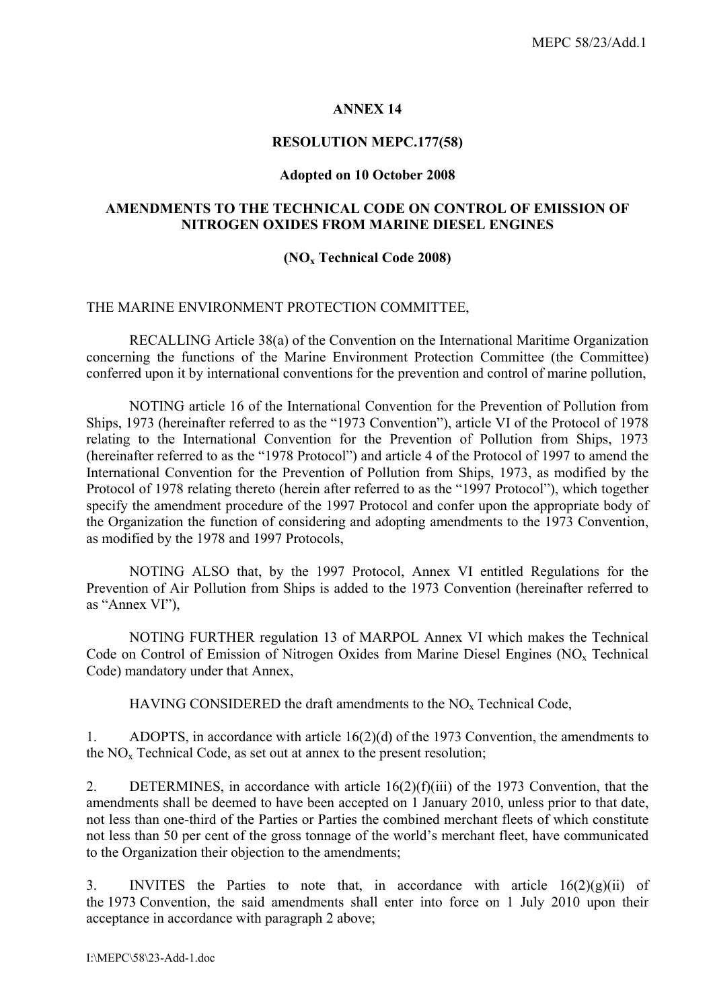#### **ANNEX 14**

#### **RESOLUTION MEPC.177(58)**

#### **Adopted on 10 October 2008**

#### **AMENDMENTS TO THE TECHNICAL CODE ON CONTROL OF EMISSION OF NITROGEN OXIDES FROM MARINE DIESEL ENGINES**

#### **(NOx Technical Code 2008)**

#### THE MARINE ENVIRONMENT PROTECTION COMMITTEE,

RECALLING Article 38(a) of the Convention on the International Maritime Organization concerning the functions of the Marine Environment Protection Committee (the Committee) conferred upon it by international conventions for the prevention and control of marine pollution,

NOTING article 16 of the International Convention for the Prevention of Pollution from Ships, 1973 (hereinafter referred to as the "1973 Convention"), article VI of the Protocol of 1978 relating to the International Convention for the Prevention of Pollution from Ships, 1973 (hereinafter referred to as the "1978 Protocol") and article 4 of the Protocol of 1997 to amend the International Convention for the Prevention of Pollution from Ships, 1973, as modified by the Protocol of 1978 relating thereto (herein after referred to as the "1997 Protocol"), which together specify the amendment procedure of the 1997 Protocol and confer upon the appropriate body of the Organization the function of considering and adopting amendments to the 1973 Convention, as modified by the 1978 and 1997 Protocols,

NOTING ALSO that, by the 1997 Protocol, Annex VI entitled Regulations for the Prevention of Air Pollution from Ships is added to the 1973 Convention (hereinafter referred to as "Annex VI"),

NOTING FURTHER regulation 13 of MARPOL Annex VI which makes the Technical Code on Control of Emission of Nitrogen Oxides from Marine Diesel Engines (NO<sub>x</sub> Technical Code) mandatory under that Annex,

HAVING CONSIDERED the draft amendments to the NO<sub>x</sub> Technical Code,

1. ADOPTS, in accordance with article 16(2)(d) of the 1973 Convention, the amendments to the  $NO<sub>x</sub>$  Technical Code, as set out at annex to the present resolution;

2. DETERMINES, in accordance with article 16(2)(f)(iii) of the 1973 Convention, that the amendments shall be deemed to have been accepted on 1 January 2010, unless prior to that date, not less than one-third of the Parties or Parties the combined merchant fleets of which constitute not less than 50 per cent of the gross tonnage of the world's merchant fleet, have communicated to the Organization their objection to the amendments;

3. INVITES the Parties to note that, in accordance with article  $16(2)(g)(ii)$  of the 1973 Convention, the said amendments shall enter into force on 1 July 2010 upon their acceptance in accordance with paragraph 2 above;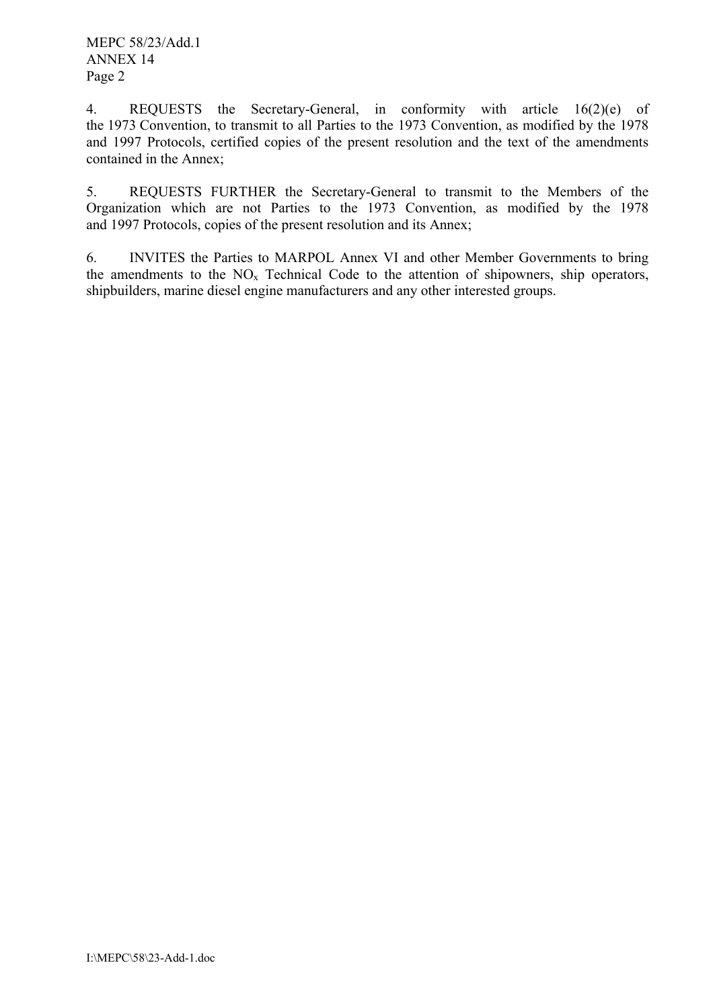4. REQUESTS the Secretary-General, in conformity with article 16(2)(e) of the 1973 Convention, to transmit to all Parties to the 1973 Convention, as modified by the 1978 and 1997 Protocols, certified copies of the present resolution and the text of the amendments contained in the Annex;

5. REQUESTS FURTHER the Secretary-General to transmit to the Members of the Organization which are not Parties to the 1973 Convention, as modified by the 1978 and 1997 Protocols, copies of the present resolution and its Annex;

6. INVITES the Parties to MARPOL Annex VI and other Member Governments to bring the amendments to the  $NO<sub>x</sub>$  Technical Code to the attention of shipowners, ship operators, shipbuilders, marine diesel engine manufacturers and any other interested groups.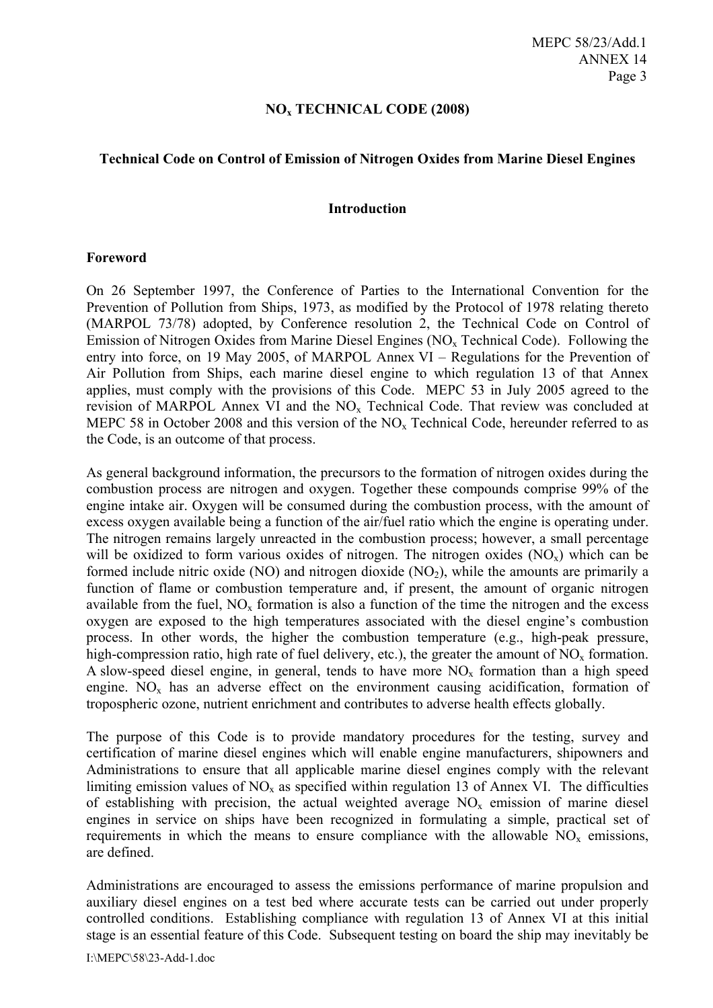#### **NOx TECHNICAL CODE (2008)**

#### **Technical Code on Control of Emission of Nitrogen Oxides from Marine Diesel Engines**

#### **Introduction**

#### **Foreword**

On 26 September 1997, the Conference of Parties to the International Convention for the Prevention of Pollution from Ships, 1973, as modified by the Protocol of 1978 relating thereto (MARPOL 73/78) adopted, by Conference resolution 2, the Technical Code on Control of Emission of Nitrogen Oxides from Marine Diesel Engines ( $NO<sub>x</sub>$  Technical Code). Following the entry into force, on 19 May 2005, of MARPOL Annex VI – Regulations for the Prevention of Air Pollution from Ships, each marine diesel engine to which regulation 13 of that Annex applies, must comply with the provisions of this Code. MEPC 53 in July 2005 agreed to the revision of MARPOL Annex VI and the  $NO<sub>x</sub>$  Technical Code. That review was concluded at MEPC 58 in October 2008 and this version of the  $NO<sub>x</sub>$  Technical Code, hereunder referred to as the Code, is an outcome of that process.

As general background information, the precursors to the formation of nitrogen oxides during the combustion process are nitrogen and oxygen. Together these compounds comprise 99% of the engine intake air. Oxygen will be consumed during the combustion process, with the amount of excess oxygen available being a function of the air/fuel ratio which the engine is operating under. The nitrogen remains largely unreacted in the combustion process; however, a small percentage will be oxidized to form various oxides of nitrogen. The nitrogen oxides  $(NO<sub>x</sub>)$  which can be formed include nitric oxide (NO) and nitrogen dioxide (NO<sub>2</sub>), while the amounts are primarily a function of flame or combustion temperature and, if present, the amount of organic nitrogen available from the fuel,  $NO<sub>x</sub>$  formation is also a function of the time the nitrogen and the excess oxygen are exposed to the high temperatures associated with the diesel engine's combustion process. In other words, the higher the combustion temperature (e.g., high-peak pressure, high-compression ratio, high rate of fuel delivery, etc.), the greater the amount of  $NO<sub>x</sub>$  formation. A slow-speed diesel engine, in general, tends to have more  $NO<sub>x</sub>$  formation than a high speed engine.  $NO<sub>x</sub>$  has an adverse effect on the environment causing acidification, formation of tropospheric ozone, nutrient enrichment and contributes to adverse health effects globally.

The purpose of this Code is to provide mandatory procedures for the testing, survey and certification of marine diesel engines which will enable engine manufacturers, shipowners and Administrations to ensure that all applicable marine diesel engines comply with the relevant limiting emission values of  $NO<sub>x</sub>$  as specified within regulation 13 of Annex VI. The difficulties of establishing with precision, the actual weighted average  $NO<sub>x</sub>$  emission of marine diesel engines in service on ships have been recognized in formulating a simple, practical set of requirements in which the means to ensure compliance with the allowable  $NO<sub>x</sub>$  emissions, are defined.

Administrations are encouraged to assess the emissions performance of marine propulsion and auxiliary diesel engines on a test bed where accurate tests can be carried out under properly controlled conditions. Establishing compliance with regulation 13 of Annex VI at this initial stage is an essential feature of this Code. Subsequent testing on board the ship may inevitably be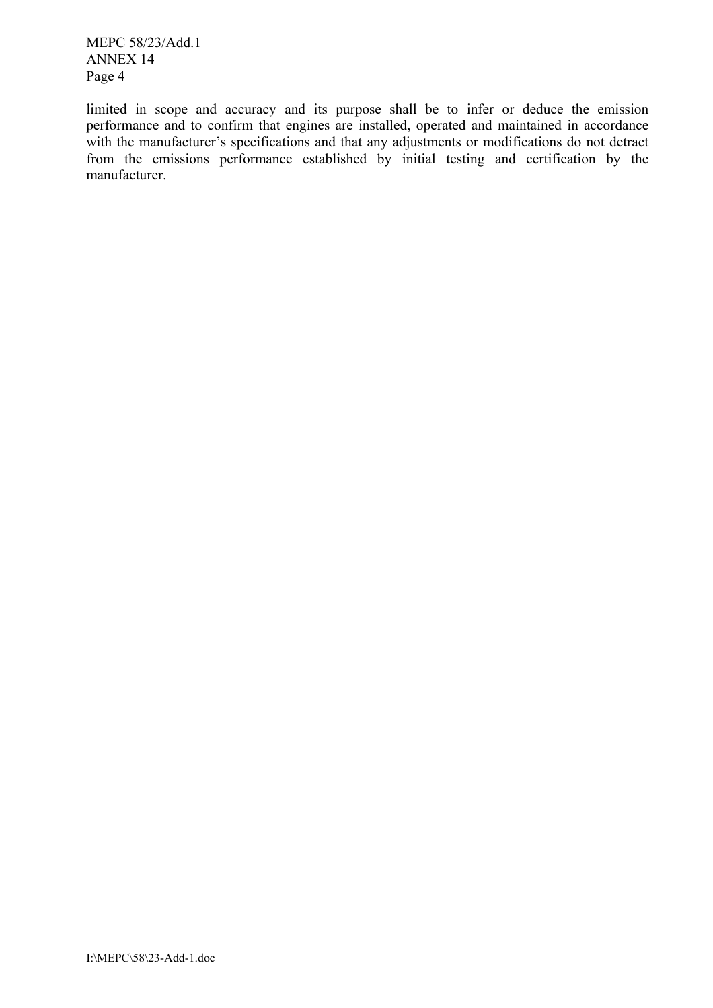limited in scope and accuracy and its purpose shall be to infer or deduce the emission performance and to confirm that engines are installed, operated and maintained in accordance with the manufacturer's specifications and that any adjustments or modifications do not detract from the emissions performance established by initial testing and certification by the manufacturer.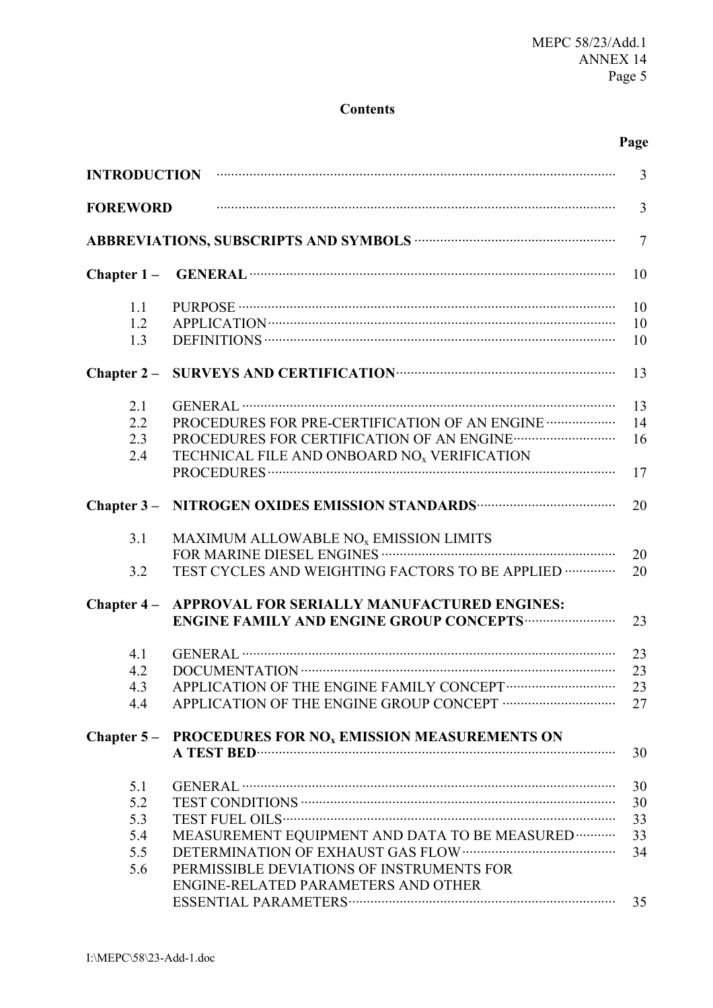#### **Contents**

# **Page**

| <b>INTRODUCTION</b> |                                                                                    | $\overline{3}$ |
|---------------------|------------------------------------------------------------------------------------|----------------|
| <b>FOREWORD</b>     |                                                                                    | 3              |
|                     |                                                                                    | $\overline{7}$ |
| Chapter $1-$        |                                                                                    | 10             |
| 1.1                 |                                                                                    | 10             |
| 1.2                 |                                                                                    | 10             |
| 1.3                 |                                                                                    | 10             |
| Chapter $2-$        |                                                                                    | 13             |
| 2.1                 |                                                                                    | 13             |
| 2.2                 | PROCEDURES FOR PRE-CERTIFICATION OF AN ENGINE                                      | 14             |
| 2.3                 |                                                                                    | 16             |
| 2.4                 | TECHNICAL FILE AND ONBOARD NO <sub>x</sub> VERIFICATION                            |                |
|                     |                                                                                    | 17             |
|                     | Chapter 3 - NITROGEN OXIDES EMISSION STANDARDS ··································· | 20             |
| 3.1                 | MAXIMUM ALLOWABLE NO <sub>x</sub> EMISSION LIMITS                                  |                |
|                     |                                                                                    | 20             |
| 3.2                 | TEST CYCLES AND WEIGHTING FACTORS TO BE APPLIED                                    | 20             |
| Chapter $4-$        | APPROVAL FOR SERIALLY MANUFACTURED ENGINES:                                        |                |
|                     | <b>ENGINE FAMILY AND ENGINE GROUP CONCEPTS </b>                                    | 23             |
| 4.1                 |                                                                                    | 23             |
| 4.2                 |                                                                                    | 23             |
| 4.3                 |                                                                                    | 23             |
| 4.4                 |                                                                                    | 27             |
| Chapter $5-$        | PROCEDURES FOR NO <sub>x</sub> EMISSION MEASUREMENTS ON                            |                |
|                     |                                                                                    | 30             |
| 5.1                 |                                                                                    | 30             |
| 5.2                 |                                                                                    | 30             |
| 5.3                 |                                                                                    | 33             |
| 5.4                 | MEASUREMENT EQUIPMENT AND DATA TO BE MEASURED                                      | 33             |
| 5.5                 |                                                                                    | 34             |
|                     |                                                                                    |                |
| 5.6                 | PERMISSIBLE DEVIATIONS OF INSTRUMENTS FOR                                          |                |
|                     | ENGINE-RELATED PARAMETERS AND OTHER                                                |                |
|                     |                                                                                    | 35             |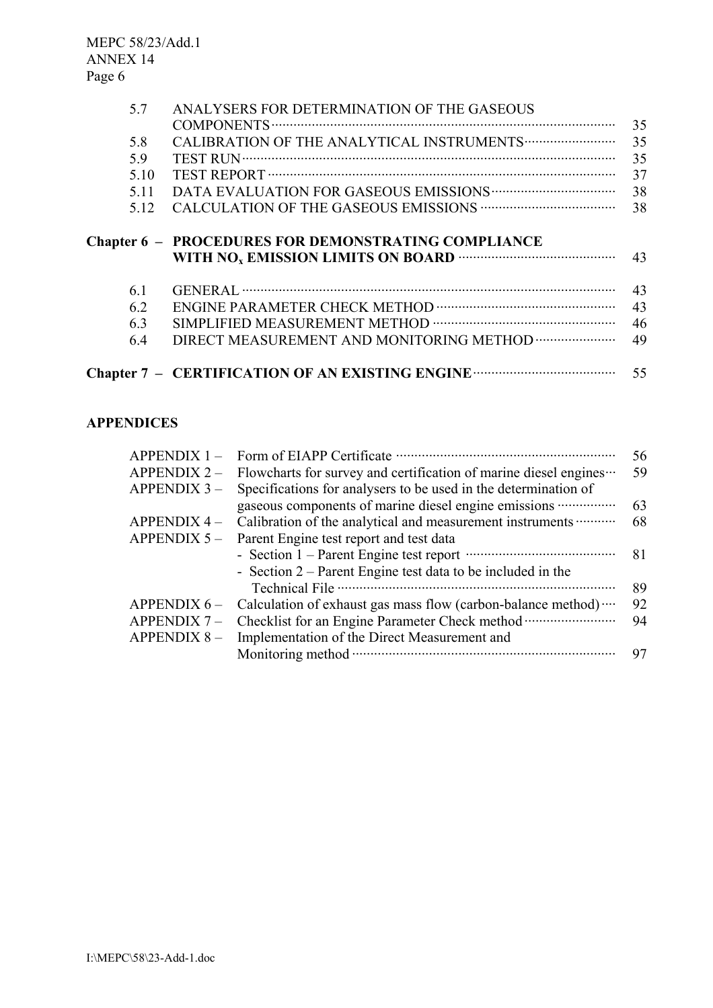| 5.7  | ANALYSERS FOR DETERMINATION OF THE GASEOUS                 | 35 |
|------|------------------------------------------------------------|----|
| 5.8  |                                                            | 35 |
| 5.9  |                                                            | 35 |
| 5.10 |                                                            | 37 |
| 5.11 |                                                            | 38 |
| 5.12 |                                                            | 38 |
|      | <b>Chapter 6 - PROCEDURES FOR DEMONSTRATING COMPLIANCE</b> | 43 |
| 6.1  |                                                            | 43 |
| 6.2  |                                                            | 43 |
| 6.3  |                                                            | 46 |
| 6.4  |                                                            | 49 |
|      |                                                            | 55 |

# **APPENDICES**

| $APPENDIX 1 -$     |                                                                  | 56 |
|--------------------|------------------------------------------------------------------|----|
| <b>APPENDIX 2-</b> | Flowcharts for survey and certification of marine diesel engines | 59 |
| <b>APPENDIX 3-</b> | Specifications for analysers to be used in the determination of  |    |
|                    | gaseous components of marine diesel engine emissions             | 63 |
| <b>APPENDIX 4-</b> | Calibration of the analytical and measurement instruments        | 68 |
| APPENDIX $5-$      | Parent Engine test report and test data                          |    |
|                    |                                                                  | 81 |
|                    | - Section $2$ – Parent Engine test data to be included in the    |    |
|                    |                                                                  | 89 |
| APPENDIX $6-$      | Calculation of exhaust gas mass flow (carbon-balance method)     | 92 |
| <b>APPENDIX 7-</b> |                                                                  | 94 |
| <b>APPENDIX 8-</b> | Implementation of the Direct Measurement and                     |    |
|                    | Monitoring method $\cdot$                                        | 97 |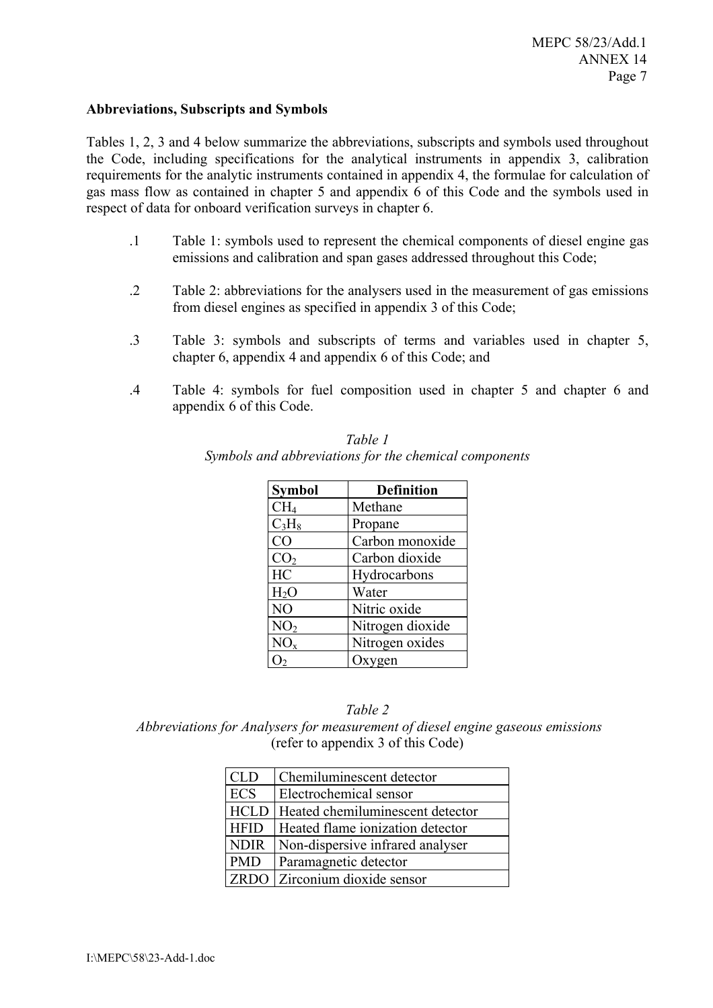#### **Abbreviations, Subscripts and Symbols**

Tables 1, 2, 3 and 4 below summarize the abbreviations, subscripts and symbols used throughout the Code, including specifications for the analytical instruments in appendix 3, calibration requirements for the analytic instruments contained in appendix 4, the formulae for calculation of gas mass flow as contained in chapter 5 and appendix 6 of this Code and the symbols used in respect of data for onboard verification surveys in chapter 6.

- .1 Table 1: symbols used to represent the chemical components of diesel engine gas emissions and calibration and span gases addressed throughout this Code;
- .2 Table 2: abbreviations for the analysers used in the measurement of gas emissions from diesel engines as specified in appendix 3 of this Code;
- .3 Table 3: symbols and subscripts of terms and variables used in chapter 5, chapter 6, appendix 4 and appendix 6 of this Code; and
- .4 Table 4: symbols for fuel composition used in chapter 5 and chapter 6 and appendix 6 of this Code.

| <b>Symbol</b>    | <b>Definition</b> |
|------------------|-------------------|
| CH <sub>4</sub>  | Methane           |
| $C_3H_8$         | Propane           |
| CO               | Carbon monoxide   |
| CO <sub>2</sub>  | Carbon dioxide    |
| HC               | Hydrocarbons      |
| H <sub>2</sub> O | Water             |
| N <sub>O</sub>   | Nitric oxide      |
| NO <sub>2</sub>  | Nitrogen dioxide  |
| NO <sub>x</sub>  | Nitrogen oxides   |
|                  | Oxygen            |

| Table 1                                               |
|-------------------------------------------------------|
| Symbols and abbreviations for the chemical components |

#### *Table 2*

 *Abbreviations for Analysers for measurement of diesel engine gaseous emissions*  (refer to appendix 3 of this Code)

| <b>CLD</b>  | Chemiluminescent detector        |
|-------------|----------------------------------|
| <b>ECS</b>  | Electrochemical sensor           |
| <b>HCLD</b> | Heated chemiluminescent detector |
| <b>HFID</b> | Heated flame ionization detector |
| <b>NDIR</b> | Non-dispersive infrared analyser |
| <b>PMD</b>  | Paramagnetic detector            |
| <b>ZRDO</b> | Zirconium dioxide sensor         |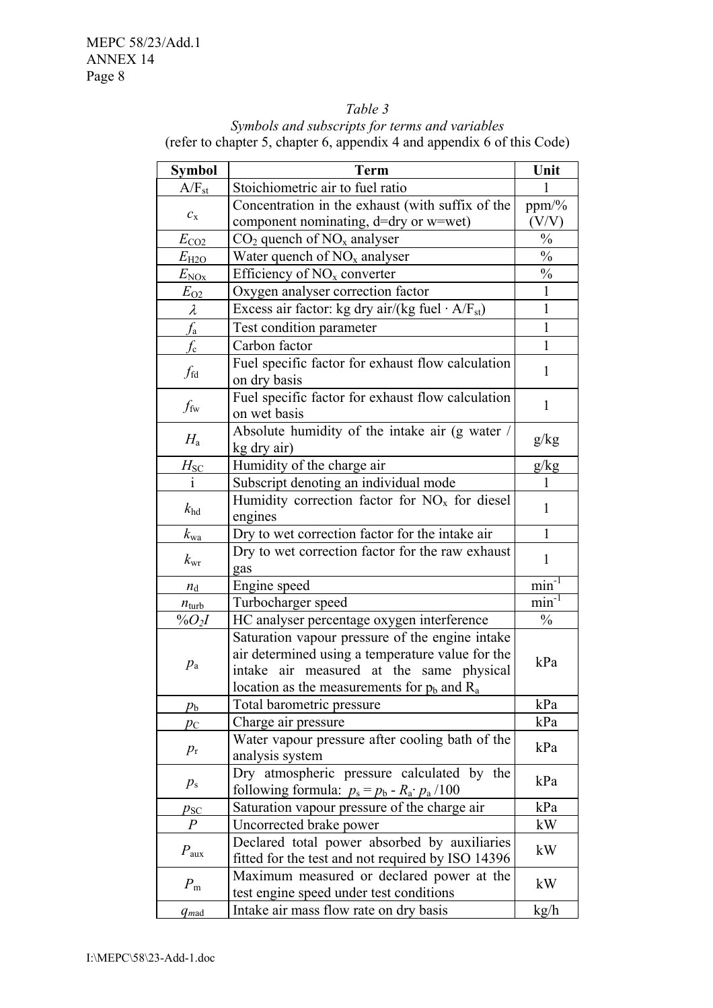#### *Table 3*

*Symbols and subscripts for terms and variables*  (refer to chapter 5, chapter 6, appendix 4 and appendix 6 of this Code)

| Symbol            | <b>Term</b>                                                        | Unit          |
|-------------------|--------------------------------------------------------------------|---------------|
| $A/F_{st}$        | Stoichiometric air to fuel ratio                                   | 1             |
|                   | Concentration in the exhaust (with suffix of the                   | ppm/%         |
| $C_{\rm X}$       | component nominating, d=dry or w=wet)                              | (V/V)         |
| $E_{\text{CO2}}$  | $CO2$ quench of NO <sub>x</sub> analyser                           | $\frac{0}{0}$ |
| $E_{\text{H2O}}$  | Water quench of $NOx$ analyser                                     | $\frac{0}{0}$ |
| $E_{\rm NOx}$     | Efficiency of $NOx$ converter                                      | $\frac{0}{0}$ |
| $E_{\rm O2}$      | Oxygen analyser correction factor                                  | 1             |
| $\lambda$         | Excess air factor: kg dry air/(kg fuel $\cdot$ A/F <sub>st</sub> ) | $\mathbf{1}$  |
| $f_{\rm a}$       | Test condition parameter                                           | $\mathbf{1}$  |
| $f_{\rm c}$       | Carbon factor                                                      | 1             |
|                   | Fuel specific factor for exhaust flow calculation                  |               |
| $f_{\rm fd}$      | on dry basis                                                       | 1             |
|                   | Fuel specific factor for exhaust flow calculation                  |               |
| $f_{\rm fw}$      | on wet basis                                                       | $\mathbf{1}$  |
|                   | Absolute humidity of the intake air (g water /                     |               |
| $H_{\rm a}$       | kg dry air)                                                        | g/kg          |
| $H_{\rm SC}$      | Humidity of the charge air                                         | g/kg          |
| 1                 | Subscript denoting an individual mode                              |               |
|                   | Humidity correction factor for $NOx$ for diesel                    | $\mathbf{1}$  |
| $k_{\rm hd}$      | engines                                                            |               |
| $k_{\rm wa}$      | Dry to wet correction factor for the intake air                    | $\mathbf{1}$  |
| $k_{\rm wr}$      | Dry to wet correction factor for the raw exhaust                   | 1             |
|                   | gas                                                                |               |
| $n_{\rm d}$       | Engine speed                                                       | $min^{-1}$    |
| $n_{\text{turb}}$ | Turbocharger speed                                                 | $min^{-1}$    |
| $%O_{2}I$         | HC analyser percentage oxygen interference                         | $\frac{0}{0}$ |
|                   | Saturation vapour pressure of the engine intake                    |               |
| $p_{\rm a}$       | air determined using a temperature value for the                   | kPa           |
|                   | air measured at the same physical<br>intake                        |               |
|                   | location as the measurements for $p_b$ and $R_a$                   |               |
| $p_{\rm b}$       | Total barometric pressure                                          | kPa           |
| $p_{\rm C}$       | Charge air pressure                                                | kPa           |
| $p_{\rm r}$       | Water vapour pressure after cooling bath of the                    | kPa           |
|                   | analysis system                                                    |               |
| $p_{\rm s}$       | Dry atmospheric pressure calculated by the                         | kPa           |
|                   | following formula: $p_s = p_b - R_a \cdot p_a / 100$               |               |
| $p_{\rm SC}$      | Saturation vapour pressure of the charge air                       | kPa           |
| $\boldsymbol{P}$  | Uncorrected brake power                                            | kW            |
| $P_{\text{aux}}$  | Declared total power absorbed by auxiliaries                       | kW            |
|                   | fitted for the test and not required by ISO 14396                  |               |
| $P_{\rm m}$       | Maximum measured or declared power at the                          | kW            |
|                   | test engine speed under test conditions                            |               |
| $q_{mad}$         | Intake air mass flow rate on dry basis                             | kg/h          |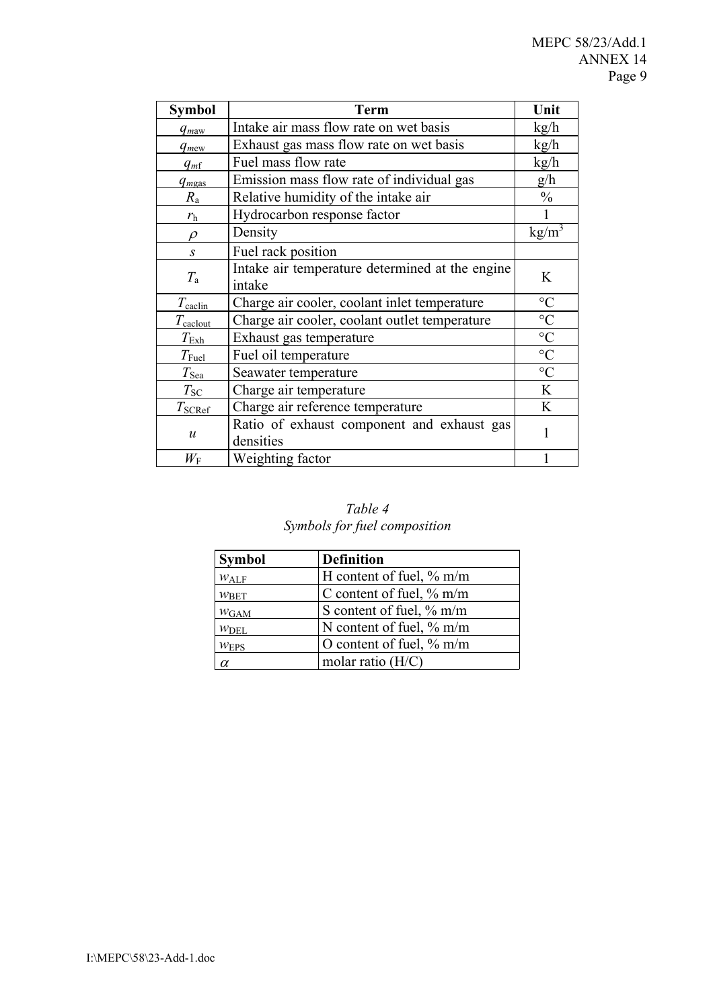| <b>Symbol</b>         | Term                                                      | Unit              |
|-----------------------|-----------------------------------------------------------|-------------------|
| $q_{maw}$             | Intake air mass flow rate on wet basis                    | kg/h              |
| $q_{\text{mew}}$      | Exhaust gas mass flow rate on wet basis                   | kg/h              |
| $q_{m}$               | Fuel mass flow rate                                       | kg/h              |
| $q_{mgas}$            | Emission mass flow rate of individual gas                 | g/h               |
| $R_{\rm a}$           | Relative humidity of the intake air                       | $\frac{0}{0}$     |
| $r_{\rm h}$           | Hydrocarbon response factor                               |                   |
| $\rho$                | Density                                                   | kg/m <sup>3</sup> |
| $\mathcal{S}$         | Fuel rack position                                        |                   |
| $T_{\rm a}$           | Intake air temperature determined at the engine<br>intake | K                 |
| $T_{\text{cachi}}$    | Charge air cooler, coolant inlet temperature              | $\rm ^{\circ}C$   |
| $T_{\text{calclout}}$ | Charge air cooler, coolant outlet temperature             | $\rm ^{\circ}C$   |
| $T_{\rm Exh}$         | Exhaust gas temperature                                   | $\rm ^{\circ}C$   |
| $T_{\rm{Full}}$       | Fuel oil temperature                                      | $\rm ^{\circ}C$   |
| $T_{\rm{Sea}}$        | Seawater temperature                                      | $\rm ^{\circ}C$   |
| $T_{\text{SC}}$       | Charge air temperature                                    | K                 |
| $T_{\text{SCRef}}$    | Charge air reference temperature                          | K                 |
| $\boldsymbol{u}$      | Ratio of exhaust component and exhaust gas<br>densities   | 1                 |
| $W_{\rm F}$           | Weighting factor                                          |                   |

# *Table 4 Symbols for fuel composition*

| <b>Symbol</b>    | <b>Definition</b>           |
|------------------|-----------------------------|
| $W_{\text{ALF}}$ | H content of fuel, $\%$ m/m |
| W <sub>BET</sub> | C content of fuel, $\%$ m/m |
| $W_{GAM}$        | S content of fuel, % m/m    |
| $W$ DEL          | N content of fuel, $\%$ m/m |
| W <u>EPS</u>     | O content of fuel, $\%$ m/m |
| $\alpha$         | molar ratio $(H/C)$         |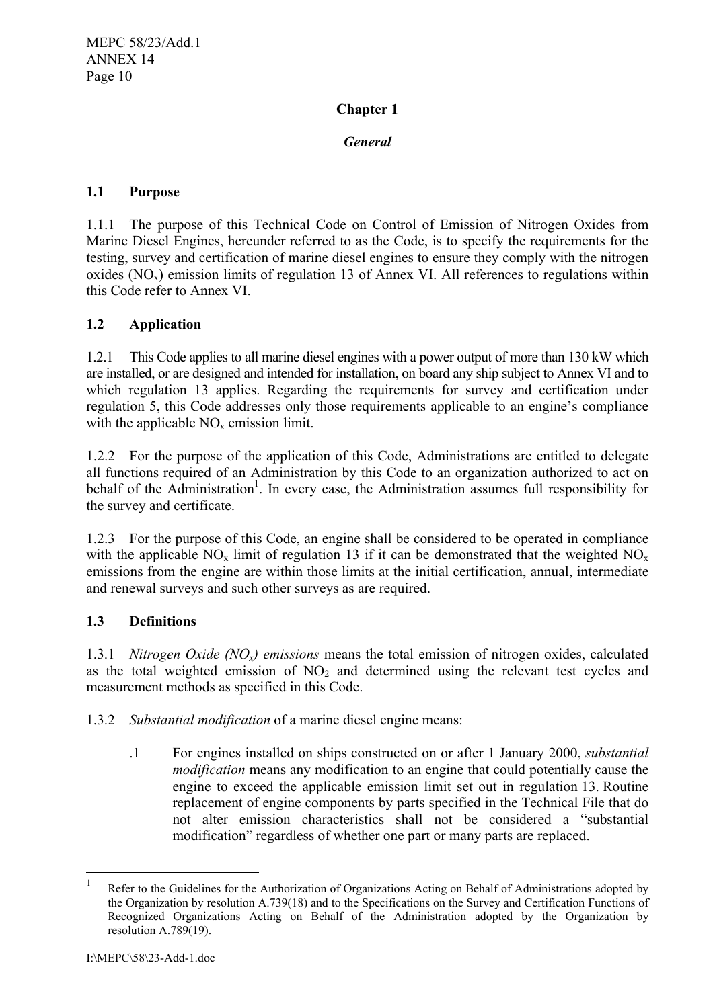# **Chapter 1**

# *General*

# **1.1 Purpose**

1.1.1 The purpose of this Technical Code on Control of Emission of Nitrogen Oxides from Marine Diesel Engines, hereunder referred to as the Code, is to specify the requirements for the testing, survey and certification of marine diesel engines to ensure they comply with the nitrogen oxides  $(NO_x)$  emission limits of regulation 13 of Annex VI. All references to regulations within this Code refer to Annex VI.

# **1.2 Application**

1.2.1 This Code applies to all marine diesel engines with a power output of more than 130 kW which are installed, or are designed and intended for installation, on board any ship subject to Annex VI and to which regulation 13 applies. Regarding the requirements for survey and certification under regulation 5, this Code addresses only those requirements applicable to an engine's compliance with the applicable  $NO<sub>x</sub>$  emission limit.

1.2.2 For the purpose of the application of this Code, Administrations are entitled to delegate all functions required of an Administration by this Code to an organization authorized to act on behalf of the Administration<sup>1</sup>. In every case, the Administration assumes full responsibility for the survey and certificate.

1.2.3 For the purpose of this Code, an engine shall be considered to be operated in compliance with the applicable  $NO_x$  limit of regulation 13 if it can be demonstrated that the weighted  $NO_x$ emissions from the engine are within those limits at the initial certification, annual, intermediate and renewal surveys and such other surveys as are required.

# **1.3 Definitions**

1.3.1 *Nitrogen Oxide (NOx) emissions* means the total emission of nitrogen oxides, calculated as the total weighted emission of  $NO<sub>2</sub>$  and determined using the relevant test cycles and measurement methods as specified in this Code.

1.3.2 *Substantial modification* of a marine diesel engine means:

.1 For engines installed on ships constructed on or after 1 January 2000, *substantial modification* means any modification to an engine that could potentially cause the engine to exceed the applicable emission limit set out in regulation 13. Routine replacement of engine components by parts specified in the Technical File that do not alter emission characteristics shall not be considered a "substantial modification" regardless of whether one part or many parts are replaced.

 $\frac{1}{1}$ Refer to the Guidelines for the Authorization of Organizations Acting on Behalf of Administrations adopted by the Organization by resolution A.739(18) and to the Specifications on the Survey and Certification Functions of Recognized Organizations Acting on Behalf of the Administration adopted by the Organization by resolution A.789(19).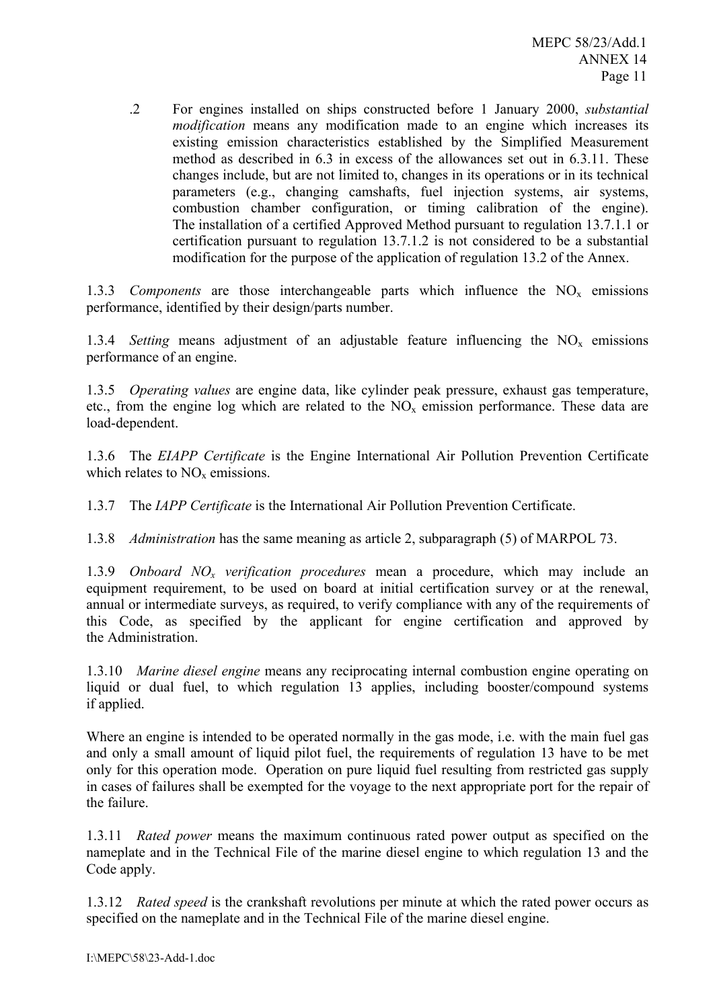.2 For engines installed on ships constructed before 1 January 2000, *substantial modification* means any modification made to an engine which increases its existing emission characteristics established by the Simplified Measurement method as described in 6.3 in excess of the allowances set out in 6.3.11. These changes include, but are not limited to, changes in its operations or in its technical parameters (e.g., changing camshafts, fuel injection systems, air systems, combustion chamber configuration, or timing calibration of the engine). The installation of a certified Approved Method pursuant to regulation 13.7.1.1 or certification pursuant to regulation 13.7.1.2 is not considered to be a substantial modification for the purpose of the application of regulation 13.2 of the Annex.

1.3.3 *Components* are those interchangeable parts which influence the  $NO<sub>x</sub>$  emissions performance, identified by their design/parts number.

1.3.4 *Setting* means adjustment of an adjustable feature influencing the  $NO<sub>x</sub>$  emissions performance of an engine.

1.3.5 *Operating values* are engine data, like cylinder peak pressure, exhaust gas temperature, etc., from the engine log which are related to the  $NO<sub>x</sub>$  emission performance. These data are load-dependent.

1.3.6 The *EIAPP Certificate* is the Engine International Air Pollution Prevention Certificate which relates to  $NO<sub>x</sub>$  emissions.

1.3.7 The *IAPP Certificate* is the International Air Pollution Prevention Certificate.

1.3.8 *Administration* has the same meaning as article 2, subparagraph (5) of MARPOL 73.

1.3.9 *Onboard NOx verification procedures* mean a procedure, which may include an equipment requirement, to be used on board at initial certification survey or at the renewal, annual or intermediate surveys, as required, to verify compliance with any of the requirements of this Code, as specified by the applicant for engine certification and approved by the Administration.

1.3.10 *Marine diesel engine* means any reciprocating internal combustion engine operating on liquid or dual fuel, to which regulation 13 applies, including booster/compound systems if applied.

Where an engine is intended to be operated normally in the gas mode, i.e. with the main fuel gas and only a small amount of liquid pilot fuel, the requirements of regulation 13 have to be met only for this operation mode. Operation on pure liquid fuel resulting from restricted gas supply in cases of failures shall be exempted for the voyage to the next appropriate port for the repair of the failure.

1.3.11 *Rated power* means the maximum continuous rated power output as specified on the nameplate and in the Technical File of the marine diesel engine to which regulation 13 and the Code apply.

1.3.12 *Rated speed* is the crankshaft revolutions per minute at which the rated power occurs as specified on the nameplate and in the Technical File of the marine diesel engine.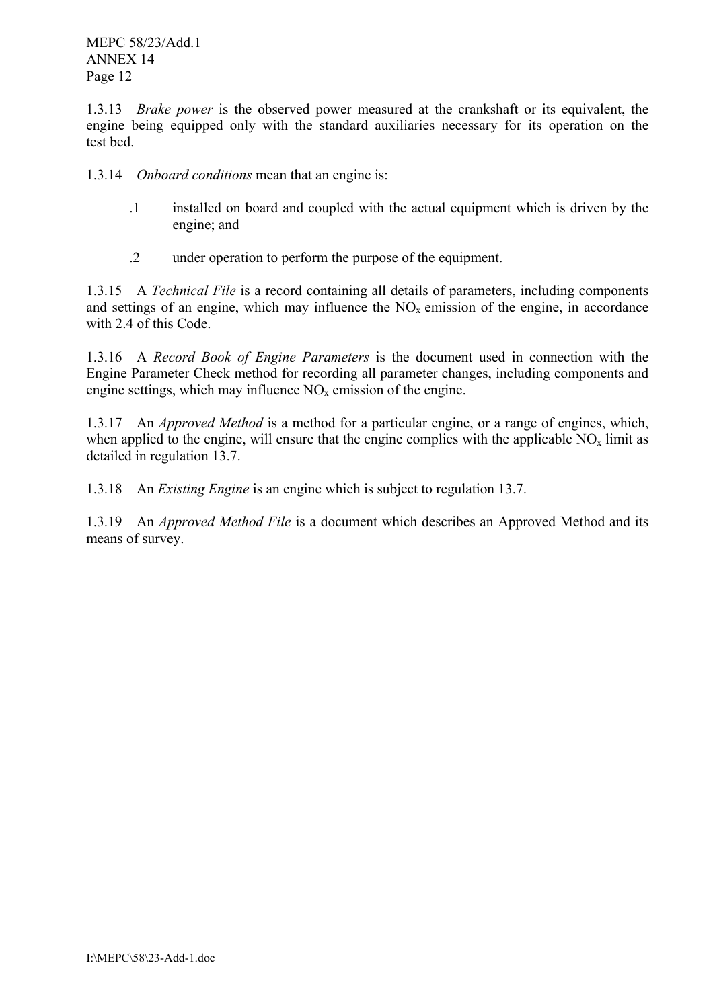1.3.13 *Brake power* is the observed power measured at the crankshaft or its equivalent, the engine being equipped only with the standard auxiliaries necessary for its operation on the test bed.

1.3.14 *Onboard conditions* mean that an engine is:

- .1 installed on board and coupled with the actual equipment which is driven by the engine; and
- .2 under operation to perform the purpose of the equipment.

1.3.15 A *Technical File* is a record containing all details of parameters, including components and settings of an engine, which may influence the  $NO<sub>x</sub>$  emission of the engine, in accordance with 2.4 of this Code.

1.3.16 A *Record Book of Engine Parameters* is the document used in connection with the Engine Parameter Check method for recording all parameter changes, including components and engine settings, which may influence  $NO<sub>x</sub>$  emission of the engine.

1.3.17 An *Approved Method* is a method for a particular engine, or a range of engines, which, when applied to the engine, will ensure that the engine complies with the applicable  $NO<sub>x</sub>$  limit as detailed in regulation 13.7.

1.3.18 An *Existing Engine* is an engine which is subject to regulation 13.7.

1.3.19 An *Approved Method File* is a document which describes an Approved Method and its means of survey.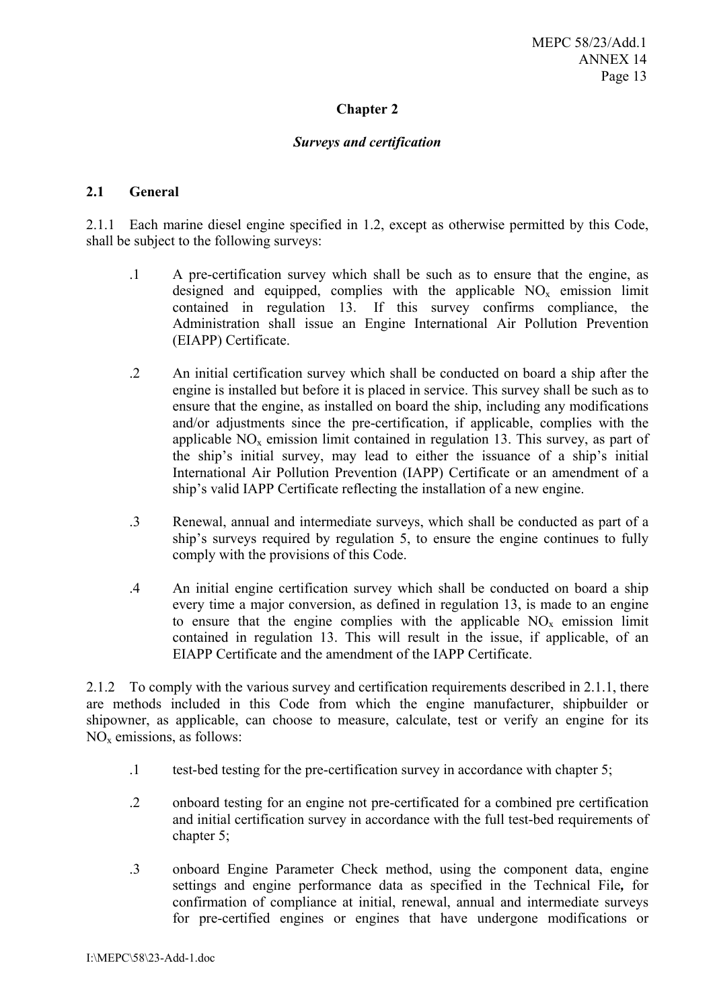# **Chapter 2**

#### *Surveys and certification*

#### **2.1 General**

2.1.1 Each marine diesel engine specified in 1.2, except as otherwise permitted by this Code, shall be subject to the following surveys:

- .1 A pre-certification survey which shall be such as to ensure that the engine, as designed and equipped, complies with the applicable  $NO<sub>x</sub>$  emission limit contained in regulation 13. If this survey confirms compliance, the Administration shall issue an Engine International Air Pollution Prevention (EIAPP) Certificate.
- .2 An initial certification survey which shall be conducted on board a ship after the engine is installed but before it is placed in service. This survey shall be such as to ensure that the engine, as installed on board the ship, including any modifications and/or adjustments since the pre-certification, if applicable, complies with the applicable  $NO<sub>x</sub>$  emission limit contained in regulation 13. This survey, as part of the ship's initial survey, may lead to either the issuance of a ship's initial International Air Pollution Prevention (IAPP) Certificate or an amendment of a ship's valid IAPP Certificate reflecting the installation of a new engine.
- .3 Renewal, annual and intermediate surveys, which shall be conducted as part of a ship's surveys required by regulation 5, to ensure the engine continues to fully comply with the provisions of this Code.
- .4 An initial engine certification survey which shall be conducted on board a ship every time a major conversion, as defined in regulation 13, is made to an engine to ensure that the engine complies with the applicable  $NO<sub>x</sub>$  emission limit contained in regulation 13. This will result in the issue, if applicable, of an EIAPP Certificate and the amendment of the IAPP Certificate.

shipowner, as applicable, can choose to measure, calculate, test or verify an engine for its 2.1.2 To comply with the various survey and certification requirements described in 2.1.1, there are methods included in this Code from which the engine manufacturer, shipbuilder or NOx emissions, as follows:

- .1 test-bed testing for the pre-certification survey in accordance with chapter 5;
- .2 onboard testing for an engine not pre-certificated for a combined pre certification and initial certification survey in accordance with the full test-bed requirements of chapter 5;
- .3 onboard Engine Parameter Check method, using the component data, engine settings and engine performance data as specified in the Technical File*,* for confirmation of compliance at initial, renewal, annual and intermediate surveys for pre-certified engines or engines that have undergone modifications or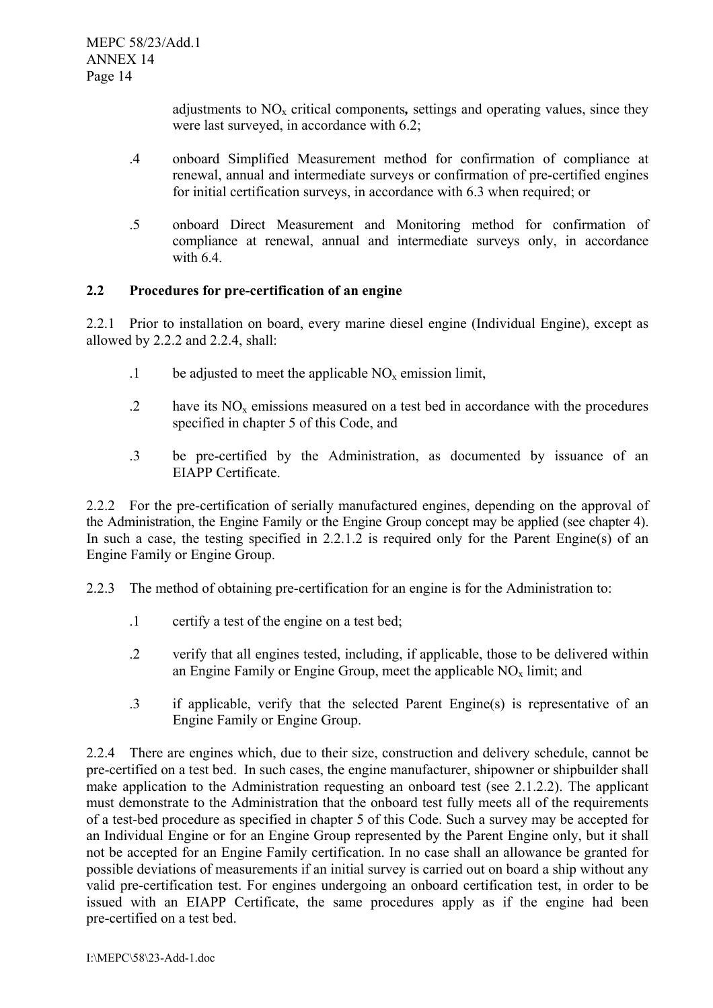adjustments to NO<sub>x</sub> critical components, settings and operating values, since they were last surveyed, in accordance with 6.2;

- .4 onboard Simplified Measurement method for confirmation of compliance at renewal, annual and intermediate surveys or confirmation of pre-certified engines for initial certification surveys, in accordance with 6.3 when required; or
- .5 onboard Direct Measurement and Monitoring method for confirmation of compliance at renewal, annual and intermediate surveys only, in accordance with  $6.4$

# **2.2 Procedures for pre-certification of an engine**

2.2.1 Prior to installation on board, every marine diesel engine (Individual Engine), except as allowed by 2.2.2 and 2.2.4, shall:

- $1$  be adjusted to meet the applicable NO<sub>x</sub> emission limit,
- $\Omega$  have its NO<sub>x</sub> emissions measured on a test bed in accordance with the procedures specified in chapter 5 of this Code, and
- .3 be pre-certified by the Administration, as documented by issuance of an EIAPP Certificate.

2.2.2 For the pre-certification of serially manufactured engines, depending on the approval of the Administration, the Engine Family or the Engine Group concept may be applied (see chapter 4). In such a case, the testing specified in 2.2.1.2 is required only for the Parent Engine(s) of an Engine Family or Engine Group.

- 2.2.3 The method of obtaining pre-certification for an engine is for the Administration to:
	- .1 certify a test of the engine on a test bed;
	- .2 verify that all engines tested, including, if applicable, those to be delivered within an Engine Family or Engine Group, meet the applicable  $NO<sub>x</sub>$  limit; and
	- .3 if applicable, verify that the selected Parent Engine(s) is representative of an Engine Family or Engine Group.

2.2.4 There are engines which, due to their size, construction and delivery schedule, cannot be pre-certified on a test bed. In such cases, the engine manufacturer, shipowner or shipbuilder shall make application to the Administration requesting an onboard test (see 2.1.2.2). The applicant must demonstrate to the Administration that the onboard test fully meets all of the requirements of a test-bed procedure as specified in chapter 5 of this Code. Such a survey may be accepted for an Individual Engine or for an Engine Group represented by the Parent Engine only, but it shall not be accepted for an Engine Family certification. In no case shall an allowance be granted for possible deviations of measurements if an initial survey is carried out on board a ship without any valid pre-certification test. For engines undergoing an onboard certification test, in order to be issued with an EIAPP Certificate, the same procedures apply as if the engine had been pre-certified on a test bed.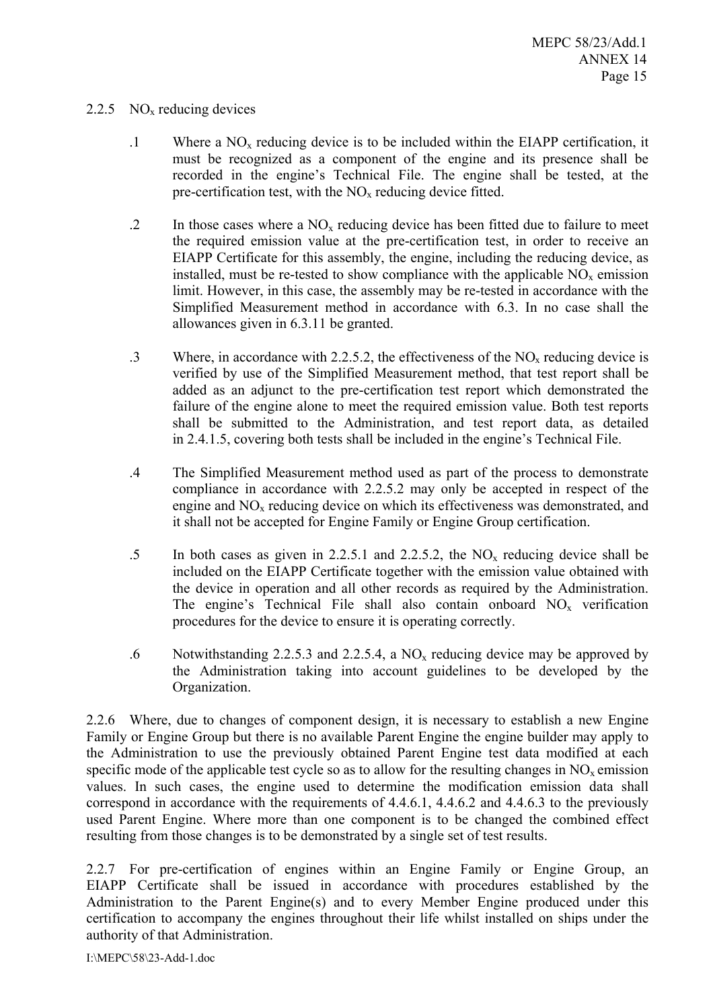#### 2.2.5  $NO<sub>x</sub>$  reducing devices

- $1$  Where a NO<sub>x</sub> reducing device is to be included within the EIAPP certification, it must be recognized as a component of the engine and its presence shall be recorded in the engine's Technical File. The engine shall be tested, at the pre-certification test, with the  $NO<sub>x</sub>$  reducing device fitted.
- .2 In those cases where a  $NO<sub>x</sub>$  reducing device has been fitted due to failure to meet the required emission value at the pre-certification test, in order to receive an EIAPP Certificate for this assembly, the engine, including the reducing device, as installed, must be re-tested to show compliance with the applicable  $NO<sub>x</sub>$  emission limit. However, in this case, the assembly may be re-tested in accordance with the Simplified Measurement method in accordance with 6.3. In no case shall the allowances given in 6.3.11 be granted.
- .3 Where, in accordance with 2.2.5.2, the effectiveness of the  $NO<sub>x</sub>$  reducing device is verified by use of the Simplified Measurement method, that test report shall be added as an adjunct to the pre-certification test report which demonstrated the failure of the engine alone to meet the required emission value. Both test reports shall be submitted to the Administration, and test report data, as detailed in 2.4.1.5, covering both tests shall be included in the engine's Technical File.
- .4 The Simplified Measurement method used as part of the process to demonstrate compliance in accordance with 2.2.5.2 may only be accepted in respect of the engine and  $NO<sub>x</sub>$  reducing device on which its effectiveness was demonstrated, and it shall not be accepted for Engine Family or Engine Group certification.
- .5 In both cases as given in 2.2.5.1 and 2.2.5.2, the NOx reducing device shall be included on the EIAPP Certificate together with the emission value obtained with the device in operation and all other records as required by the Administration. The engine's Technical File shall also contain onboard  $NO<sub>x</sub>$  verification procedures for the device to ensure it is operating correctly.
- .6 Notwithstanding 2.2.5.3 and 2.2.5.4, a  $NO<sub>x</sub>$  reducing device may be approved by the Administration taking into account guidelines to be developed by the Organization.

2.2.6 Where, due to changes of component design, it is necessary to establish a new Engine Family or Engine Group but there is no available Parent Engine the engine builder may apply to the Administration to use the previously obtained Parent Engine test data modified at each specific mode of the applicable test cycle so as to allow for the resulting changes in  $NO<sub>x</sub>$  emission values. In such cases, the engine used to determine the modification emission data shall correspond in accordance with the requirements of 4.4.6.1, 4.4.6.2 and 4.4.6.3 to the previously used Parent Engine. Where more than one component is to be changed the combined effect resulting from those changes is to be demonstrated by a single set of test results.

2.2.7 For pre-certification of engines within an Engine Family or Engine Group, an EIAPP Certificate shall be issued in accordance with procedures established by the Administration to the Parent Engine(s) and to every Member Engine produced under this certification to accompany the engines throughout their life whilst installed on ships under the authority of that Administration.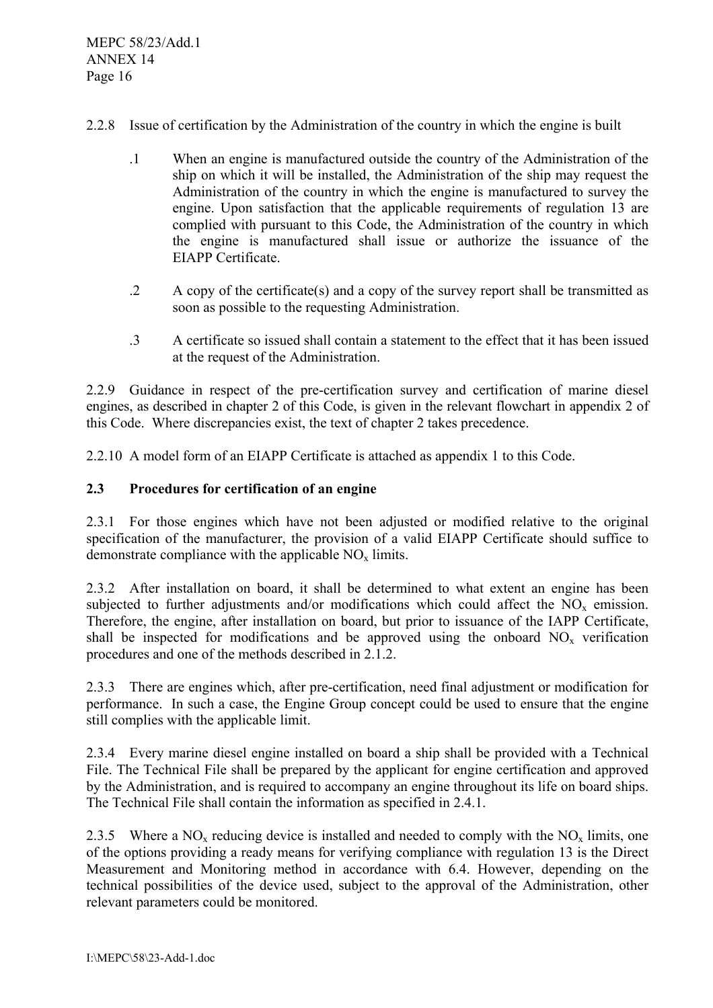- 2.2.8 Issue of certification by the Administration of the country in which the engine is built
	- .1 When an engine is manufactured outside the country of the Administration of the ship on which it will be installed, the Administration of the ship may request the Administration of the country in which the engine is manufactured to survey the engine. Upon satisfaction that the applicable requirements of regulation 13 are complied with pursuant to this Code, the Administration of the country in which the engine is manufactured shall issue or authorize the issuance of the EIAPP Certificate.
	- .2 A copy of the certificate(s) and a copy of the survey report shall be transmitted as soon as possible to the requesting Administration.
	- .3 A certificate so issued shall contain a statement to the effect that it has been issued at the request of the Administration.

2.2.9 Guidance in respect of the pre-certification survey and certification of marine diesel engines, as described in chapter 2 of this Code, is given in the relevant flowchart in appendix 2 of this Code. Where discrepancies exist, the text of chapter 2 takes precedence.

2.2.10 A model form of an EIAPP Certificate is attached as appendix 1 to this Code.

# **2.3 Procedures for certification of an engine**

2.3.1 For those engines which have not been adjusted or modified relative to the original specification of the manufacturer, the provision of a valid EIAPP Certificate should suffice to demonstrate compliance with the applicable  $NO<sub>x</sub>$  limits.

2.3.2 After installation on board, it shall be determined to what extent an engine has been subjected to further adjustments and/or modifications which could affect the  $NO<sub>x</sub>$  emission. Therefore, the engine, after installation on board, but prior to issuance of the IAPP Certificate, shall be inspected for modifications and be approved using the onboard  $NO<sub>x</sub>$  verification procedures and one of the methods described in 2.1.2.

2.3.3 There are engines which, after pre-certification, need final adjustment or modification for performance. In such a case, the Engine Group concept could be used to ensure that the engine still complies with the applicable limit.

2.3.4 Every marine diesel engine installed on board a ship shall be provided with a Technical File. The Technical File shall be prepared by the applicant for engine certification and approved by the Administration, and is required to accompany an engine throughout its life on board ships. The Technical File shall contain the information as specified in 2.4.1.

2.3.5 Where a NO<sub>x</sub> reducing device is installed and needed to comply with the NO<sub>x</sub> limits, one of the options providing a ready means for verifying compliance with regulation 13 is the Direct Measurement and Monitoring method in accordance with 6.4. However, depending on the technical possibilities of the device used, subject to the approval of the Administration, other relevant parameters could be monitored.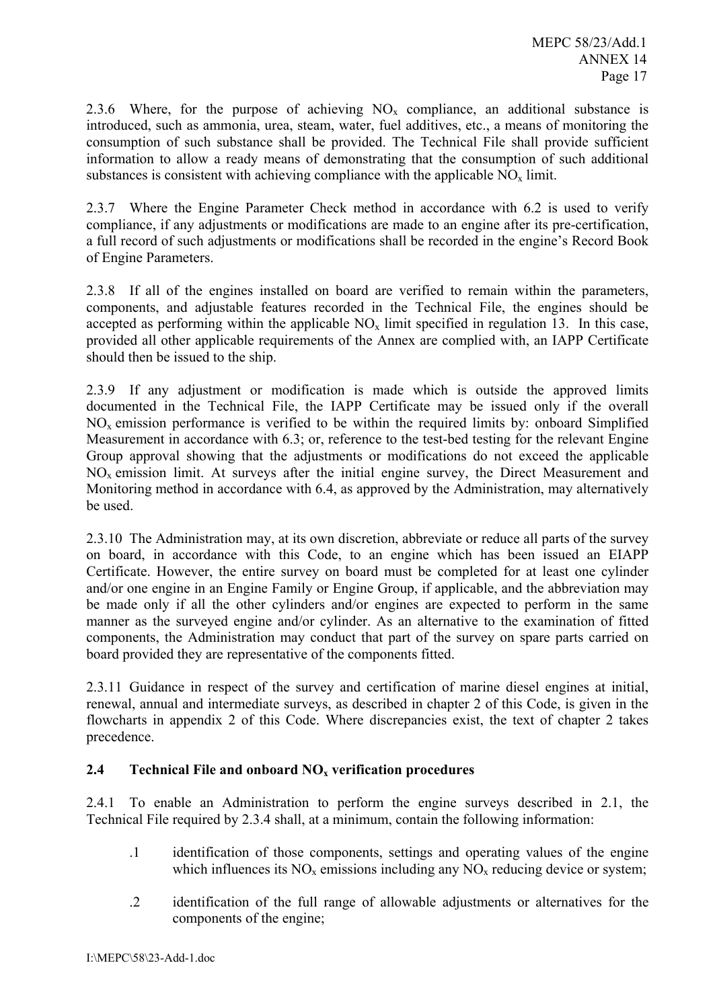2.3.6 Where, for the purpose of achieving  $NO<sub>x</sub>$  compliance, an additional substance is introduced, such as ammonia, urea, steam, water, fuel additives, etc., a means of monitoring the consumption of such substance shall be provided. The Technical File shall provide sufficient information to allow a ready means of demonstrating that the consumption of such additional substances is consistent with achieving compliance with the applicable  $NO<sub>x</sub>$  limit.

2.3.7 Where the Engine Parameter Check method in accordance with 6.2 is used to verify compliance, if any adjustments or modifications are made to an engine after its pre-certification, a full record of such adjustments or modifications shall be recorded in the engine's Record Book of Engine Parameters.

2.3.8 If all of the engines installed on board are verified to remain within the parameters, components, and adjustable features recorded in the Technical File, the engines should be accepted as performing within the applicable  $NO<sub>x</sub>$  limit specified in regulation 13. In this case, provided all other applicable requirements of the Annex are complied with, an IAPP Certificate should then be issued to the ship.

2.3.9 If any adjustment or modification is made which is outside the approved limits documented in the Technical File, the IAPP Certificate may be issued only if the overall  $NO<sub>x</sub>$  emission performance is verified to be within the required limits by: onboard Simplified Measurement in accordance with 6.3; or, reference to the test-bed testing for the relevant Engine Group approval showing that the adjustments or modifications do not exceed the applicable  $NO<sub>x</sub>$  emission limit. At surveys after the initial engine survey, the Direct Measurement and Monitoring method in accordance with 6.4, as approved by the Administration, may alternatively be used.

2.3.10 The Administration may, at its own discretion, abbreviate or reduce all parts of the survey on board, in accordance with this Code, to an engine which has been issued an EIAPP Certificate. However, the entire survey on board must be completed for at least one cylinder and/or one engine in an Engine Family or Engine Group, if applicable, and the abbreviation may be made only if all the other cylinders and/or engines are expected to perform in the same manner as the surveyed engine and/or cylinder. As an alternative to the examination of fitted components, the Administration may conduct that part of the survey on spare parts carried on board provided they are representative of the components fitted.

2.3.11 Guidance in respect of the survey and certification of marine diesel engines at initial, renewal, annual and intermediate surveys, as described in chapter 2 of this Code, is given in the flowcharts in appendix 2 of this Code. Where discrepancies exist, the text of chapter 2 takes precedence.

# **2.4 Technical File and onboard NOx verification procedures**

2.4.1 To enable an Administration to perform the engine surveys described in 2.1, the Technical File required by 2.3.4 shall, at a minimum, contain the following information:

- .1 identification of those components, settings and operating values of the engine which influences its  $NO<sub>x</sub>$  emissions including any  $NO<sub>x</sub>$  reducing device or system;
- .2 identification of the full range of allowable adjustments or alternatives for the components of the engine;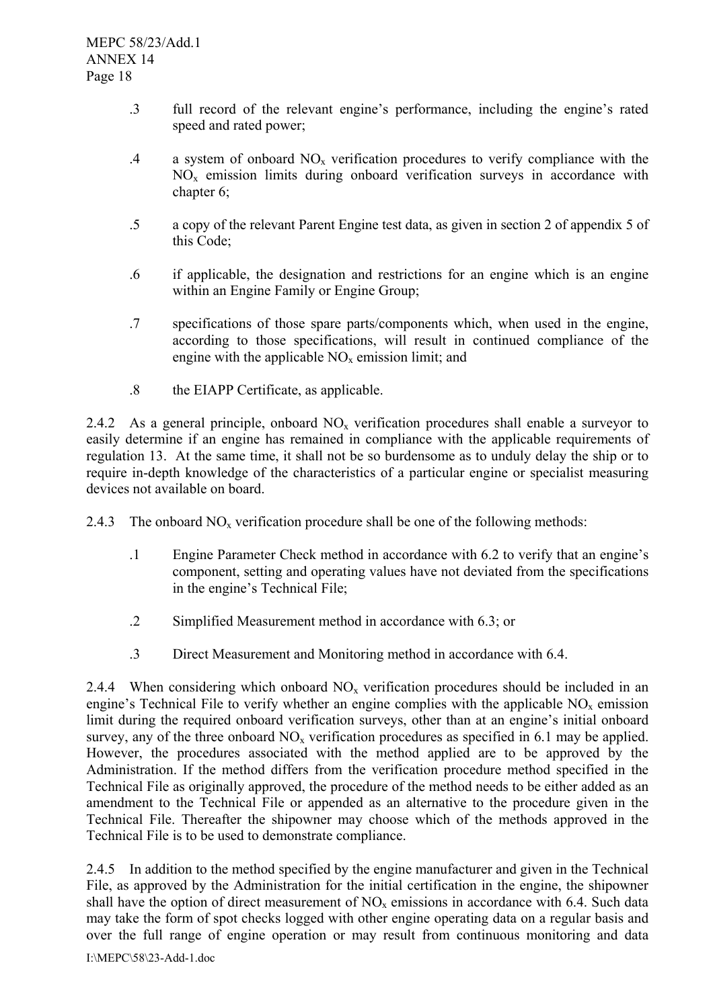- .3 full record of the relevant engine's performance, including the engine's rated speed and rated power;
- .4 a system of onboard  $NO<sub>x</sub>$  verification procedures to verify compliance with the  $NO<sub>x</sub>$  emission limits during onboard verification surveys in accordance with chapter 6:
- .5 a copy of the relevant Parent Engine test data, as given in section 2 of appendix 5 of this Code;
- .6 if applicable, the designation and restrictions for an engine which is an engine within an Engine Family or Engine Group;
- .7 specifications of those spare parts/components which, when used in the engine, according to those specifications, will result in continued compliance of the engine with the applicable  $NO<sub>x</sub>$  emission limit; and
- .8 the EIAPP Certificate, as applicable.

2.4.2 As a general principle, onboard  $NO<sub>x</sub>$  verification procedures shall enable a surveyor to easily determine if an engine has remained in compliance with the applicable requirements of regulation 13. At the same time, it shall not be so burdensome as to unduly delay the ship or to require in-depth knowledge of the characteristics of a particular engine or specialist measuring devices not available on board.

- 2.4.3 The onboard  $NO<sub>x</sub>$  verification procedure shall be one of the following methods:
	- .1 Engine Parameter Check method in accordance with 6.2 to verify that an engine's component, setting and operating values have not deviated from the specifications in the engine's Technical File;
	- .2 Simplified Measurement method in accordance with 6.3; or
	- .3 Direct Measurement and Monitoring method in accordance with 6.4.

2.4.4 When considering which onboard  $NO<sub>x</sub>$  verification procedures should be included in an engine's Technical File to verify whether an engine complies with the applicable  $NO<sub>x</sub>$  emission limit during the required onboard verification surveys, other than at an engine's initial onboard survey, any of the three onboard  $NO<sub>x</sub>$  verification procedures as specified in 6.1 may be applied. However, the procedures associated with the method applied are to be approved by the Administration. If the method differs from the verification procedure method specified in the Technical File as originally approved, the procedure of the method needs to be either added as an amendment to the Technical File or appended as an alternative to the procedure given in the Technical File. Thereafter the shipowner may choose which of the methods approved in the Technical File is to be used to demonstrate compliance.

2.4.5 In addition to the method specified by the engine manufacturer and given in the Technical File, as approved by the Administration for the initial certification in the engine, the shipowner shall have the option of direct measurement of  $NO<sub>x</sub>$  emissions in accordance with 6.4. Such data may take the form of spot checks logged with other engine operating data on a regular basis and over the full range of engine operation or may result from continuous monitoring and data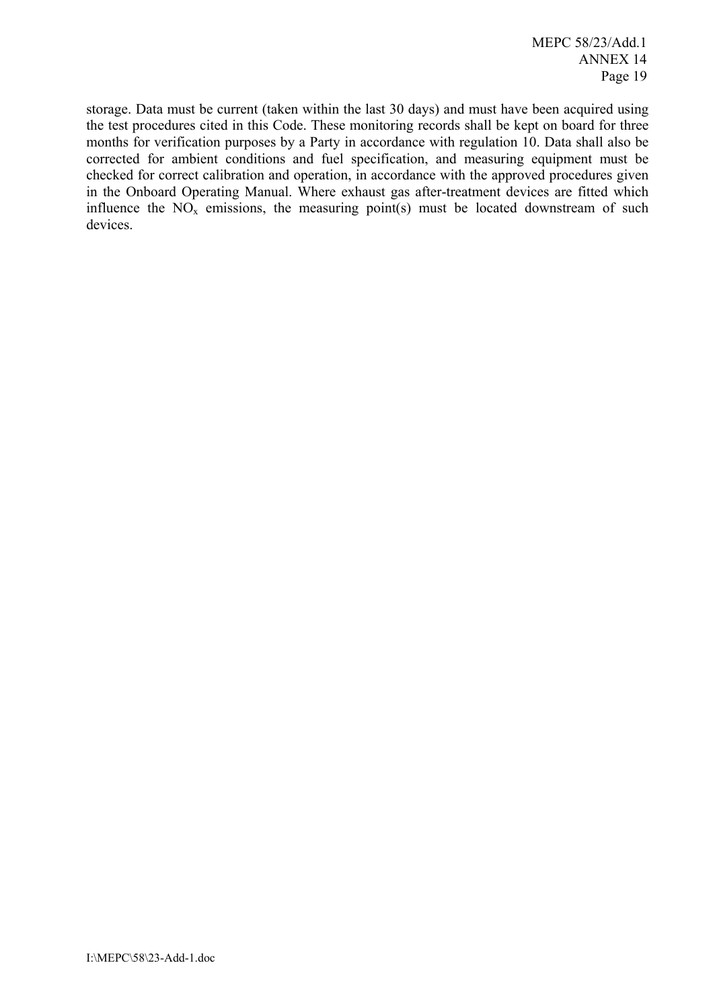storage. Data must be current (taken within the last 30 days) and must have been acquired using the test procedures cited in this Code. These monitoring records shall be kept on board for three months for verification purposes by a Party in accordance with regulation 10. Data shall also be corrected for ambient conditions and fuel specification, and measuring equipment must be checked for correct calibration and operation, in accordance with the approved procedures given in the Onboard Operating Manual. Where exhaust gas after-treatment devices are fitted which influence the  $NO<sub>x</sub>$  emissions, the measuring point(s) must be located downstream of such devices.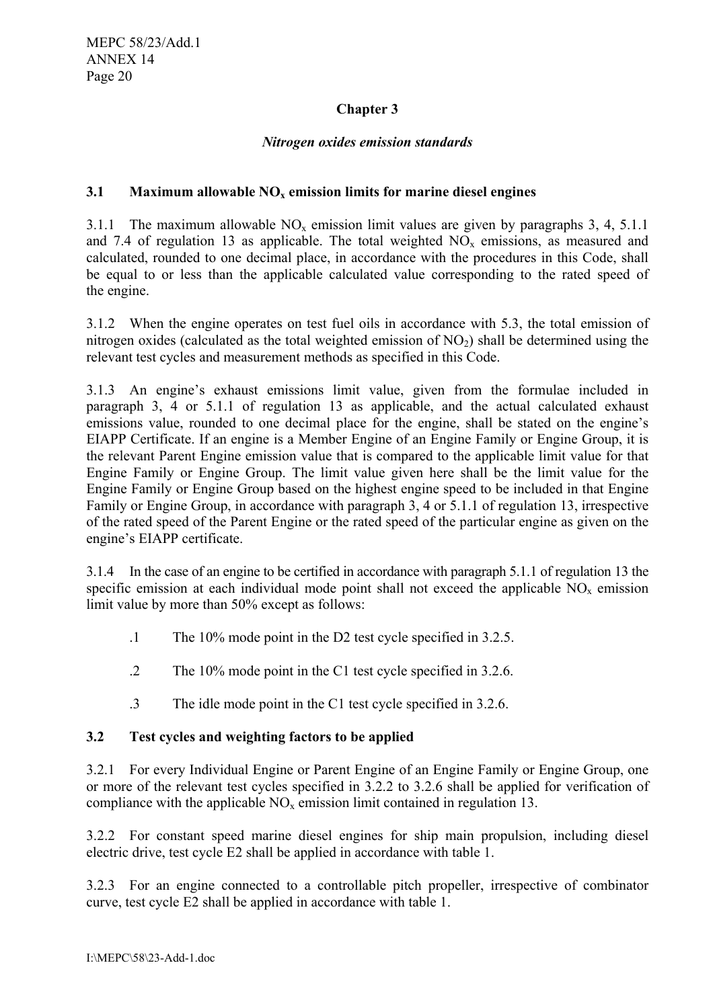# **Chapter 3**

#### *Nitrogen oxides emission standards*

#### **3.1** Maximum allowable NO<sub>x</sub> emission limits for marine diesel engines

3.1.1 The maximum allowable  $NO<sub>x</sub>$  emission limit values are given by paragraphs 3, 4, 5.1.1 and 7.4 of regulation 13 as applicable. The total weighted  $NO<sub>x</sub>$  emissions, as measured and calculated, rounded to one decimal place, in accordance with the procedures in this Code, shall be equal to or less than the applicable calculated value corresponding to the rated speed of the engine.

3.1.2 When the engine operates on test fuel oils in accordance with 5.3, the total emission of nitrogen oxides (calculated as the total weighted emission of  $NO<sub>2</sub>$ ) shall be determined using the relevant test cycles and measurement methods as specified in this Code.

3.1.3 An engine's exhaust emissions limit value, given from the formulae included in paragraph 3, 4 or 5.1.1 of regulation 13 as applicable, and the actual calculated exhaust emissions value, rounded to one decimal place for the engine, shall be stated on the engine's EIAPP Certificate. If an engine is a Member Engine of an Engine Family or Engine Group, it is the relevant Parent Engine emission value that is compared to the applicable limit value for that Engine Family or Engine Group. The limit value given here shall be the limit value for the Engine Family or Engine Group based on the highest engine speed to be included in that Engine Family or Engine Group, in accordance with paragraph 3, 4 or 5.1.1 of regulation 13, irrespective of the rated speed of the Parent Engine or the rated speed of the particular engine as given on the engine's EIAPP certificate.

3.1.4 In the case of an engine to be certified in accordance with paragraph 5.1.1 of regulation 13 the specific emission at each individual mode point shall not exceed the applicable  $NO<sub>x</sub>$  emission limit value by more than 50% except as follows:

- .1 The 10% mode point in the D2 test cycle specified in 3.2.5.
- .2 The 10% mode point in the C1 test cycle specified in 3.2.6.
- .3 The idle mode point in the C1 test cycle specified in 3.2.6.

# **3.2 Test cycles and weighting factors to be applied**

3.2.1 For every Individual Engine or Parent Engine of an Engine Family or Engine Group, one or more of the relevant test cycles specified in 3.2.2 to 3.2.6 shall be applied for verification of compliance with the applicable  $NO<sub>x</sub>$  emission limit contained in regulation 13.

3.2.2 For constant speed marine diesel engines for ship main propulsion, including diesel electric drive, test cycle E2 shall be applied in accordance with table 1.

3.2.3 For an engine connected to a controllable pitch propeller, irrespective of combinator curve, test cycle E2 shall be applied in accordance with table 1.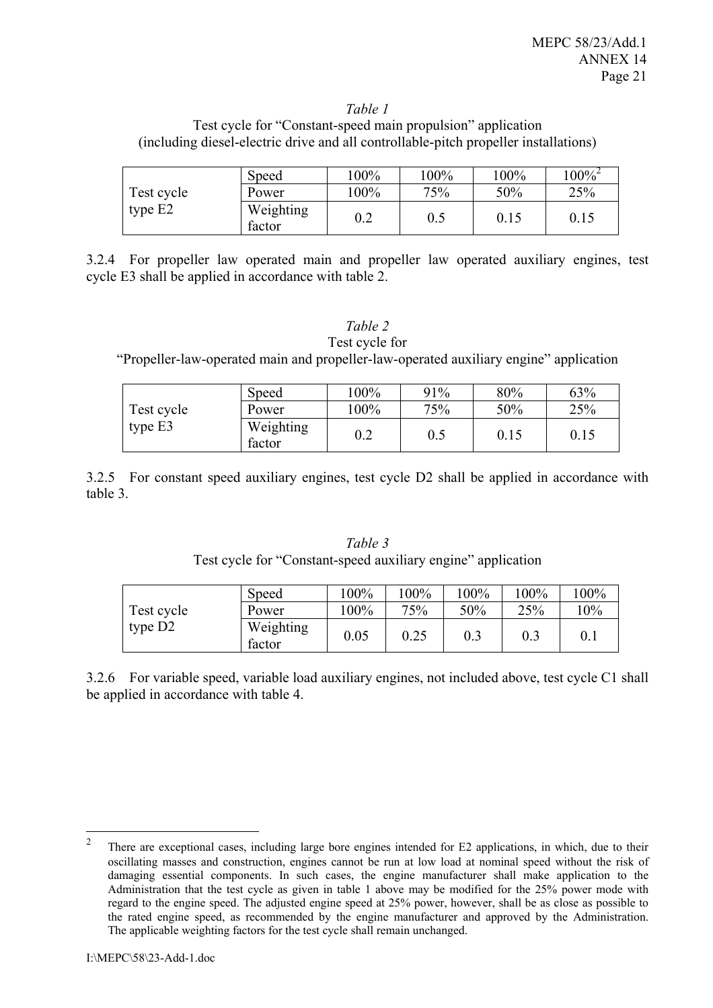#### *Table 1*

Test cycle for "Constant-speed main propulsion" application (including diesel-electric drive and all controllable-pitch propeller installations)

|            | Speed               | $00\%$ | 100% | 100% | $100\%^{2}$ |
|------------|---------------------|--------|------|------|-------------|
| Test cycle | Power               | $00\%$ | 75%  | 50%  | 25%         |
| type E2    | Weighting<br>factor | 0.2    |      | 0.15 | 0.15        |

3.2.4 For propeller law operated main and propeller law operated auxiliary engines, test cycle E3 shall be applied in accordance with table 2.

#### *Table 2*

Test cycle for "Propeller-law-operated main and propeller-law-operated auxiliary engine" application

|            | Speed               | $100\%$ | 91% | 80%  | 63%  |
|------------|---------------------|---------|-----|------|------|
| Test cycle | Power               | $100\%$ | 75% | 50%  | 25%  |
| type $E3$  | Weighting<br>factor | 0.2     | 0.5 | 0.15 | 0.15 |

3.2.5 For constant speed auxiliary engines, test cycle D2 shall be applied in accordance with table 3.

|            | Speed               | 100% | 100% | 100% | $100\%$ | 100% |
|------------|---------------------|------|------|------|---------|------|
| Test cycle | Power               | 100% | 75%  | 50%  | 25%     | 10%  |
| type D2    | Weighting<br>factor | 0.05 | 0.25 | 0.3  | 0.3     | 0.1  |

*Table 3*  Test cycle for "Constant-speed auxiliary engine" application

3.2.6 For variable speed, variable load auxiliary engines, not included above, test cycle C1 shall be applied in accordance with table 4.

 $\overline{2}$ <sup>2</sup> There are exceptional cases, including large bore engines intended for E2 applications, in which, due to their oscillating masses and construction, engines cannot be run at low load at nominal speed without the risk of damaging essential components. In such cases, the engine manufacturer shall make application to the Administration that the test cycle as given in table 1 above may be modified for the 25% power mode with regard to the engine speed. The adjusted engine speed at 25% power, however, shall be as close as possible to the rated engine speed, as recommended by the engine manufacturer and approved by the Administration. The applicable weighting factors for the test cycle shall remain unchanged.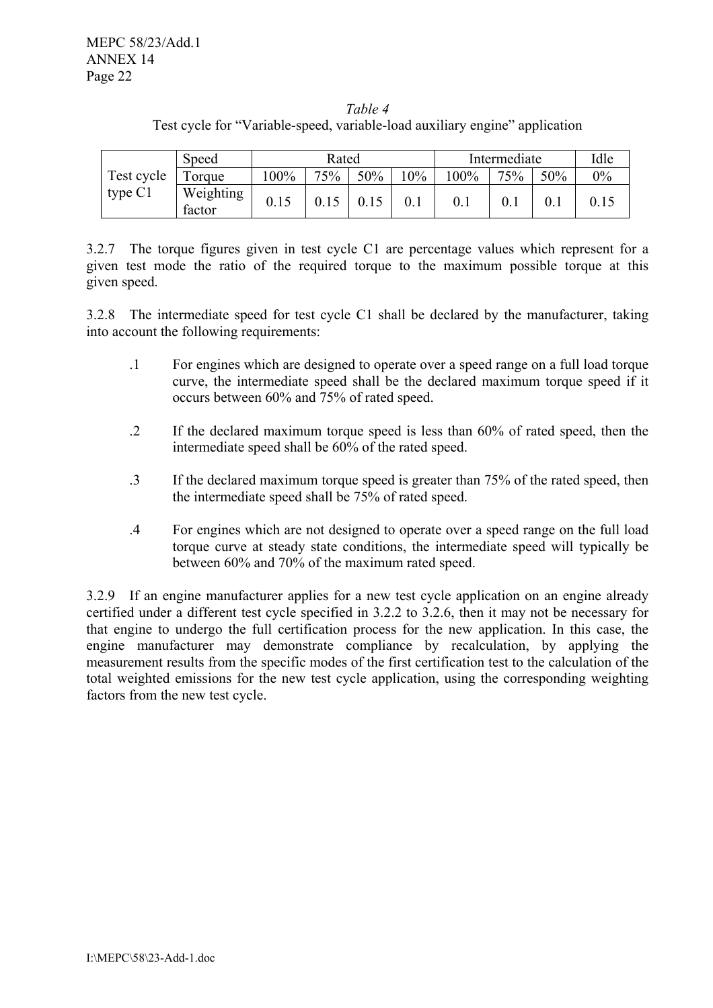# *Table 4*  Test cycle for "Variable-speed, variable-load auxiliary engine" application

|            | Speed               | Rated   |     |     | Intermediate |      |     | Idle |       |
|------------|---------------------|---------|-----|-----|--------------|------|-----|------|-------|
| Test cycle | Torque              | $100\%$ | 75% | 50% | 10%          | 100% | 75% | 50%  | $0\%$ |
| type $C1$  | Weighting<br>factor | 0.15    |     |     |              |      |     |      |       |

3.2.7 The torque figures given in test cycle C1 are percentage values which represent for a given test mode the ratio of the required torque to the maximum possible torque at this given speed.

3.2.8 The intermediate speed for test cycle C1 shall be declared by the manufacturer, taking into account the following requirements:

- .1 For engines which are designed to operate over a speed range on a full load torque curve, the intermediate speed shall be the declared maximum torque speed if it occurs between 60% and 75% of rated speed.
- .2 If the declared maximum torque speed is less than 60% of rated speed, then the intermediate speed shall be 60% of the rated speed.
- .3 If the declared maximum torque speed is greater than 75% of the rated speed, then the intermediate speed shall be 75% of rated speed.
- .4 For engines which are not designed to operate over a speed range on the full load torque curve at steady state conditions, the intermediate speed will typically be between 60% and 70% of the maximum rated speed.

3.2.9 If an engine manufacturer applies for a new test cycle application on an engine already certified under a different test cycle specified in 3.2.2 to 3.2.6, then it may not be necessary for that engine to undergo the full certification process for the new application. In this case, the engine manufacturer may demonstrate compliance by recalculation, by applying the measurement results from the specific modes of the first certification test to the calculation of the total weighted emissions for the new test cycle application, using the corresponding weighting factors from the new test cycle.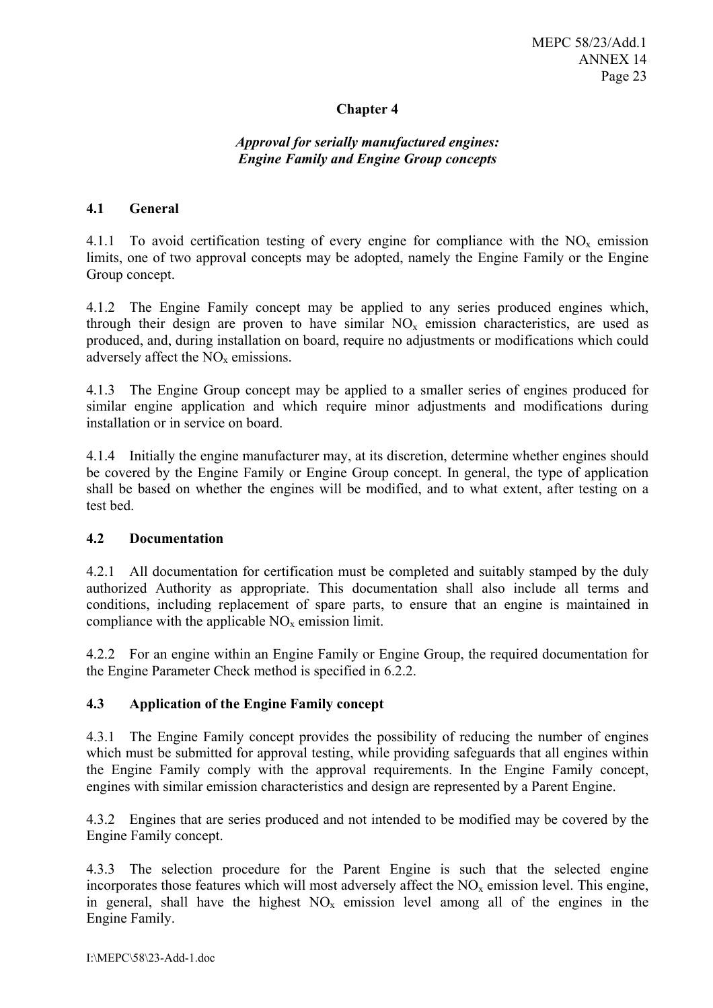# **Chapter 4**

# *Approval for serially manufactured engines: Engine Family and Engine Group concepts*

#### **4.1 General**

4.1.1 To avoid certification testing of every engine for compliance with the  $NO<sub>x</sub>$  emission limits, one of two approval concepts may be adopted, namely the Engine Family or the Engine Group concept.

4.1.2 The Engine Family concept may be applied to any series produced engines which, through their design are proven to have similar  $NO<sub>x</sub>$  emission characteristics, are used as produced, and, during installation on board, require no adjustments or modifications which could adversely affect the  $NO<sub>x</sub>$  emissions.

4.1.3 The Engine Group concept may be applied to a smaller series of engines produced for similar engine application and which require minor adjustments and modifications during installation or in service on board.

4.1.4 Initially the engine manufacturer may, at its discretion, determine whether engines should be covered by the Engine Family or Engine Group concept. In general, the type of application shall be based on whether the engines will be modified, and to what extent, after testing on a test bed.

#### **4.2 Documentation**

4.2.1 All documentation for certification must be completed and suitably stamped by the duly authorized Authority as appropriate. This documentation shall also include all terms and conditions, including replacement of spare parts, to ensure that an engine is maintained in compliance with the applicable  $NO<sub>x</sub>$  emission limit.

4.2.2 For an engine within an Engine Family or Engine Group, the required documentation for the Engine Parameter Check method is specified in 6.2.2.

# **4.3 Application of the Engine Family concept**

4.3.1 The Engine Family concept provides the possibility of reducing the number of engines which must be submitted for approval testing, while providing safeguards that all engines within the Engine Family comply with the approval requirements. In the Engine Family concept, engines with similar emission characteristics and design are represented by a Parent Engine.

4.3.2 Engines that are series produced and not intended to be modified may be covered by the Engine Family concept.

4.3.3 The selection procedure for the Parent Engine is such that the selected engine incorporates those features which will most adversely affect the  $NO<sub>x</sub>$  emission level. This engine, in general, shall have the highest  $NO<sub>x</sub>$  emission level among all of the engines in the Engine Family.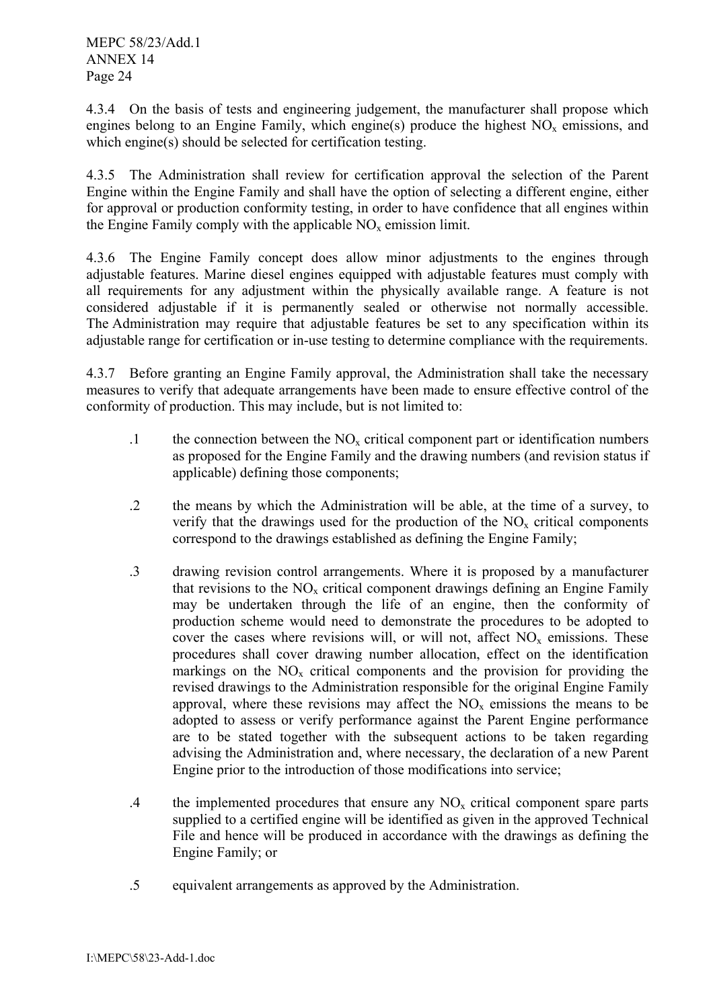4.3.4 On the basis of tests and engineering judgement, the manufacturer shall propose which engines belong to an Engine Family, which engine(s) produce the highest  $NO<sub>x</sub>$  emissions, and which engine(s) should be selected for certification testing.

4.3.5 The Administration shall review for certification approval the selection of the Parent Engine within the Engine Family and shall have the option of selecting a different engine, either for approval or production conformity testing, in order to have confidence that all engines within the Engine Family comply with the applicable  $NO<sub>x</sub>$  emission limit.

4.3.6 The Engine Family concept does allow minor adjustments to the engines through adjustable features. Marine diesel engines equipped with adjustable features must comply with all requirements for any adjustment within the physically available range. A feature is not considered adjustable if it is permanently sealed or otherwise not normally accessible. The Administration may require that adjustable features be set to any specification within its adjustable range for certification or in-use testing to determine compliance with the requirements.

4.3.7 Before granting an Engine Family approval, the Administration shall take the necessary measures to verify that adequate arrangements have been made to ensure effective control of the conformity of production. This may include, but is not limited to:

- .1 the connection between the  $NO<sub>x</sub>$  critical component part or identification numbers as proposed for the Engine Family and the drawing numbers (and revision status if applicable) defining those components;
- .2 the means by which the Administration will be able, at the time of a survey, to verify that the drawings used for the production of the  $NO<sub>x</sub>$  critical components correspond to the drawings established as defining the Engine Family;
- .3 drawing revision control arrangements. Where it is proposed by a manufacturer that revisions to the  $NO<sub>x</sub>$  critical component drawings defining an Engine Family may be undertaken through the life of an engine, then the conformity of production scheme would need to demonstrate the procedures to be adopted to cover the cases where revisions will, or will not, affect  $NO<sub>x</sub>$  emissions. These procedures shall cover drawing number allocation, effect on the identification markings on the  $NO<sub>x</sub>$  critical components and the provision for providing the revised drawings to the Administration responsible for the original Engine Family approval, where these revisions may affect the  $NO<sub>x</sub>$  emissions the means to be adopted to assess or verify performance against the Parent Engine performance are to be stated together with the subsequent actions to be taken regarding advising the Administration and, where necessary, the declaration of a new Parent Engine prior to the introduction of those modifications into service;
- .4 the implemented procedures that ensure any  $NO<sub>x</sub>$  critical component spare parts supplied to a certified engine will be identified as given in the approved Technical File and hence will be produced in accordance with the drawings as defining the Engine Family; or
- .5 equivalent arrangements as approved by the Administration.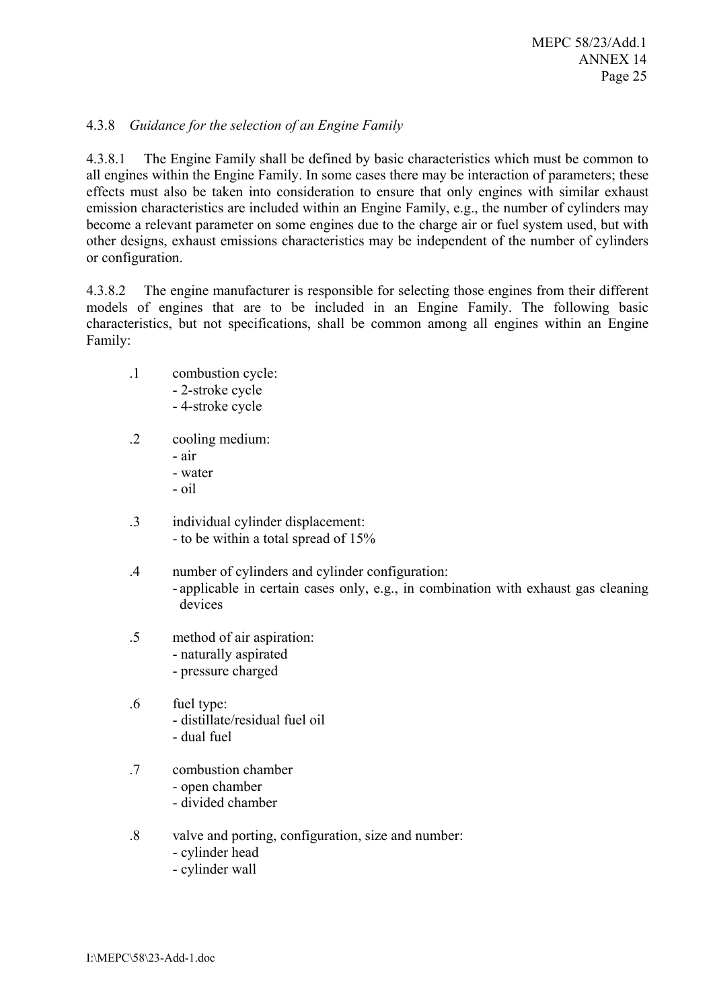# 4.3.8 *Guidance for the selection of an Engine Family*

4.3.8.1 The Engine Family shall be defined by basic characteristics which must be common to all engines within the Engine Family. In some cases there may be interaction of parameters; these effects must also be taken into consideration to ensure that only engines with similar exhaust emission characteristics are included within an Engine Family, e.g., the number of cylinders may become a relevant parameter on some engines due to the charge air or fuel system used, but with other designs, exhaust emissions characteristics may be independent of the number of cylinders or configuration.

4.3.8.2 The engine manufacturer is responsible for selecting those engines from their different models of engines that are to be included in an Engine Family. The following basic characteristics, but not specifications, shall be common among all engines within an Engine Family:

- .1 combustion cycle:
	- 2-stroke cycle - 4-stroke cycle
- .2 cooling medium:
	- air
	- water
	- oil
- .3 individual cylinder displacement: - to be within a total spread of 15%
- .4 number of cylinders and cylinder configuration: - applicable in certain cases only, e.g., in combination with exhaust gas cleaning devices
- .5 method of air aspiration:
	- naturally aspirated
	- pressure charged
- .6 fuel type: - distillate/residual fuel oil - dual fuel
- .7 combustion chamber
	- open chamber
	- divided chamber
- .8 valve and porting, configuration, size and number:
	- cylinder head
	- cylinder wall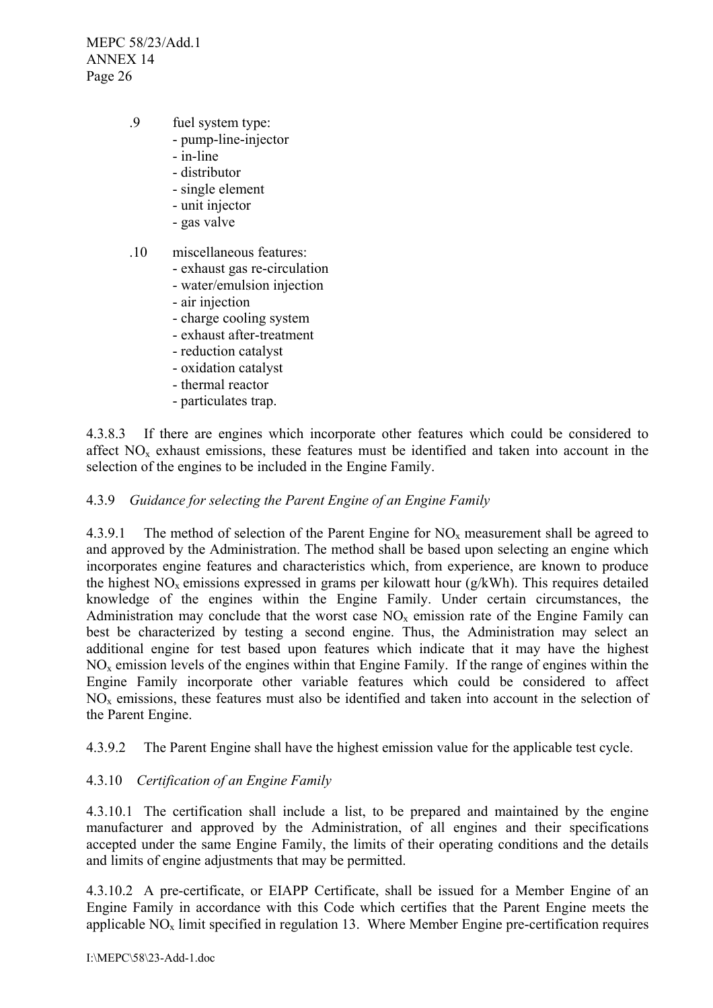- .9 fuel system type:
	- pump-line-injector
	- in-line
	- distributor
	- single element
	- unit injector
	- gas valve
- .10 miscellaneous features:
	- exhaust gas re-circulation
	- water/emulsion injection
	- air injection
	- charge cooling system
	- exhaust after-treatment
	- reduction catalyst
	- oxidation catalyst
	- thermal reactor
	- particulates trap.

4.3.8.3 If there are engines which incorporate other features which could be considered to affect  $NO<sub>x</sub>$  exhaust emissions, these features must be identified and taken into account in the selection of the engines to be included in the Engine Family.

#### 4.3.9 *Guidance for selecting the Parent Engine of an Engine Family*

4.3.9.1 The method of selection of the Parent Engine for  $NO<sub>x</sub>$  measurement shall be agreed to and approved by the Administration. The method shall be based upon selecting an engine which incorporates engine features and characteristics which, from experience, are known to produce the highest  $NO<sub>x</sub>$  emissions expressed in grams per kilowatt hour (g/kWh). This requires detailed knowledge of the engines within the Engine Family. Under certain circumstances, the Administration may conclude that the worst case  $NO<sub>x</sub>$  emission rate of the Engine Family can best be characterized by testing a second engine. Thus, the Administration may select an additional engine for test based upon features which indicate that it may have the highest  $NO<sub>x</sub>$  emission levels of the engines within that Engine Family. If the range of engines within the Engine Family incorporate other variable features which could be considered to affect  $NO<sub>x</sub>$  emissions, these features must also be identified and taken into account in the selection of the Parent Engine.

4.3.9.2 The Parent Engine shall have the highest emission value for the applicable test cycle.

# 4.3.10 *Certification of an Engine Family*

4.3.10.1 The certification shall include a list, to be prepared and maintained by the engine manufacturer and approved by the Administration, of all engines and their specifications accepted under the same Engine Family, the limits of their operating conditions and the details and limits of engine adjustments that may be permitted.

4.3.10.2 A pre-certificate, or EIAPP Certificate, shall be issued for a Member Engine of an Engine Family in accordance with this Code which certifies that the Parent Engine meets the applicable  $NO<sub>x</sub>$  limit specified in regulation 13. Where Member Engine pre-certification requires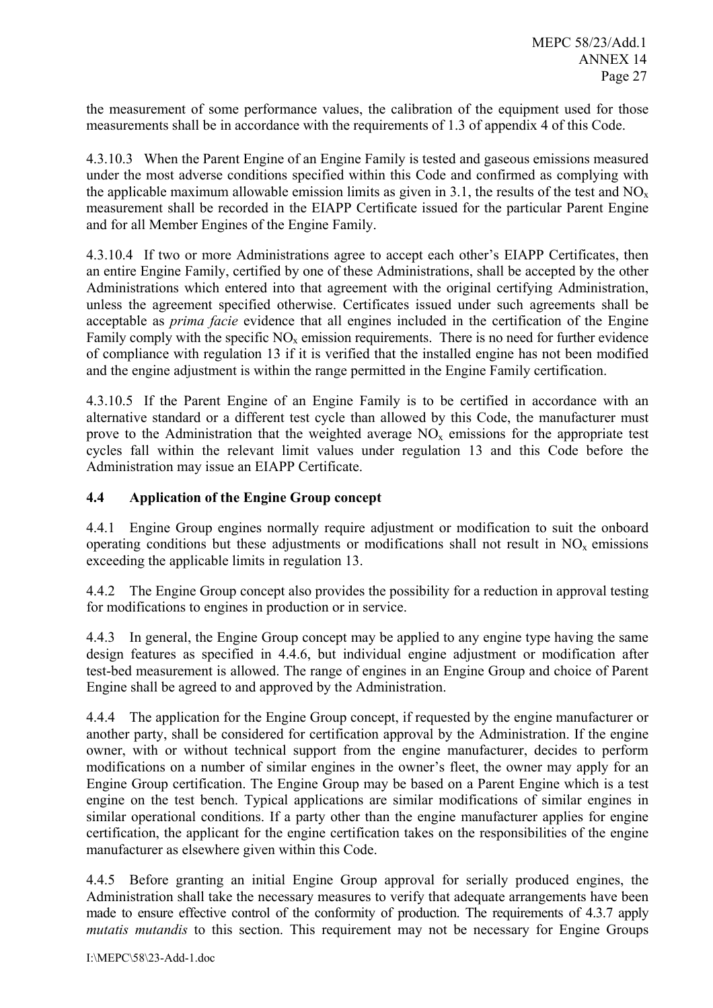the measurement of some performance values, the calibration of the equipment used for those measurements shall be in accordance with the requirements of 1.3 of appendix 4 of this Code.

4.3.10.3 When the Parent Engine of an Engine Family is tested and gaseous emissions measured under the most adverse conditions specified within this Code and confirmed as complying with the applicable maximum allowable emission limits as given in 3.1, the results of the test and  $NO<sub>x</sub>$ measurement shall be recorded in the EIAPP Certificate issued for the particular Parent Engine and for all Member Engines of the Engine Family.

4.3.10.4 If two or more Administrations agree to accept each other's EIAPP Certificates, then an entire Engine Family, certified by one of these Administrations, shall be accepted by the other Administrations which entered into that agreement with the original certifying Administration, unless the agreement specified otherwise. Certificates issued under such agreements shall be acceptable as *prima facie* evidence that all engines included in the certification of the Engine Family comply with the specific  $NO<sub>x</sub>$  emission requirements. There is no need for further evidence of compliance with regulation 13 if it is verified that the installed engine has not been modified and the engine adjustment is within the range permitted in the Engine Family certification.

4.3.10.5 If the Parent Engine of an Engine Family is to be certified in accordance with an alternative standard or a different test cycle than allowed by this Code, the manufacturer must prove to the Administration that the weighted average  $NO<sub>x</sub>$  emissions for the appropriate test cycles fall within the relevant limit values under regulation 13 and this Code before the Administration may issue an EIAPP Certificate.

# **4.4 Application of the Engine Group concept**

4.4.1 Engine Group engines normally require adjustment or modification to suit the onboard operating conditions but these adjustments or modifications shall not result in  $NO<sub>x</sub>$  emissions exceeding the applicable limits in regulation 13.

4.4.2 The Engine Group concept also provides the possibility for a reduction in approval testing for modifications to engines in production or in service.

4.4.3 In general, the Engine Group concept may be applied to any engine type having the same design features as specified in 4.4.6, but individual engine adjustment or modification after test-bed measurement is allowed. The range of engines in an Engine Group and choice of Parent Engine shall be agreed to and approved by the Administration.

4.4.4 The application for the Engine Group concept, if requested by the engine manufacturer or another party, shall be considered for certification approval by the Administration. If the engine owner, with or without technical support from the engine manufacturer, decides to perform modifications on a number of similar engines in the owner's fleet, the owner may apply for an Engine Group certification. The Engine Group may be based on a Parent Engine which is a test engine on the test bench. Typical applications are similar modifications of similar engines in similar operational conditions. If a party other than the engine manufacturer applies for engine certification, the applicant for the engine certification takes on the responsibilities of the engine manufacturer as elsewhere given within this Code.

4.4.5 Before granting an initial Engine Group approval for serially produced engines, the Administration shall take the necessary measures to verify that adequate arrangements have been made to ensure effective control of the conformity of production. The requirements of 4.3.7 apply *mutatis mutandis* to this section. This requirement may not be necessary for Engine Groups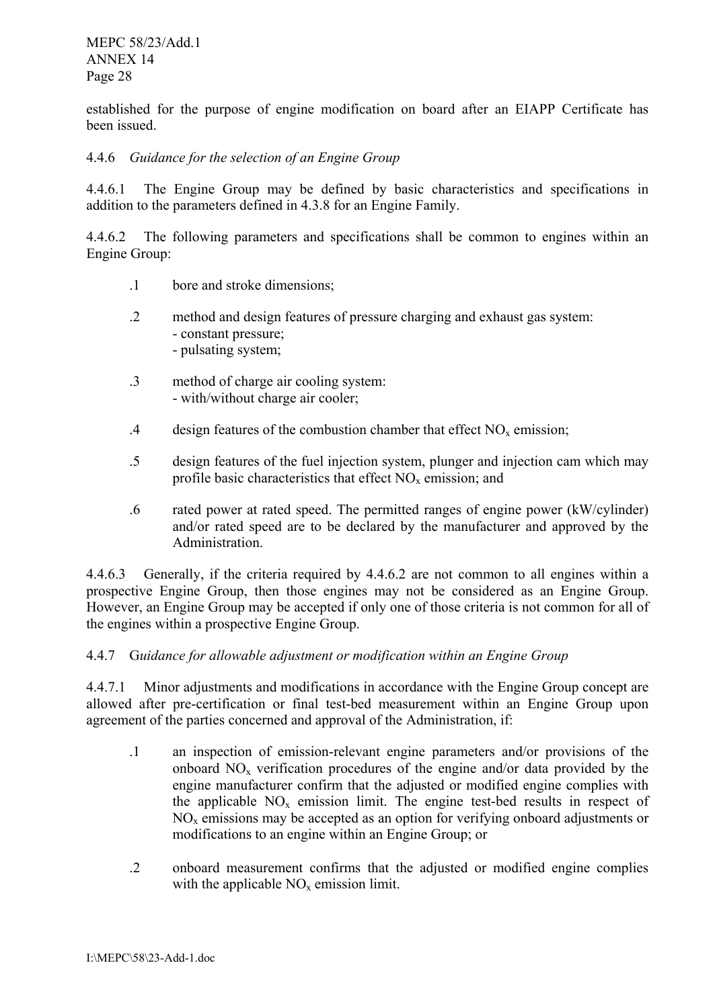established for the purpose of engine modification on board after an EIAPP Certificate has been issued.

# 4.4.6 *Guidance for the selection of an Engine Group*

4.4.6.1 The Engine Group may be defined by basic characteristics and specifications in addition to the parameters defined in 4.3.8 for an Engine Family.

4.4.6.2 The following parameters and specifications shall be common to engines within an Engine Group:

- .1 bore and stroke dimensions;
- .2 method and design features of pressure charging and exhaust gas system: - constant pressure; - pulsating system;
- .3 method of charge air cooling system: - with/without charge air cooler;
- .4 design features of the combustion chamber that effect  $NO<sub>x</sub>$  emission;
- .5 design features of the fuel injection system, plunger and injection cam which may profile basic characteristics that effect  $NO<sub>x</sub>$  emission; and
- .6 rated power at rated speed. The permitted ranges of engine power (kW/cylinder) and/or rated speed are to be declared by the manufacturer and approved by the Administration.

4.4.6.3 Generally, if the criteria required by 4.4.6.2 are not common to all engines within a However, an Engine Group may be accepted if only one of those criteria is not common for all of prospective Engine Group, then those engines may not be considered as an Engine Group. the engines within a prospective Engine Group.

# 4.4.7 G*uidance for allowable adjustment or modification within an Engine Group*

4.4.7.1 Minor adjustments and modifications in accordance with the Engine Group concept are allowed after pre-certification or final test-bed measurement within an Engine Group upon agreement of the parties concerned and approval of the Administration, if:

- the applicable  $NO<sub>x</sub>$  emission limit. The engine test-bed results in respect of .1 an inspection of emission-relevant engine parameters and/or provisions of the onboard  $NO<sub>x</sub>$  verification procedures of the engine and/or data provided by the engine manufacturer confirm that the adjusted or modified engine complies with  $NO<sub>x</sub>$  emissions may be accepted as an option for verifying onboard adjustments or modifications to an engine within an Engine Group; or
- .2 onboard measurement confirms that the adjusted or modified engine complies with the applicable  $NO<sub>x</sub>$  emission limit.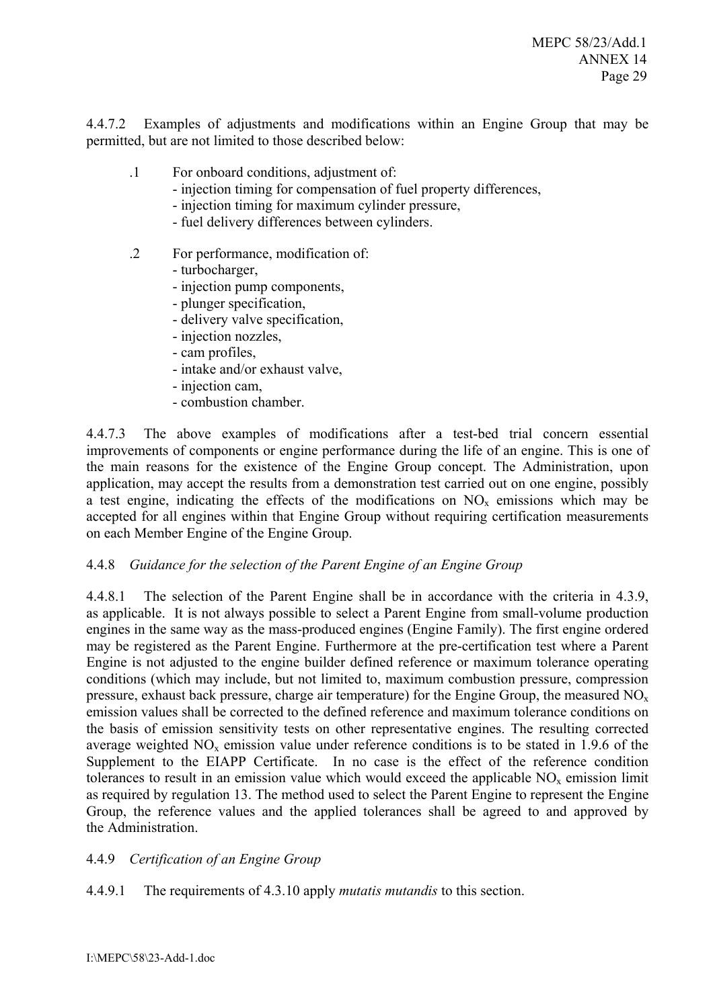4.4.7.2 Examples of adjustments and modifications within an Engine Group that may be permitted, but are not limited to those described below:

- .1 For onboard conditions, adjustment of:
	- injection timing for compensation of fuel property differences,
	- injection timing for maximum cylinder pressure,
	- fuel delivery differences between cylinders.
- .2 For performance, modification of:
	- turbocharger,
	- injection pump components,
	- plunger specification,
	- delivery valve specification,
	- injection nozzles,
	- cam profiles,
	- intake and/or exhaust valve,
	- injection cam,
	- combustion chamber.

4.4.7.3 The above examples of modifications after a test-bed trial concern essential improvements of components or engine performance during the life of an engine. This is one of the main reasons for the existence of the Engine Group concept. The Administration, upon application, may accept the results from a demonstration test carried out on one engine, possibly a test engine, indicating the effects of the modifications on  $NO<sub>x</sub>$  emissions which may be accepted for all engines within that Engine Group without requiring certification measurements on each Member Engine of the Engine Group.

#### 4.4.8 *Guidance for the selection of the Parent Engine of an Engine Group*

4.4.8.1 The selection of the Parent Engine shall be in accordance with the criteria in 4.3.9, as applicable. It is not always possible to select a Parent Engine from small-volume production engines in the same way as the mass-produced engines (Engine Family). The first engine ordered may be registered as the Parent Engine. Furthermore at the pre-certification test where a Parent Engine is not adjusted to the engine builder defined reference or maximum tolerance operating conditions (which may include, but not limited to, maximum combustion pressure, compression pressure, exhaust back pressure, charge air temperature) for the Engine Group, the measured  $NO<sub>x</sub>$ emission values shall be corrected to the defined reference and maximum tolerance conditions on the basis of emission sensitivity tests on other representative engines. The resulting corrected average weighted  $NO<sub>x</sub>$  emission value under reference conditions is to be stated in 1.9.6 of the Supplement to the EIAPP Certificate. In no case is the effect of the reference condition tolerances to result in an emission value which would exceed the applicable  $NO<sub>x</sub>$  emission limit as required by regulation 13. The method used to select the Parent Engine to represent the Engine Group, the reference values and the applied tolerances shall be agreed to and approved by the Administration.

#### 4.4.9 *Certification of an Engine Group*

4.4.9.1 The requirements of 4.3.10 apply *mutatis mutandis* to this section.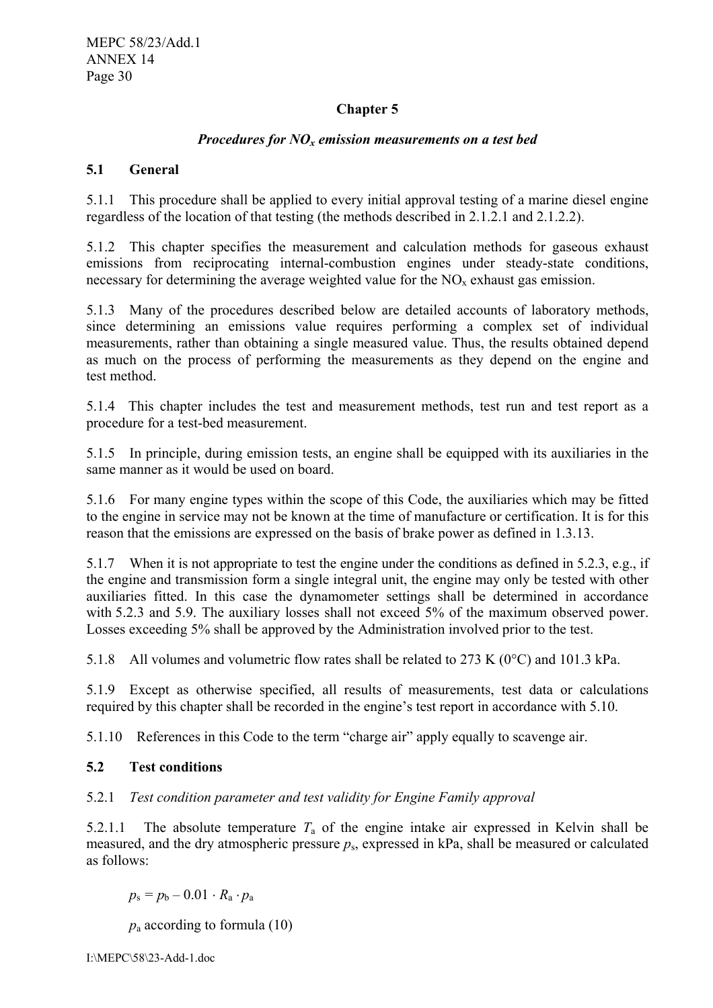# **Chapter 5**

# *Procedures for NO<sub>x</sub> emission measurements on a test bed*

# **5.1 General**

5.1.1 This procedure shall be applied to every initial approval testing of a marine diesel engine regardless of the location of that testing (the methods described in 2.1.2.1 and 2.1.2.2).

5.1.2 This chapter specifies the measurement and calculation methods for gaseous exhaust emissions from reciprocating internal-combustion engines under steady-state conditions, necessary for determining the average weighted value for the  $NO<sub>x</sub>$  exhaust gas emission.

5.1.3 Many of the procedures described below are detailed accounts of laboratory methods, since determining an emissions value requires performing a complex set of individual measurements, rather than obtaining a single measured value. Thus, the results obtained depend as much on the process of performing the measurements as they depend on the engine and test method.

5.1.4 This chapter includes the test and measurement methods, test run and test report as a procedure for a test-bed measurement.

5.1.5 In principle, during emission tests, an engine shall be equipped with its auxiliaries in the same manner as it would be used on board.

5.1.6 For many engine types within the scope of this Code, the auxiliaries which may be fitted to the engine in service may not be known at the time of manufacture or certification. It is for this reason that the emissions are expressed on the basis of brake power as defined in 1.3.13.

5.1.7 When it is not appropriate to test the engine under the conditions as defined in 5.2.3, e.g., if the engine and transmission form a single integral unit, the engine may only be tested with other auxiliaries fitted. In this case the dynamometer settings shall be determined in accordance with 5.2.3 and 5.9. The auxiliary losses shall not exceed 5% of the maximum observed power. Losses exceeding 5% shall be approved by the Administration involved prior to the test.

5.1.8 All volumes and volumetric flow rates shall be related to 273 K (0°C) and 101.3 kPa.

5.1.9 Except as otherwise specified, all results of measurements, test data or calculations required by this chapter shall be recorded in the engine's test report in accordance with 5.10.

5.1.10 References in this Code to the term "charge air" apply equally to scavenge air.

# **5.2 Test conditions**

# 5.2.1 *Test condition parameter and test validity for Engine Family approval*

5.2.1.1 The absolute temperature  $T_a$  of the engine intake air expressed in Kelvin shall be measured, and the dry atmospheric pressure  $p_s$ , expressed in kPa, shall be measured or calculated as follows:

 $p_s = p_b - 0.01 \cdot R_a \cdot p_a$ 

 $p_a$  according to formula (10)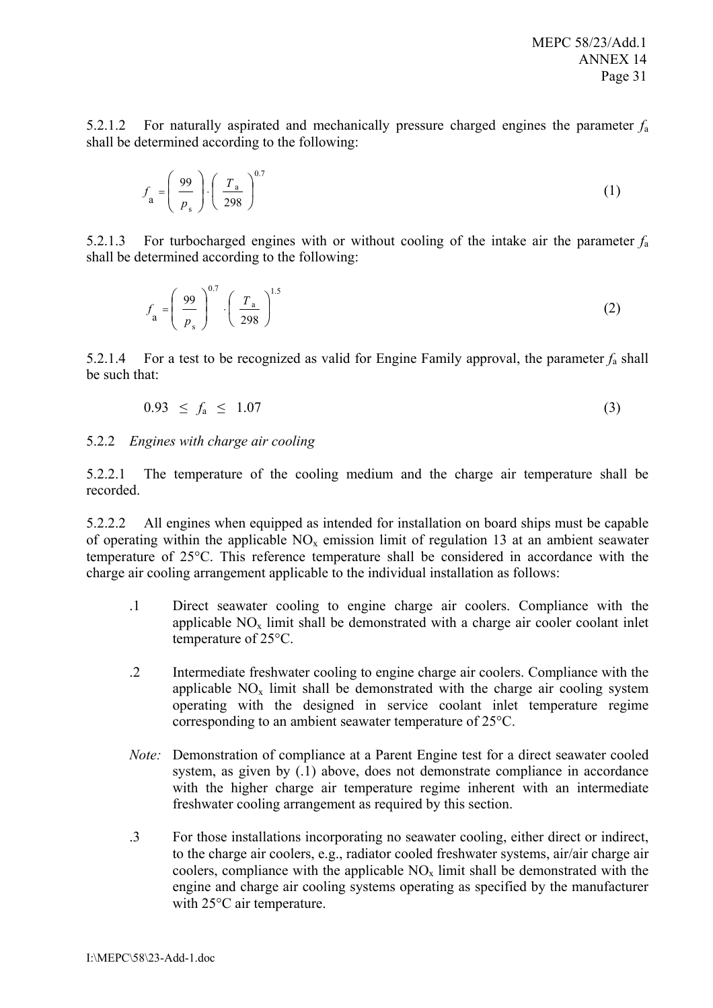5.2.1.2 For naturally aspirated and mechanically pressure charged engines the parameter *f*<sup>a</sup> shall be determined according to the following:

$$
f_{\mathbf{a}} = \left(\frac{99}{p_{\mathbf{s}}}\right) \cdot \left(\frac{T_{\mathbf{a}}}{298}\right)^{0.7} \tag{1}
$$

5.2.1.3 For turbocharged engines with or without cooling of the intake air the parameter *f*<sup>a</sup> shall be determined according to the following:

$$
f_{\mathbf{a}} = \left(\frac{99}{p_{\mathbf{s}}}\right)^{0.7} \cdot \left(\frac{T_{\mathbf{a}}}{298}\right)^{1.5} \tag{2}
$$

5.2.1.4 For a test to be recognized as valid for Engine Family approval, the parameter  $f_a$  shall be such that:

$$
0.93 \le f_a \le 1.07 \tag{3}
$$

#### 5.2.2 *Engines with charge air cooling*

5.2.2.1 The temperature of the cooling medium and the charge air temperature shall be recorded.

5.2.2.2 All engines when equipped as intended for installation on board ships must be capable of operating within the applicable  $NO<sub>x</sub>$  emission limit of regulation 13 at an ambient seawater temperature of 25°C. This reference temperature shall be considered in accordance with the charge air cooling arrangement applicable to the individual installation as follows:

- .1 Direct seawater cooling to engine charge air coolers. Compliance with the applicable  $NO_x$  limit shall be demonstrated with a charge air cooler coolant inlet temperature of 25°C.
- .2 Intermediate freshwater cooling to engine charge air coolers. Compliance with the applicable  $NO<sub>x</sub>$  limit shall be demonstrated with the charge air cooling system operating with the designed in service coolant inlet temperature regime corresponding to an ambient seawater temperature of 25°C.
- *Note:* Demonstration of compliance at a Parent Engine test for a direct seawater cooled system, as given by (.1) above, does not demonstrate compliance in accordance with the higher charge air temperature regime inherent with an intermediate freshwater cooling arrangement as required by this section.
- coolers, compliance with the applicable  $NO<sub>x</sub>$  limit shall be demonstrated with the .3 For those installations incorporating no seawater cooling, either direct or indirect, to the charge air coolers, e.g., radiator cooled freshwater systems, air/air charge air engine and charge air cooling systems operating as specified by the manufacturer with 25°C air temperature.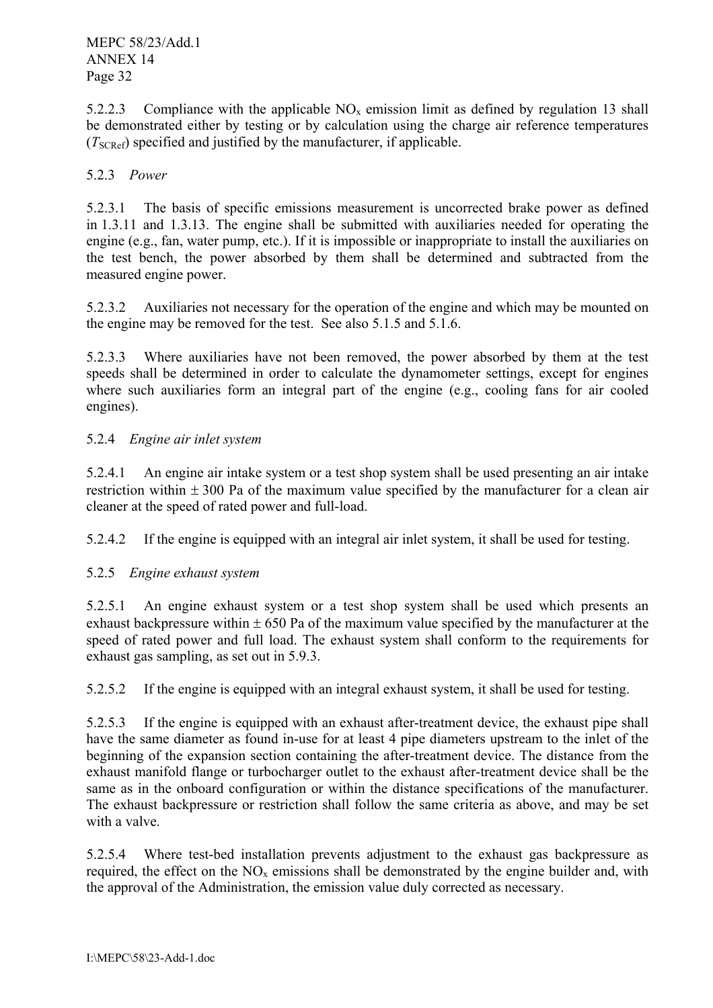5.2.2.3 Compliance with the applicable  $NO<sub>x</sub>$  emission limit as defined by regulation 13 shall be demonstrated either by testing or by calculation using the charge air reference temperatures (*T*SCRef) specified and justified by the manufacturer, if applicable.

# 5.2.3 *Power*

5.2.3.1 The basis of specific emissions measurement is uncorrected brake power as defined in 1.3.11 and 1.3.13. The engine shall be submitted with auxiliaries needed for operating the engine (e.g., fan, water pump, etc.). If it is impossible or inappropriate to install the auxiliaries on the test bench, the power absorbed by them shall be determined and subtracted from the measured engine power.

5.2.3.2 Auxiliaries not necessary for the operation of the engine and which may be mounted on the engine may be removed for the test. See also 5.1.5 and 5.1.6.

5.2.3.3 Where auxiliaries have not been removed, the power absorbed by them at the test speeds shall be determined in order to calculate the dynamometer settings, except for engines where such auxiliaries form an integral part of the engine (e.g., cooling fans for air cooled engines).

# 5.2.4 *Engine air inlet system*

5.2.4.1 An engine air intake system or a test shop system shall be used presenting an air intake restriction within  $\pm 300$  Pa of the maximum value specified by the manufacturer for a clean air cleaner at the speed of rated power and full-load.

5.2.4.2 If the engine is equipped with an integral air inlet system, it shall be used for testing.

# 5.2.5 *Engine exhaust system*

5.2.5.1 An engine exhaust system or a test shop system shall be used which presents an exhaust backpressure within  $\pm 650$  Pa of the maximum value specified by the manufacturer at the speed of rated power and full load. The exhaust system shall conform to the requirements for exhaust gas sampling, as set out in 5.9.3.

5.2.5.2 If the engine is equipped with an integral exhaust system, it shall be used for testing.

5.2.5.3 If the engine is equipped with an exhaust after-treatment device, the exhaust pipe shall have the same diameter as found in-use for at least 4 pipe diameters upstream to the inlet of the beginning of the expansion section containing the after-treatment device. The distance from the exhaust manifold flange or turbocharger outlet to the exhaust after-treatment device shall be the same as in the onboard configuration or within the distance specifications of the manufacturer. The exhaust backpressure or restriction shall follow the same criteria as above, and may be set with a valve.

5.2.5.4 Where test-bed installation prevents adjustment to the exhaust gas backpressure as required, the effect on the  $NO<sub>x</sub>$  emissions shall be demonstrated by the engine builder and, with the approval of the Administration, the emission value duly corrected as necessary.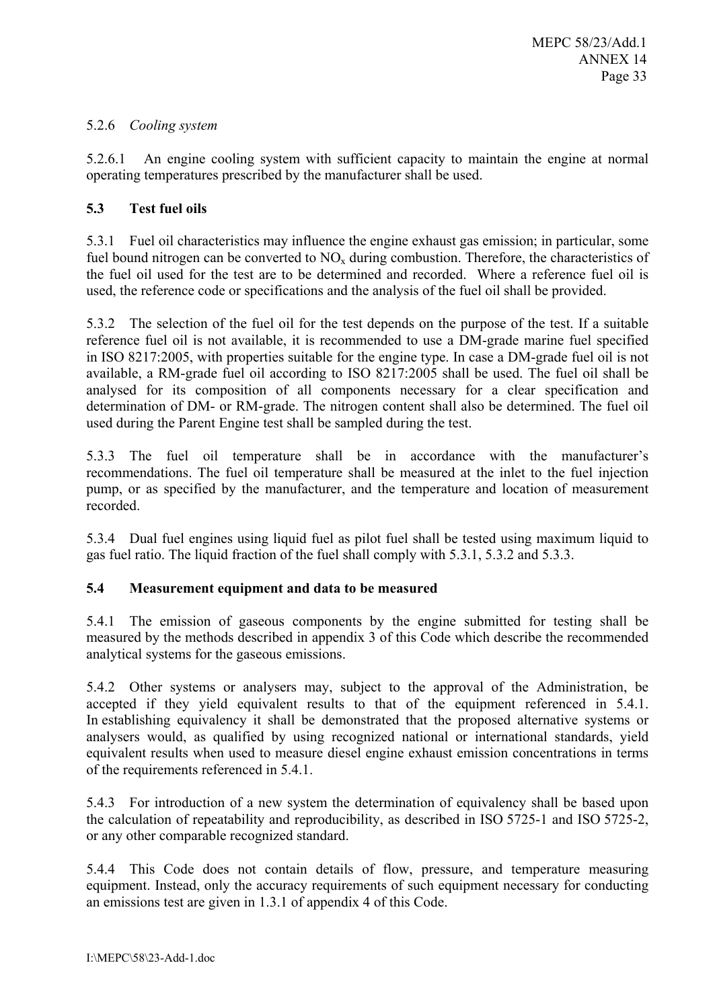# 5.2.6 *Cooling system*

5.2.6.1 An engine cooling system with sufficient capacity to maintain the engine at normal operating temperatures prescribed by the manufacturer shall be used.

# **5.3 Test fuel oils**

5.3.1 Fuel oil characteristics may influence the engine exhaust gas emission; in particular, some fuel bound nitrogen can be converted to  $NO<sub>x</sub>$  during combustion. Therefore, the characteristics of the fuel oil used for the test are to be determined and recorded. Where a reference fuel oil is used, the reference code or specifications and the analysis of the fuel oil shall be provided.

5.3.2 The selection of the fuel oil for the test depends on the purpose of the test. If a suitable reference fuel oil is not available, it is recommended to use a DM-grade marine fuel specified in ISO 8217:2005, with properties suitable for the engine type. In case a DM-grade fuel oil is not available, a RM-grade fuel oil according to ISO 8217:2005 shall be used. The fuel oil shall be analysed for its composition of all components necessary for a clear specification and determination of DM- or RM-grade. The nitrogen content shall also be determined. The fuel oil used during the Parent Engine test shall be sampled during the test.

5.3.3 The fuel oil temperature shall be in accordance with the manufacturer's recommendations. The fuel oil temperature shall be measured at the inlet to the fuel injection pump, or as specified by the manufacturer, and the temperature and location of measurement recorded.

5.3.4 Dual fuel engines using liquid fuel as pilot fuel shall be tested using maximum liquid to gas fuel ratio. The liquid fraction of the fuel shall comply with 5.3.1, 5.3.2 and 5.3.3.

# **5.4 Measurement equipment and data to be measured**

5.4.1 The emission of gaseous components by the engine submitted for testing shall be measured by the methods described in appendix 3 of this Code which describe the recommended analytical systems for the gaseous emissions.

5.4.2 Other systems or analysers may, subject to the approval of the Administration, be accepted if they yield equivalent results to that of the equipment referenced in 5.4.1. In establishing equivalency it shall be demonstrated that the proposed alternative systems or analysers would, as qualified by using recognized national or international standards, yield equivalent results when used to measure diesel engine exhaust emission concentrations in terms of the requirements referenced in 5.4.1.

5.4.3 For introduction of a new system the determination of equivalency shall be based upon the calculation of repeatability and reproducibility, as described in ISO 5725-1 and ISO 5725-2, or any other comparable recognized standard.

5.4.4 This Code does not contain details of flow, pressure, and temperature measuring equipment. Instead, only the accuracy requirements of such equipment necessary for conducting an emissions test are given in 1.3.1 of appendix 4 of this Code.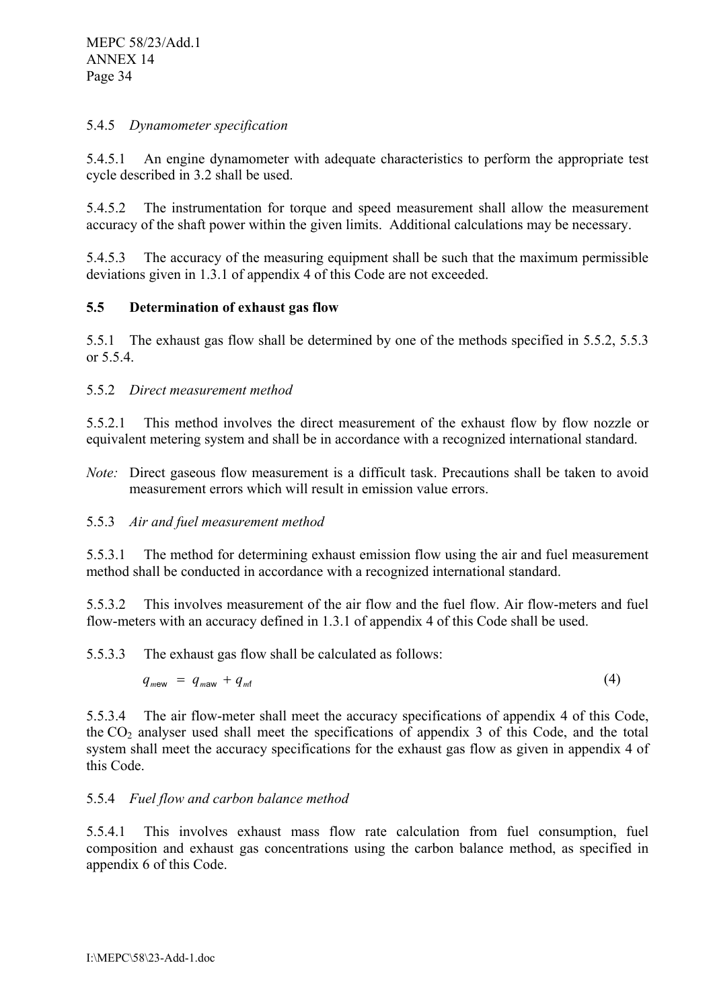# 5.4.5 *Dynamometer specification*

5.4.5.1 An engine dynamometer with adequate characteristics to perform the appropriate test cycle described in 3.2 shall be used.

5.4.5.2 The instrumentation for torque and speed measurement shall allow the measurement accuracy of the shaft power within the given limits. Additional calculations may be necessary.

5.4.5.3 The accuracy of the measuring equipment shall be such that the maximum permissible deviations given in 1.3.1 of appendix 4 of this Code are not exceeded.

# **5.5 Determination of exhaust gas flow**

5.5.1 The exhaust gas flow shall be determined by one of the methods specified in 5.5.2, 5.5.3 or 5.5.4.

# 5.5.2 *Direct measurement method*

5.5.2.1 This method involves the direct measurement of the exhaust flow by flow nozzle or equivalent metering system and shall be in accordance with a recognized international standard.

*Note:* Direct gaseous flow measurement is a difficult task. Precautions shall be taken to avoid measurement errors which will result in emission value errors.

# 5.5.3 *Air and fuel measurement method*

5.5.3.1 The method for determining exhaust emission flow using the air and fuel measurement method shall be conducted in accordance with a recognized international standard.

5.5.3.2 This involves measurement of the air flow and the fuel flow. Air flow-meters and fuel flow-meters with an accuracy defined in 1.3.1 of appendix 4 of this Code shall be used.

5.5.3.3 The exhaust gas flow shall be calculated as follows:

$$
q_{\text{mew}} = q_{\text{maw}} + q_{\text{mft}} \tag{4}
$$

5.5.3.4 The air flow-meter shall meet the accuracy specifications of appendix 4 of this Code, the  $CO<sub>2</sub>$  analyser used shall meet the specifications of appendix 3 of this Code, and the total system shall meet the accuracy specifications for the exhaust gas flow as given in appendix 4 of this Code.

#### 5.5.4 *Fuel flow and carbon balance method*

5.5.4.1 This involves exhaust mass flow rate calculation from fuel consumption, fuel composition and exhaust gas concentrations using the carbon balance method, as specified in appendix 6 of this Code.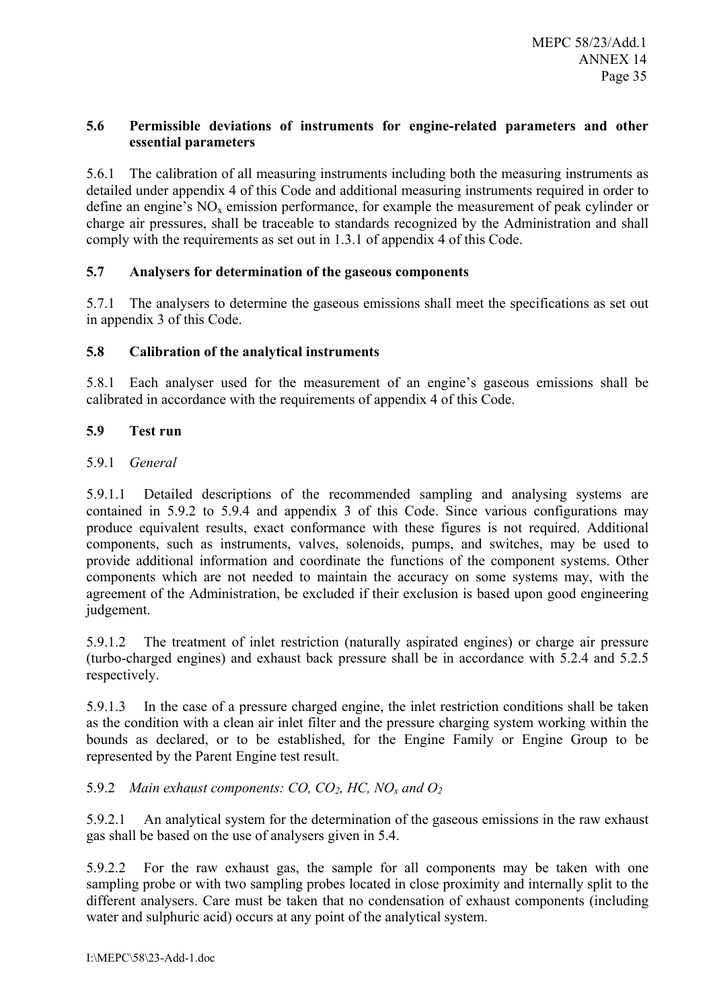# **5.6 Permissible deviations of instruments for engine-related parameters and other essential parameters**

5.6.1 The calibration of all measuring instruments including both the measuring instruments as detailed under appendix 4 of this Code and additional measuring instruments required in order to define an engine's  $NO<sub>x</sub>$  emission performance, for example the measurement of peak cylinder or charge air pressures, shall be traceable to standards recognized by the Administration and shall comply with the requirements as set out in 1.3.1 of appendix 4 of this Code.

# **5.7 Analysers for determination of the gaseous components**

5.7.1 The analysers to determine the gaseous emissions shall meet the specifications as set out in appendix 3 of this Code.

# **5.8 Calibration of the analytical instruments**

5.8.1 Each analyser used for the measurement of an engine's gaseous emissions shall be calibrated in accordance with the requirements of appendix 4 of this Code.

# **5.9 Test run**

# 5.9.1 *General*

5.9.1.1 Detailed descriptions of the recommended sampling and analysing systems are contained in 5.9.2 to 5.9.4 and appendix 3 of this Code. Since various configurations may produce equivalent results, exact conformance with these figures is not required. Additional components, such as instruments, valves, solenoids, pumps, and switches, may be used to provide additional information and coordinate the functions of the component systems. Other components which are not needed to maintain the accuracy on some systems may, with the agreement of the Administration, be excluded if their exclusion is based upon good engineering judgement.

5.9.1.2 The treatment of inlet restriction (naturally aspirated engines) or charge air pressure (turbo-charged engines) and exhaust back pressure shall be in accordance with 5.2.4 and 5.2.5 respectively.

5.9.1.3 In the case of a pressure charged engine, the inlet restriction conditions shall be taken as the condition with a clean air inlet filter and the pressure charging system working within the bounds as declared, or to be established, for the Engine Family or Engine Group to be represented by the Parent Engine test result.

# 5.9.2 *Main exhaust components: CO, CO2, HC, NOx and O2*

5.9.2.1 An analytical system for the determination of the gaseous emissions in the raw exhaust gas shall be based on the use of analysers given in 5.4.

5.9.2.2 For the raw exhaust gas, the sample for all components may be taken with one sampling probe or with two sampling probes located in close proximity and internally split to the different analysers. Care must be taken that no condensation of exhaust components (including water and sulphuric acid) occurs at any point of the analytical system.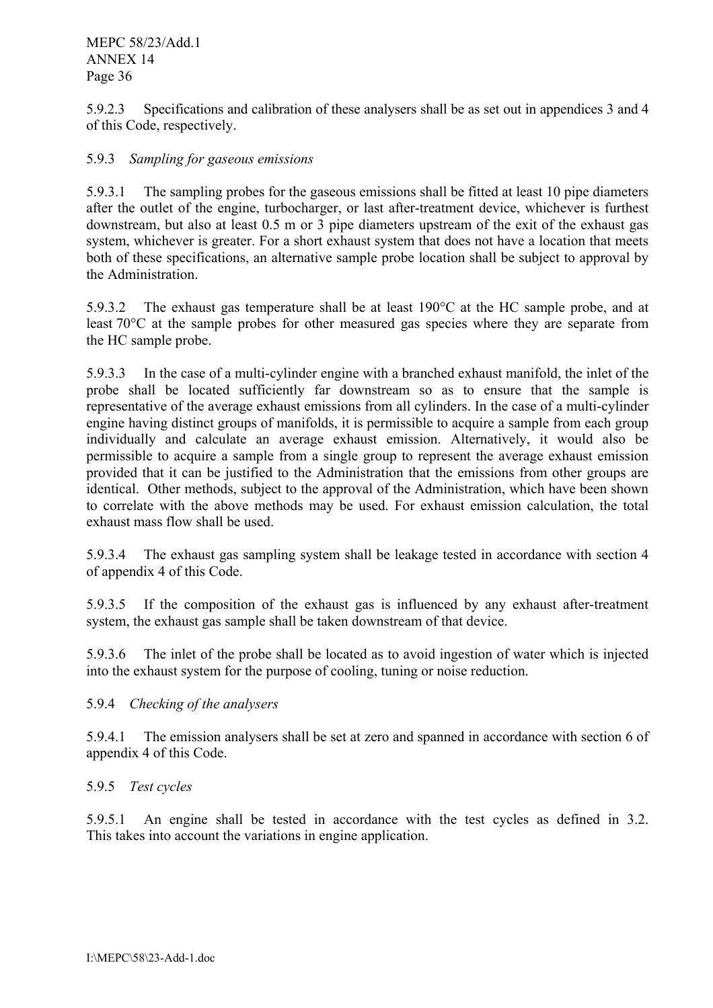5.9.2.3 Specifications and calibration of these analysers shall be as set out in appendices 3 and 4 of this Code, respectively.

# 5.9.3 *Sampling for gaseous emissions*

5.9.3.1 The sampling probes for the gaseous emissions shall be fitted at least 10 pipe diameters after the outlet of the engine, turbocharger, or last after-treatment device, whichever is furthest downstream, but also at least 0.5 m or 3 pipe diameters upstream of the exit of the exhaust gas system, whichever is greater. For a short exhaust system that does not have a location that meets both of these specifications, an alternative sample probe location shall be subject to approval by the Administration.

5.9.3.2 The exhaust gas temperature shall be at least 190°C at the HC sample probe, and at least 70°C at the sample probes for other measured gas species where they are separate from the HC sample probe.

5.9.3.3 In the case of a multi-cylinder engine with a branched exhaust manifold, the inlet of the probe shall be located sufficiently far downstream so as to ensure that the sample is representative of the average exhaust emissions from all cylinders. In the case of a multi-cylinder engine having distinct groups of manifolds, it is permissible to acquire a sample from each group individually and calculate an average exhaust emission. Alternatively, it would also be permissible to acquire a sample from a single group to represent the average exhaust emission provided that it can be justified to the Administration that the emissions from other groups are identical. Other methods, subject to the approval of the Administration, which have been shown to correlate with the above methods may be used. For exhaust emission calculation, the total exhaust mass flow shall be used.

5.9.3.4 The exhaust gas sampling system shall be leakage tested in accordance with section 4 of appendix 4 of this Code.

5.9.3.5 If the composition of the exhaust gas is influenced by any exhaust after-treatment system, the exhaust gas sample shall be taken downstream of that device.

5.9.3.6 The inlet of the probe shall be located as to avoid ingestion of water which is injected into the exhaust system for the purpose of cooling, tuning or noise reduction.

# 5.9.4 *Checking of the analysers*

5.9.4.1 The emission analysers shall be set at zero and spanned in accordance with section 6 of appendix 4 of this Code.

# 5.9.5 *Test cycles*

5.9.5.1 An engine shall be tested in accordance with the test cycles as defined in 3.2. This takes into account the variations in engine application.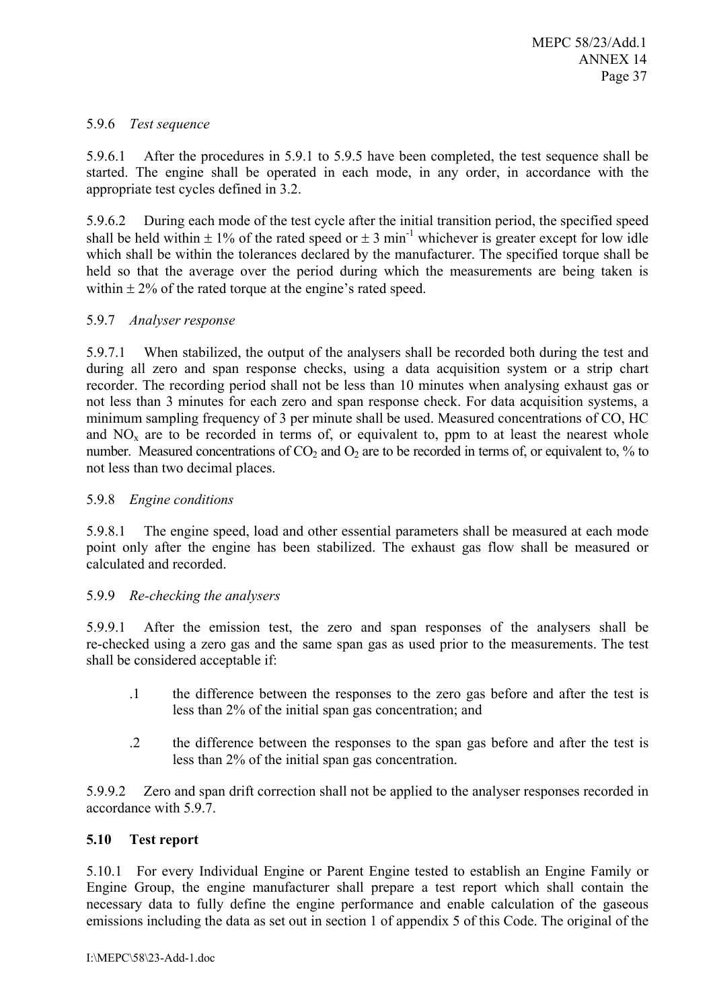# 5.9.6 *Test sequence*

5.9.6.1 After the procedures in 5.9.1 to 5.9.5 have been completed, the test sequence shall be started. The engine shall be operated in each mode, in any order, in accordance with the appropriate test cycles defined in 3.2.

5.9.6.2 During each mode of the test cycle after the initial transition period, the specified speed shall be held within  $\pm 1\%$  of the rated speed or  $\pm 3$  min<sup>-1</sup> whichever is greater except for low idle which shall be within the tolerances declared by the manufacturer. The specified torque shall be held so that the average over the period during which the measurements are being taken is within  $\pm$  2% of the rated torque at the engine's rated speed.

#### 5.9.7 *Analyser response*

5.9.7.1 When stabilized, the output of the analysers shall be recorded both during the test and during all zero and span response checks, using a data acquisition system or a strip chart recorder. The recording period shall not be less than 10 minutes when analysing exhaust gas or not less than 3 minutes for each zero and span response check. For data acquisition systems, a minimum sampling frequency of 3 per minute shall be used. Measured concentrations of CO, HC and  $NO<sub>x</sub>$  are to be recorded in terms of, or equivalent to, ppm to at least the nearest whole number. Measured concentrations of  $CO_2$  and  $O_2$  are to be recorded in terms of, or equivalent to, % to not less than two decimal places.

#### 5.9.8 *Engine conditions*

5.9.8.1 The engine speed, load and other essential parameters shall be measured at each mode point only after the engine has been stabilized. The exhaust gas flow shall be measured or calculated and recorded.

#### 5.9.9 *Re-checking the analysers*

5.9.9.1 After the emission test, the zero and span responses of the analysers shall be re-checked using a zero gas and the same span gas as used prior to the measurements. The test shall be considered acceptable if:

- .1 the difference between the responses to the zero gas before and after the test is less than 2% of the initial span gas concentration; and
- .2 the difference between the responses to the span gas before and after the test is less than 2% of the initial span gas concentration.

5.9.9.2 Zero and span drift correction shall not be applied to the analyser responses recorded in accordance with 5.9.7

#### **5.10 Test report**

5.10.1 For every Individual Engine or Parent Engine tested to establish an Engine Family or Engine Group, the engine manufacturer shall prepare a test report which shall contain the necessary data to fully define the engine performance and enable calculation of the gaseous emissions including the data as set out in section 1 of appendix 5 of this Code. The original of the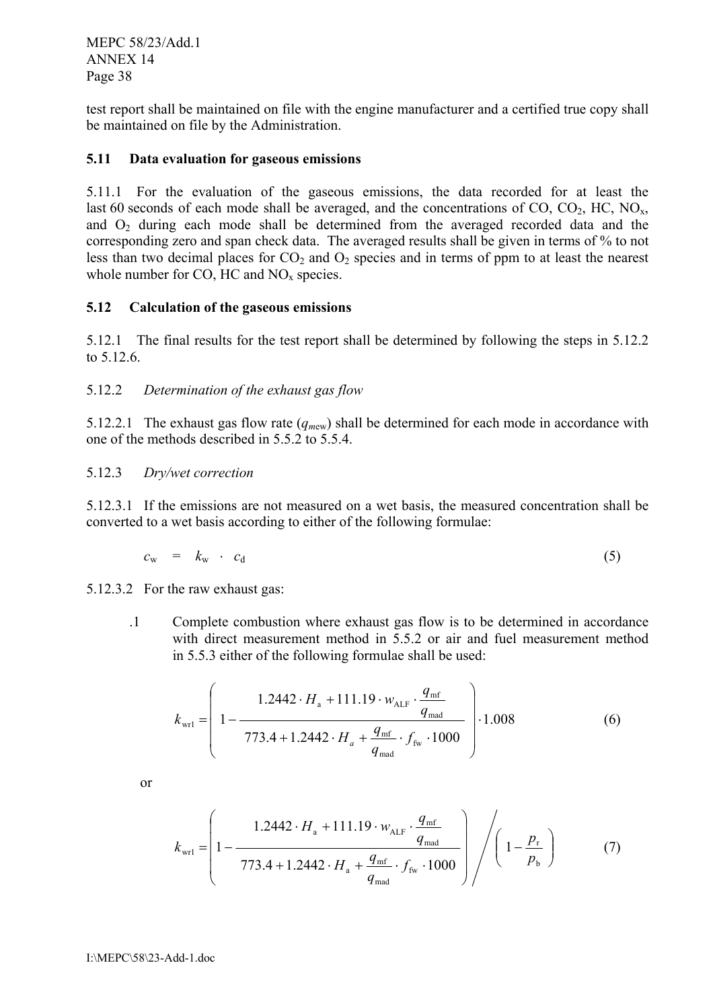test report shall be maintained on file with the engine manufacturer and a certified true copy shall be maintained on file by the Administration.

#### **5.11 Data evaluation for gaseous emissions**

5.11.1 For the evaluation of the gaseous emissions, the data recorded for at least the last 60 seconds of each mode shall be averaged, and the concentrations of  $CO$ ,  $CO_2$ ,  $HC$ ,  $NO_x$ , and  $O_2$  during each mode shall be determined from the averaged recorded data and the corresponding zero and span check data. The averaged results shall be given in terms of % to not less than two decimal places for  $CO<sub>2</sub>$  and  $O<sub>2</sub>$  species and in terms of ppm to at least the nearest whole number for  $CO$ ,  $HC$  and  $NO<sub>x</sub>$  species.

#### **5.12 Calculation of the gaseous emissions**

5.12.1 The final results for the test report shall be determined by following the steps in 5.12.2 to 5.12.6.

# 5.12.2 *Determination of the exhaust gas flow*

5.12.2.1 The exhaust gas flow rate  $(q_{mew})$  shall be determined for each mode in accordance with one of the methods described in 5.5.2 to 5.5.4.

#### 5.12.3 *Dry/wet correction*

5.12.3.1 If the emissions are not measured on a wet basis, the measured concentration shall be converted to a wet basis according to either of the following formulae:

$$
c_{\rm w} = k_{\rm w} \cdot c_{\rm d} \tag{5}
$$

5.12.3.2 For the raw exhaust gas:

.1 Complete combustion where exhaust gas flow is to be determined in accordance with direct measurement method in 5.5.2 or air and fuel measurement method in 5.5.3 either of the following formulae shall be used:

$$
k_{\text{wr1}} = \left( 1 - \frac{1.2442 \cdot H_a + 111.19 \cdot w_{\text{ALF}} \cdot \frac{q_{\text{mf}}}{q_{\text{mad}}}}{773.4 + 1.2442 \cdot H_a + \frac{q_{\text{mf}}}{q_{\text{mad}}} \cdot f_{\text{fw}} \cdot 1000} \right) \cdot 1.008 \tag{6}
$$

or

$$
k_{\text{wr1}} = \left(1 - \frac{1.2442 \cdot H_{\text{a}} + 111.19 \cdot w_{\text{ALF}} \cdot \frac{q_{\text{mf}}}{q_{\text{mad}}}}{773.4 + 1.2442 \cdot H_{\text{a}} + \frac{q_{\text{mf}}}{q_{\text{mad}}}} \cdot f_{\text{fw}} \cdot 1000\right) / \left(1 - \frac{p_{\text{r}}}{p_{\text{b}}}\right) \tag{7}
$$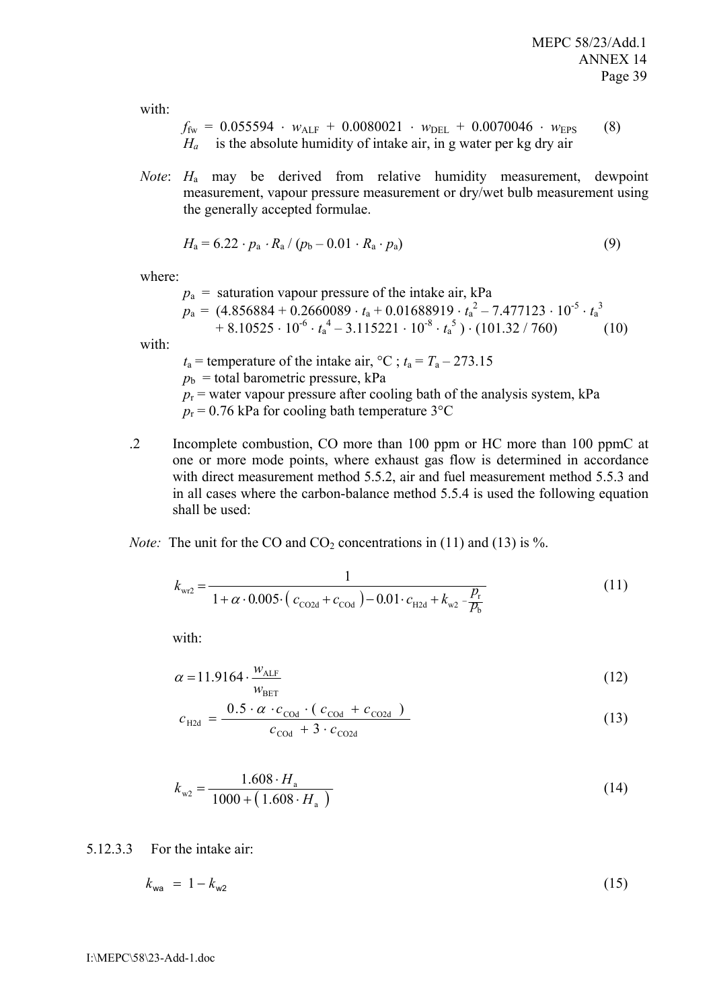with:

$$
f_{\text{fw}} = 0.055594 \cdot w_{\text{ALF}} + 0.0080021 \cdot w_{\text{DEL}} + 0.0070046 \cdot w_{\text{EPS}} \qquad (8)
$$
  
H<sub>a</sub> is the absolute humidity of intake air, in g water per kg dry air

*Note*: *H*a may be derived from relative humidity measurement, dewpoint measurement, vapour pressure measurement or dry/wet bulb measurement using the generally accepted formulae.

$$
H_{\rm a} = 6.22 \cdot p_{\rm a} \cdot R_{\rm a} / (p_{\rm b} - 0.01 \cdot R_{\rm a} \cdot p_{\rm a}) \tag{9}
$$

where:

with:

 $p_a = (4.856884 + 0.2660089 \cdot t_a + 0.01688919 \cdot t_a^2 - 7.477123 \cdot 10^{-5} \cdot t_a^3$  $+ 8.10525 \cdot 10^{-6} \cdot t_a^4 - 3.115221 \cdot 10^{-8} \cdot t_a^5) \cdot (101.32 / 760)$  (10)  $p_a$  = saturation vapour pressure of the intake air, kPa  $t_a$  = temperature of the intake air,  $^{\circ}C$ ;  $t_a = T_a - 273.15$ 

 $p<sub>b</sub>$  = total barometric pressure, kPa

- $p_r$  = water vapour pressure after cooling bath of the analysis system, kPa
- $p_r = 0.76$  kPa for cooling bath temperature 3<sup>o</sup>C
- .2 Incomplete combustion, CO more than 100 ppm or HC more than 100 ppmC at one or more mode points, where exhaust gas flow is determined in accordance with direct measurement method 5.5.2, air and fuel measurement method 5.5.3 and in all cases where the carbon-balance method 5.5.4 is used the following equation shall be used:

*Note:* The unit for the CO and  $CO_2$  concentrations in (11) and (13) is %.

$$
k_{\text{wr2}} = \frac{1}{1 + \alpha \cdot 0.005 \cdot (c_{\text{CO2d}} + c_{\text{COd}}) - 0.01 \cdot c_{\text{H2d}} + k_{\text{w2}} - \frac{P_r}{P_b}}
$$
(11)

with:

$$
\alpha = 11.9164 \cdot \frac{w_{\text{ALE}}}{w_{\text{BET}}} \tag{12}
$$

$$
c_{\text{H2d}} = \frac{0.5 \cdot \alpha \cdot c_{\text{COd}} \cdot (c_{\text{COd}} + c_{\text{CO2d}})}{c_{\text{COd}} + 3 \cdot c_{\text{CO2d}}}
$$
(13)

$$
k_{w2} = \frac{1.608 \cdot H_{\rm a}}{1000 + (1.608 \cdot H_{\rm a})}
$$
(14)

5.12.3.3 For the intake air:

$$
k_{\rm wa} = 1 - k_{\rm w2} \tag{15}
$$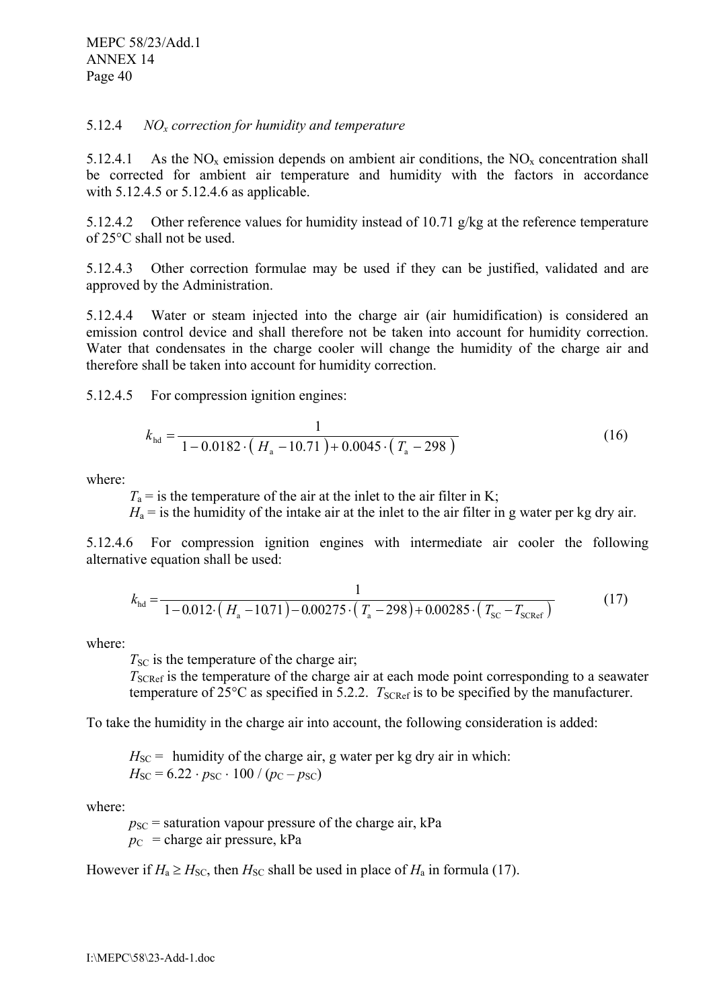#### 5.12.4 *NOx correction for humidity and temperature*

5.12.4.1 As the NO<sub>x</sub> emission depends on ambient air conditions, the NO<sub>x</sub> concentration shall be corrected for ambient air temperature and humidity with the factors in accordance with 5.12.4.5 or 5.12.4.6 as applicable.

5.12.4.2 Other reference values for humidity instead of 10.71  $g/kg$  at the reference temperature of 25°C shall not be used.

5.12.4.3 Other correction formulae may be used if they can be justified, validated and are approved by the Administration.

5.12.4.4 Water or steam injected into the charge air (air humidification) is considered an emission control device and shall therefore not be taken into account for humidity correction. Water that condensates in the charge cooler will change the humidity of the charge air and therefore shall be taken into account for humidity correction.

5.12.4.5 For compression ignition engines:

$$
k_{\text{hd}} = \frac{1}{1 - 0.0182 \cdot (H_{\text{a}} - 10.71) + 0.0045 \cdot (T_{\text{a}} - 298)}
$$
(16)

where:

 $T_a$  = is the temperature of the air at the inlet to the air filter in K;

 $H_a$  = is the humidity of the intake air at the inlet to the air filter in g water per kg dry air.

5.12.4.6 For compression ignition engines with intermediate air cooler the following alternative equation shall be used:

$$
k_{\text{hd}} = \frac{1}{1 - 0.012 \cdot (H_a - 10.71) - 0.00275 \cdot (T_a - 298) + 0.00285 \cdot (T_{\text{SC}} - T_{\text{SCRef}})}\tag{17}
$$

where:

 $T<sub>SC</sub>$  is the temperature of the charge air;

*T*<sub>SCRef</sub> is the temperature of the charge air at each mode point corresponding to a seawater temperature of  $25^{\circ}$ C as specified in 5.2.2.  $T_{\text{SCRef}}$  is to be specified by the manufacturer.

To take the humidity in the charge air into account, the following consideration is added:

 $H_{\text{SC}} = 6.22 \cdot p_{\text{SC}} \cdot 100 / (p_{\text{C}} - p_{\text{SC}})$  $H_{SC}$  = humidity of the charge air, g water per kg dry air in which:

where:

 $p_{SC}$  = saturation vapour pressure of the charge air, kPa  $p_C$  = charge air pressure, kPa

However if  $H_a \ge H_{SC}$ , then  $H_{SC}$  shall be used in place of  $H_a$  in formula (17).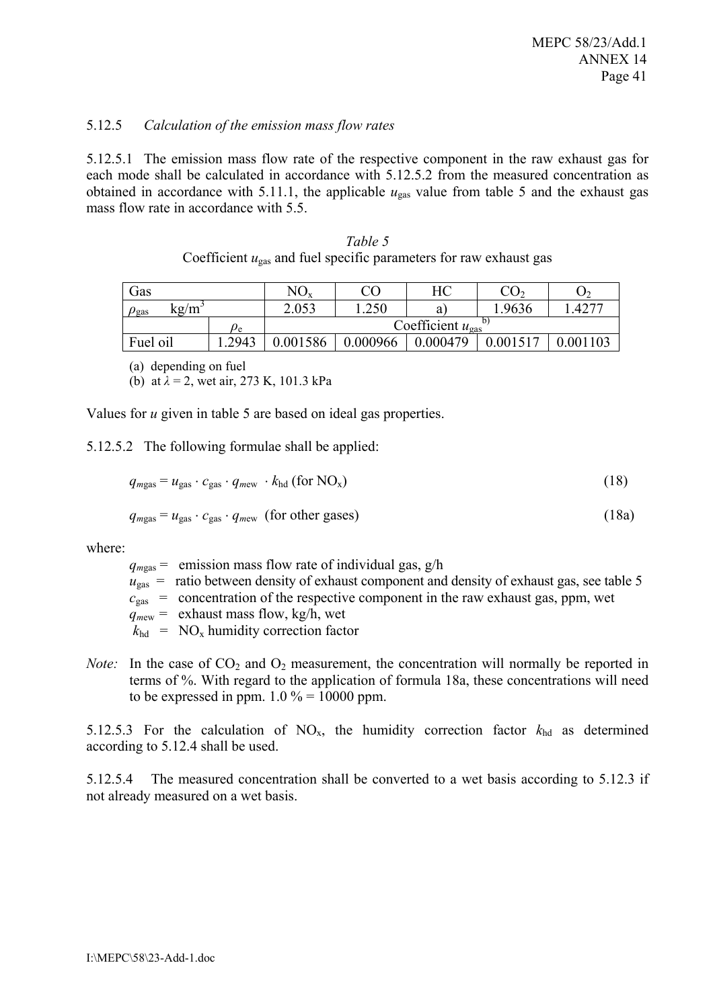#### 5.12.5 *Calculation of the emission mass flow rates*

5.12.5.1 The emission mass flow rate of the respective component in the raw exhaust gas for each mode shall be calculated in accordance with 5.12.5.2 from the measured concentration as obtained in accordance with 5.11.1, the applicable  $u_{\text{gas}}$  value from table 5 and the exhaust gas mass flow rate in accordance with 5.5.

| Table 5                                                                       |
|-------------------------------------------------------------------------------|
| Coefficient $u_{\text{gas}}$ and fuel specific parameters for raw exhaust gas |

| Gas                      |                | $NO_{x}$                                |          | HС       | CO2      | J٦         |
|--------------------------|----------------|-----------------------------------------|----------|----------|----------|------------|
| kg/m<br>$\rho_{\rm gas}$ |                | 2.053                                   | .250     | a        | 1.9636   | $.427^{-}$ |
|                          | $\rho_{\rm e}$ | Coefficient $u_{\rm gas}$ <sup>0)</sup> |          |          |          |            |
| Fuel oil                 | .2943          | 0.001586                                | 0.000966 | 0.000479 | 0.001517 | 0.001103   |

(a) depending on fuel

(b) at *λ* = 2, wet air, 273 K, 101.3 kPa

Values for *u* given in table 5 are based on ideal gas properties.

5.12.5.2 The following formulae shall be applied:

$$
q_{mgas} = u_{gas} \cdot c_{gas} \cdot q_{mew} \cdot k_{hd} \text{ (for NOx)}\tag{18}
$$

$$
q_{mgas} = u_{gas} \cdot c_{gas} \cdot q_{mew} \text{ (for other gases)}
$$
 (18a)

where:

 $q_{\text{meas}}$  = emission mass flow rate of individual gas,  $g/h$ 

- $u_{\text{gas}}$  = ratio between density of exhaust component and density of exhaust gas, see table 5
- $c_{\text{gas}}$  = concentration of the respective component in the raw exhaust gas, ppm, wet
- $q_{\text{mew}}$  = exhaust mass flow, kg/h, wet
- $k_{\text{hd}}$  = NO<sub>x</sub> humidity correction factor
- *Note:* In the case of  $CO_2$  and  $O_2$  measurement, the concentration will normally be reported in terms of %. With regard to the application of formula 18a, these concentrations will need to be expressed in ppm.  $1.0 \% = 10000$  ppm.

5.12.5.3 For the calculation of  $NO_x$ , the humidity correction factor  $k_{hd}$  as determined according to 5.12.4 shall be used.

5.12.5.4 The measured concentration shall be converted to a wet basis according to 5.12.3 if not already measured on a wet basis.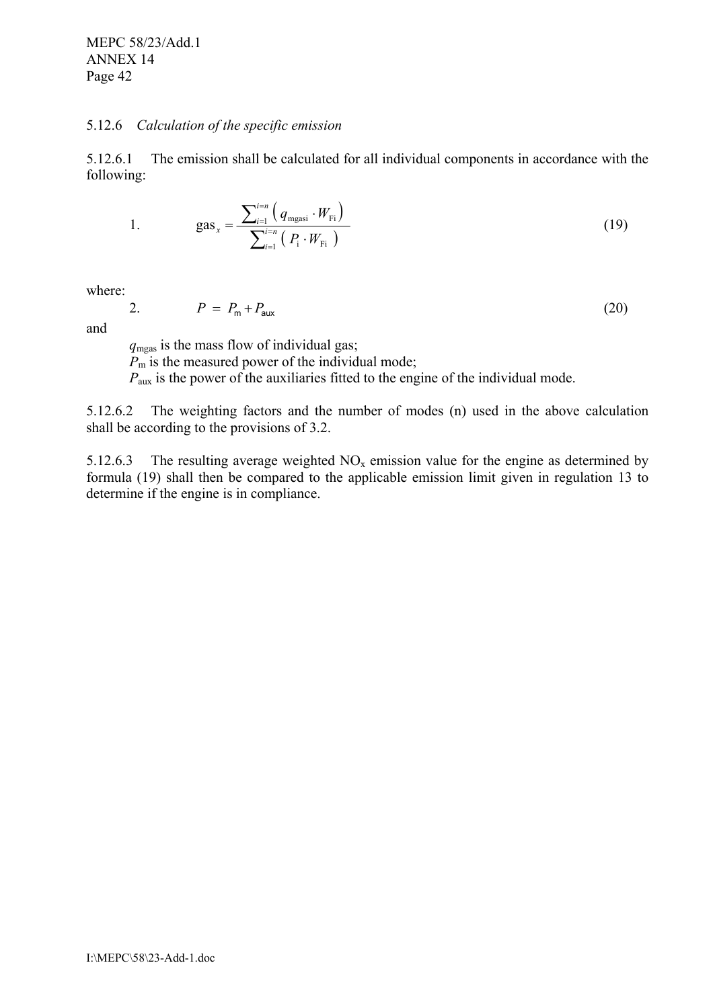#### 5.12.6 *Calculation of the specific emission*

5.12.6.1 The emission shall be calculated for all individual components in accordance with the following:

1. 
$$
gas_x = \frac{\sum_{i=1}^{i=n} (q_{\text{mgasi}} \cdot W_{\text{Fi}})}{\sum_{i=1}^{i=n} (P_i \cdot W_{\text{Fi}})}
$$
(19)

where:

$$
P = P_{\rm m} + P_{\rm aux} \tag{20}
$$

and

*q*mgas is the mass flow of individual gas; *P*m is the measured power of the individual mode; *P*<sub>aux</sub> is the power of the auxiliaries fitted to the engine of the individual mode.

5.12.6.2 The weighting factors and the number of modes (n) used in the above calculation shall be according to the provisions of 3.2.

5.12.6.3 The resulting average weighted  $NO<sub>x</sub>$  emission value for the engine as determined by formula (19) shall then be compared to the applicable emission limit given in regulation 13 to determine if the engine is in compliance.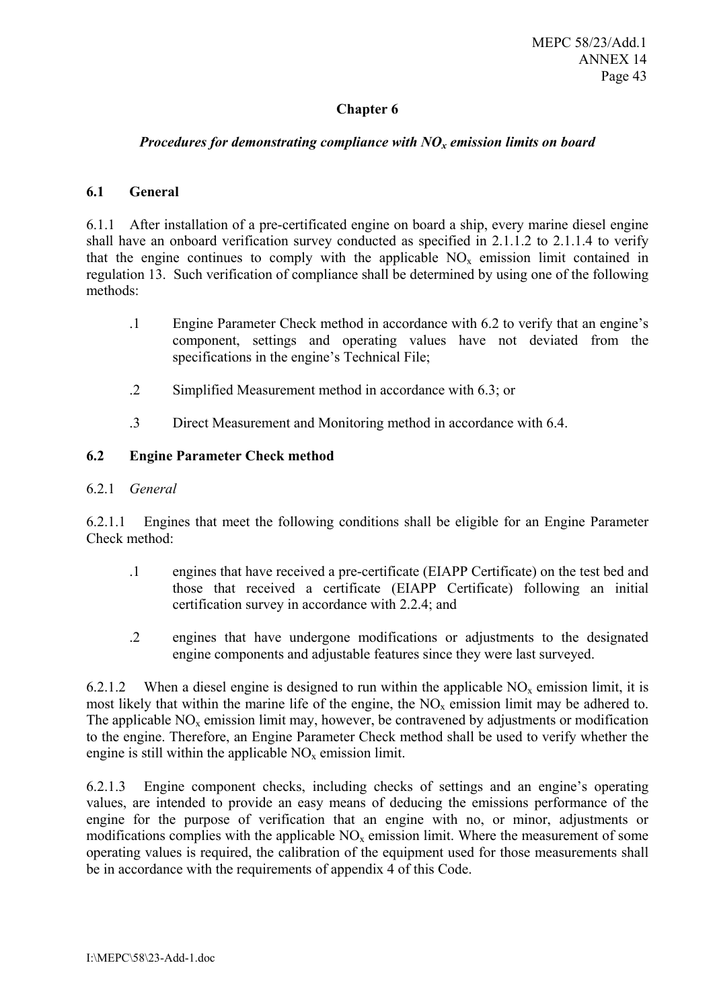# **Chapter 6**

#### *Procedures for demonstrating compliance with NO<sub>x</sub> emission limits on board*

#### **6.1 General**

6.1.1 After installation of a pre-certificated engine on board a ship, every marine diesel engine shall have an onboard verification survey conducted as specified in 2.1.1.2 to 2.1.1.4 to verify that the engine continues to comply with the applicable  $NO<sub>x</sub>$  emission limit contained in regulation 13. Such verification of compliance shall be determined by using one of the following methods:

- .1 Engine Parameter Check method in accordance with 6.2 to verify that an engine's component, settings and operating values have not deviated from the specifications in the engine's Technical File;
- .2 Simplified Measurement method in accordance with 6.3; or
- .3 Direct Measurement and Monitoring method in accordance with 6.4.

# **6.2 Engine Parameter Check method**

#### 6.2.1 *General*

6.2.1.1 Engines that meet the following conditions shall be eligible for an Engine Parameter Check method:

- .1 engines that have received a pre-certificate (EIAPP Certificate) on the test bed and those that received a certificate (EIAPP Certificate) following an initial certification survey in accordance with 2.2.4; and
- .2 engines that have undergone modifications or adjustments to the designated engine components and adjustable features since they were last surveyed.

6.2.1.2 When a diesel engine is designed to run within the applicable  $NO<sub>x</sub>$  emission limit, it is most likely that within the marine life of the engine, the  $NO<sub>x</sub>$  emission limit may be adhered to. The applicable  $NO<sub>x</sub>$  emission limit may, however, be contravened by adjustments or modification to the engine. Therefore, an Engine Parameter Check method shall be used to verify whether the engine is still within the applicable  $NO<sub>x</sub>$  emission limit.

6.2.1.3 Engine component checks, including checks of settings and an engine's operating values, are intended to provide an easy means of deducing the emissions performance of the engine for the purpose of verification that an engine with no, or minor, adjustments or modifications complies with the applicable  $NO<sub>x</sub>$  emission limit. Where the measurement of some operating values is required, the calibration of the equipment used for those measurements shall be in accordance with the requirements of appendix 4 of this Code.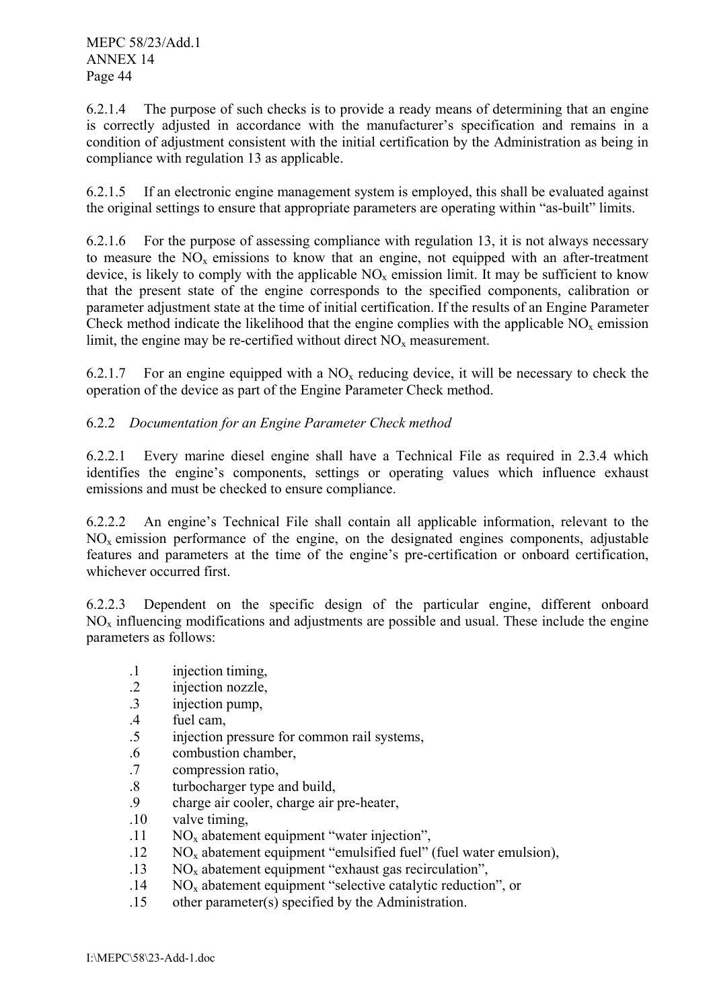6.2.1.4 The purpose of such checks is to provide a ready means of determining that an engine is correctly adjusted in accordance with the manufacturer's specification and remains in a condition of adjustment consistent with the initial certification by the Administration as being in compliance with regulation 13 as applicable.

6.2.1.5 If an electronic engine management system is employed, this shall be evaluated against the original settings to ensure that appropriate parameters are operating within "as-built" limits.

6.2.1.6 For the purpose of assessing compliance with regulation 13, it is not always necessary to measure the  $NO<sub>x</sub>$  emissions to know that an engine, not equipped with an after-treatment device, is likely to comply with the applicable  $NO<sub>x</sub>$  emission limit. It may be sufficient to know that the present state of the engine corresponds to the specified components, calibration or parameter adjustment state at the time of initial certification. If the results of an Engine Parameter Check method indicate the likelihood that the engine complies with the applicable  $NO<sub>x</sub>$  emission limit, the engine may be re-certified without direct  $NO<sub>x</sub>$  measurement.

6.2.1.7 For an engine equipped with a  $NO<sub>x</sub>$  reducing device, it will be necessary to check the operation of the device as part of the Engine Parameter Check method.

# 6.2.2 *Documentation for an Engine Parameter Check method*

6.2.2.1 Every marine diesel engine shall have a Technical File as required in 2.3.4 which identifies the engine's components, settings or operating values which influence exhaust emissions and must be checked to ensure compliance.

6.2.2.2 An engine's Technical File shall contain all applicable information, relevant to the  $NO<sub>x</sub>$  emission performance of the engine, on the designated engines components, adjustable features and parameters at the time of the engine's pre-certification or onboard certification, whichever occurred first.

6.2.2.3 Dependent on the specific design of the particular engine, different onboard  $NO<sub>x</sub>$  influencing modifications and adjustments are possible and usual. These include the engine parameters as follows:

- .1 injection timing,
- .2 injection nozzle,
- .3 injection pump,
- .4 fuel cam,
- .5 injection pressure for common rail systems,
- .6 combustion chamber,
- .7 compression ratio,
- .8 turbocharger type and build,
- .9 charge air cooler, charge air pre-heater,
- .10 valve timing,
- .11 NOx abatement equipment "water injection",
- $.12$  NO<sub>x</sub> abatement equipment "emulsified fuel" (fuel water emulsion),
- $13$  NO<sub>x</sub> abatement equipment "exhaust gas recirculation",
- .14 NOx abatement equipment "selective catalytic reduction", or
- .15 other parameter(s) specified by the Administration.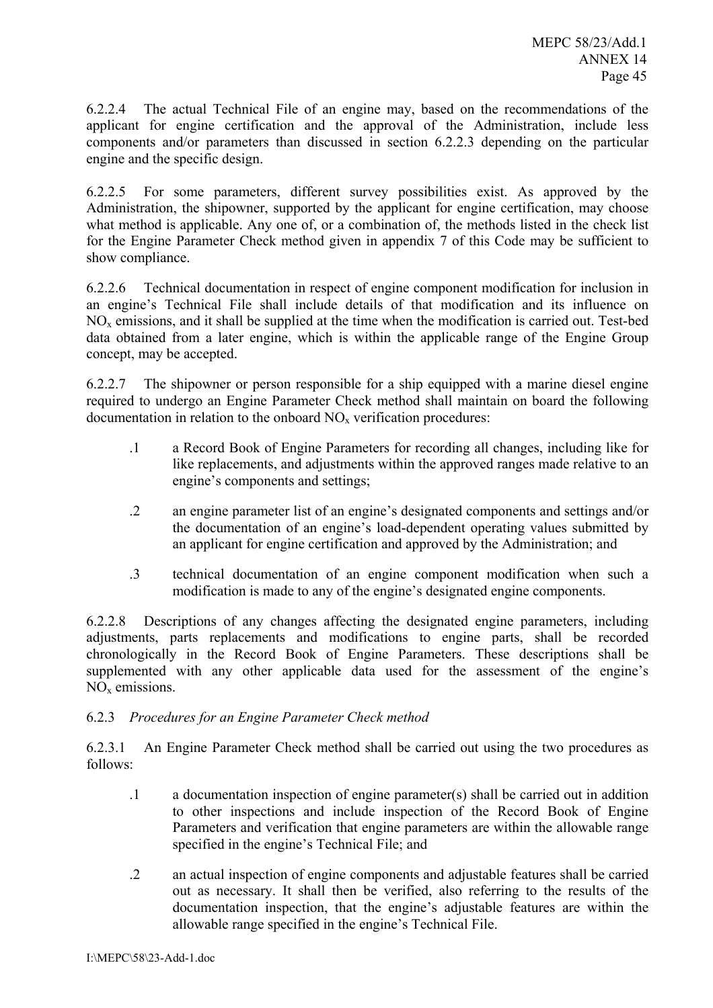6.2.2.4 The actual Technical File of an engine may, based on the recommendations of the applicant for engine certification and the approval of the Administration, include less components and/or parameters than discussed in section 6.2.2.3 depending on the particular engine and the specific design.

6.2.2.5 For some parameters, different survey possibilities exist. As approved by the Administration, the shipowner, supported by the applicant for engine certification, may choose what method is applicable. Any one of, or a combination of, the methods listed in the check list for the Engine Parameter Check method given in appendix 7 of this Code may be sufficient to show compliance.

6.2.2.6 Technical documentation in respect of engine component modification for inclusion in an engine's Technical File shall include details of that modification and its influence on NOx emissions, and it shall be supplied at the time when the modification is carried out. Test-bed data obtained from a later engine, which is within the applicable range of the Engine Group concept, may be accepted.

6.2.2.7 The shipowner or person responsible for a ship equipped with a marine diesel engine required to undergo an Engine Parameter Check method shall maintain on board the following  $d$ ocumentation in relation to the onboard  $NO<sub>x</sub>$  verification procedures:

- .1 a Record Book of Engine Parameters for recording all changes, including like for like replacements, and adjustments within the approved ranges made relative to an engine's components and settings;
- .2 an engine parameter list of an engine's designated components and settings and/or the documentation of an engine's load-dependent operating values submitted by an applicant for engine certification and approved by the Administration; and
- .3 technical documentation of an engine component modification when such a modification is made to any of the engine's designated engine components.

6.2.2.8 Descriptions of any changes affecting the designated engine parameters, including adjustments, parts replacements and modifications to engine parts, shall be recorded chronologically in the Record Book of Engine Parameters. These descriptions shall be supplemented with any other applicable data used for the assessment of the engine's  $NO<sub>x</sub>$  emissions.

# 6.2.3 *Procedures for an Engine Parameter Check method*

6.2.3.1 An Engine Parameter Check method shall be carried out using the two procedures as follows:

- .1 a documentation inspection of engine parameter(s) shall be carried out in addition to other inspections and include inspection of the Record Book of Engine Parameters and verification that engine parameters are within the allowable range specified in the engine's Technical File; and
- .2 an actual inspection of engine components and adjustable features shall be carried out as necessary. It shall then be verified, also referring to the results of the documentation inspection, that the engine's adjustable features are within the allowable range specified in the engine's Technical File.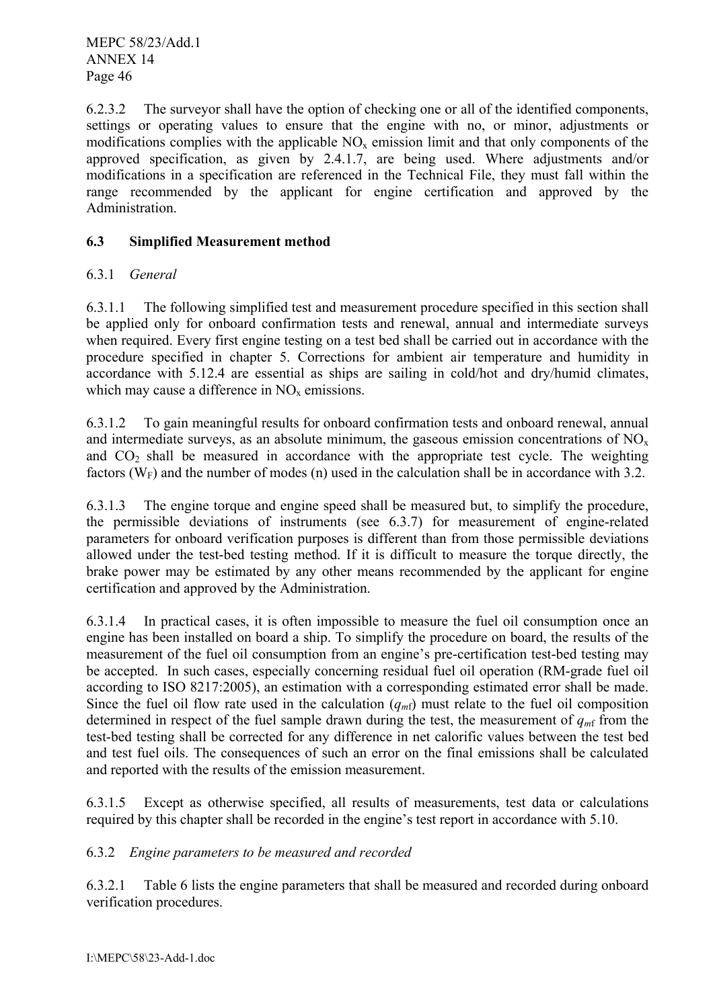6.2.3.2 The surveyor shall have the option of checking one or all of the identified components, settings or operating values to ensure that the engine with no, or minor, adjustments or modifications complies with the applicable  $NO<sub>x</sub>$  emission limit and that only components of the approved specification, as given by 2.4.1.7, are being used. Where adjustments and/or modifications in a specification are referenced in the Technical File, they must fall within the range recommended by the applicant for engine certification and approved by the Administration.

# **6.3 Simplified Measurement method**

# 6.3.1 *General*

6.3.1.1 The following simplified test and measurement procedure specified in this section shall be applied only for onboard confirmation tests and renewal, annual and intermediate surveys when required. Every first engine testing on a test bed shall be carried out in accordance with the procedure specified in chapter 5. Corrections for ambient air temperature and humidity in accordance with 5.12.4 are essential as ships are sailing in cold/hot and dry/humid climates, which may cause a difference in  $NO<sub>x</sub>$  emissions.

6.3.1.2 To gain meaningful results for onboard confirmation tests and onboard renewal, annual and intermediate surveys, as an absolute minimum, the gaseous emission concentrations of  $NO<sub>x</sub>$ and  $CO<sub>2</sub>$  shall be measured in accordance with the appropriate test cycle. The weighting factors  $(W_F)$  and the number of modes (n) used in the calculation shall be in accordance with 3.2.

6.3.1.3 The engine torque and engine speed shall be measured but, to simplify the procedure, the permissible deviations of instruments (see 6.3.7) for measurement of engine-related parameters for onboard verification purposes is different than from those permissible deviations allowed under the test-bed testing method. If it is difficult to measure the torque directly, the brake power may be estimated by any other means recommended by the applicant for engine certification and approved by the Administration.

6.3.1.4 In practical cases, it is often impossible to measure the fuel oil consumption once an engine has been installed on board a ship. To simplify the procedure on board, the results of the measurement of the fuel oil consumption from an engine's pre-certification test-bed testing may be accepted. In such cases, especially concerning residual fuel oil operation (RM-grade fuel oil according to ISO 8217:2005), an estimation with a corresponding estimated error shall be made. Since the fuel oil flow rate used in the calculation  $(q_{m\text{f}})$  must relate to the fuel oil composition determined in respect of the fuel sample drawn during the test, the measurement of  $q<sub>mf</sub>$  from the test-bed testing shall be corrected for any difference in net calorific values between the test bed and test fuel oils. The consequences of such an error on the final emissions shall be calculated and reported with the results of the emission measurement.

6.3.1.5 Except as otherwise specified, all results of measurements, test data or calculations required by this chapter shall be recorded in the engine's test report in accordance with 5.10.

# 6.3.2 *Engine parameters to be measured and recorded*

6.3.2.1 Table 6 lists the engine parameters that shall be measured and recorded during onboard verification procedures.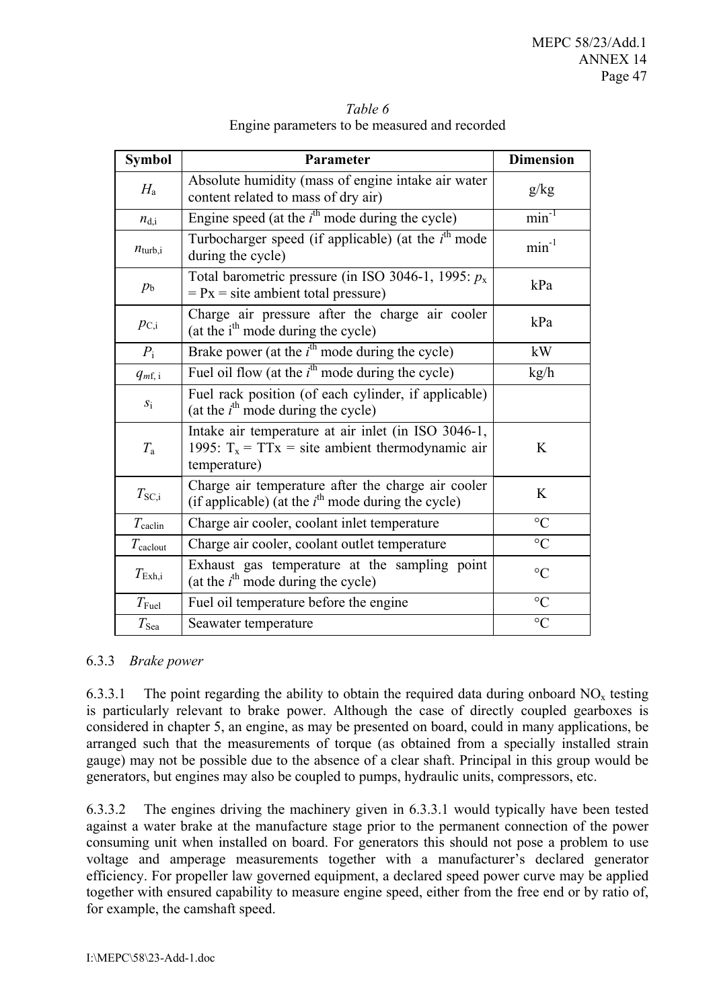| <b>Symbol</b>       | Parameter                                                                                                                 | <b>Dimension</b> |
|---------------------|---------------------------------------------------------------------------------------------------------------------------|------------------|
| $H_{\rm a}$         | Absolute humidity (mass of engine intake air water<br>content related to mass of dry air)                                 | g/kg             |
| $n_{d,i}$           | Engine speed (at the $i^{\text{th}}$ mode during the cycle)                                                               | $min^{-1}$       |
| $n_{\text{turb},i}$ | Turbocharger speed (if applicable) (at the $ith$ mode<br>during the cycle)                                                | $min^{-1}$       |
| $p_{\rm b}$         | Total barometric pressure (in ISO 3046-1, 1995: $p_x$ )<br>$= Px = site$ ambient total pressure)                          | kPa              |
| $p_{\rm C,i}$       | Charge air pressure after the charge air cooler<br>(at the i <sup>th</sup> mode during the cycle)                         | kPa              |
| $P_{\rm i}$         | Brake power (at the $ith$ mode during the cycle)                                                                          | kW               |
| $q_{m,\,i}$         | Fuel oil flow (at the $i^{\text{th}}$ mode during the cycle)                                                              | kg/h             |
| $S_1$               | Fuel rack position (of each cylinder, if applicable)<br>(at the $i^{\text{th}}$ mode during the cycle)                    |                  |
| $T_{\rm a}$         | Intake air temperature at air inlet (in ISO 3046-1,<br>1995: $T_x = TTx =$ site ambient thermodynamic air<br>temperature) | K                |
| $T_{\rm SC,i}$      | Charge air temperature after the charge air cooler<br>(if applicable) (at the $i^{\text{th}}$ mode during the cycle)      | K                |
| $T_{\rm{calclin}}$  | Charge air cooler, coolant inlet temperature                                                                              | $\rm ^{\circ}C$  |
| $T_{\text{calout}}$ | Charge air cooler, coolant outlet temperature                                                                             | $\rm ^{\circ}C$  |
| $T_{\rm Exh,i}$     | Exhaust gas temperature at the sampling point<br>(at the $i^{\text{th}}$ mode during the cycle)                           | $\circ$ C        |
| $T_{\rm{Euel}}$     | Fuel oil temperature before the engine                                                                                    | $\rm ^{\circ}C$  |
| $T_{\rm Sea}$       | Seawater temperature                                                                                                      | $\rm ^{\circ}C$  |

*Table 6*  Engine parameters to be measured and recorded

#### 6.3.3 *Brake power*

6.3.3.1 The point regarding the ability to obtain the required data during onboard  $NO<sub>x</sub>$  testing is particularly relevant to brake power. Although the case of directly coupled gearboxes is considered in chapter 5, an engine, as may be presented on board, could in many applications, be arranged such that the measurements of torque (as obtained from a specially installed strain gauge) may not be possible due to the absence of a clear shaft. Principal in this group would be generators, but engines may also be coupled to pumps, hydraulic units, compressors, etc.

6.3.3.2 The engines driving the machinery given in 6.3.3.1 would typically have been tested against a water brake at the manufacture stage prior to the permanent connection of the power consuming unit when installed on board. For generators this should not pose a problem to use voltage and amperage measurements together with a manufacturer's declared generator efficiency. For propeller law governed equipment, a declared speed power curve may be applied together with ensured capability to measure engine speed, either from the free end or by ratio of, for example, the camshaft speed.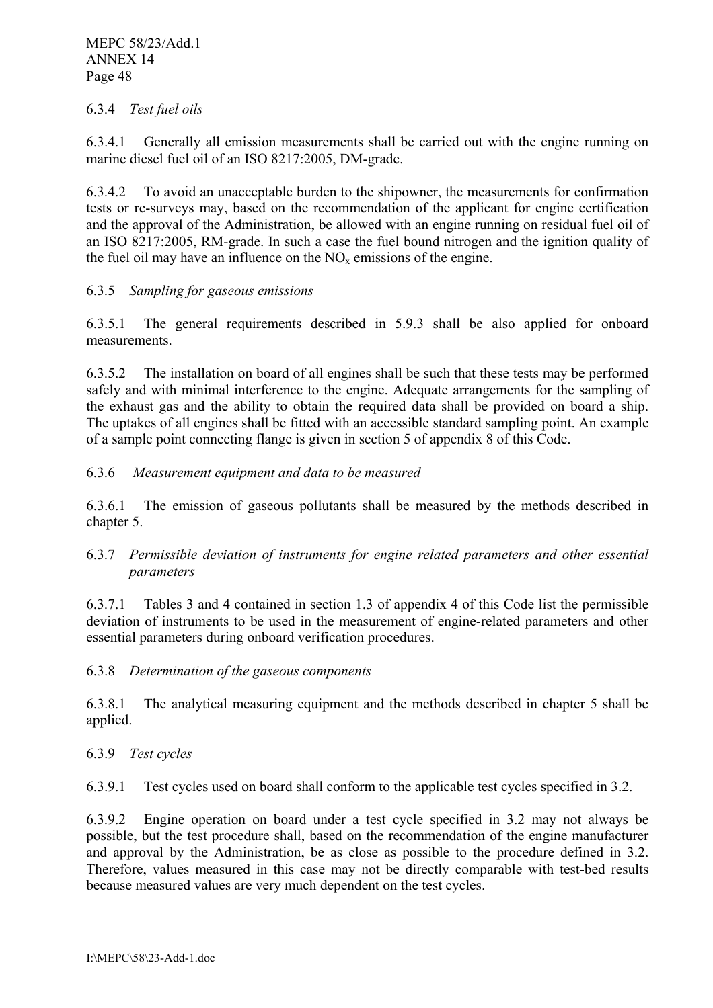# 6.3.4 *Test fuel oils*

6.3.4.1 Generally all emission measurements shall be carried out with the engine running on marine diesel fuel oil of an ISO 8217:2005, DM-grade.

6.3.4.2 To avoid an unacceptable burden to the shipowner, the measurements for confirmation tests or re-surveys may, based on the recommendation of the applicant for engine certification and the approval of the Administration, be allowed with an engine running on residual fuel oil of an ISO 8217:2005, RM-grade. In such a case the fuel bound nitrogen and the ignition quality of the fuel oil may have an influence on the  $NO<sub>x</sub>$  emissions of the engine.

# 6.3.5 *Sampling for gaseous emissions*

6.3.5.1 The general requirements described in 5.9.3 shall be also applied for onboard measurements.

6.3.5.2 The installation on board of all engines shall be such that these tests may be performed safely and with minimal interference to the engine. Adequate arrangements for the sampling of the exhaust gas and the ability to obtain the required data shall be provided on board a ship. The uptakes of all engines shall be fitted with an accessible standard sampling point. An example of a sample point connecting flange is given in section 5 of appendix 8 of this Code.

# 6.3.6 *Measurement equipment and data to be measured*

6.3.6.1 The emission of gaseous pollutants shall be measured by the methods described in chapter 5.

# 6.3.7 *Permissible deviation of instruments for engine related parameters and other essential parameters*

6.3.7.1 Tables 3 and 4 contained in section 1.3 of appendix 4 of this Code list the permissible deviation of instruments to be used in the measurement of engine-related parameters and other essential parameters during onboard verification procedures.

6.3.8 *Determination of the gaseous components* 

6.3.8.1 The analytical measuring equipment and the methods described in chapter 5 shall be applied.

# 6.3.9 *Test cycles*

6.3.9.1 Test cycles used on board shall conform to the applicable test cycles specified in 3.2.

6.3.9.2 Engine operation on board under a test cycle specified in 3.2 may not always be possible, but the test procedure shall, based on the recommendation of the engine manufacturer and approval by the Administration, be as close as possible to the procedure defined in 3.2. Therefore, values measured in this case may not be directly comparable with test-bed results because measured values are very much dependent on the test cycles.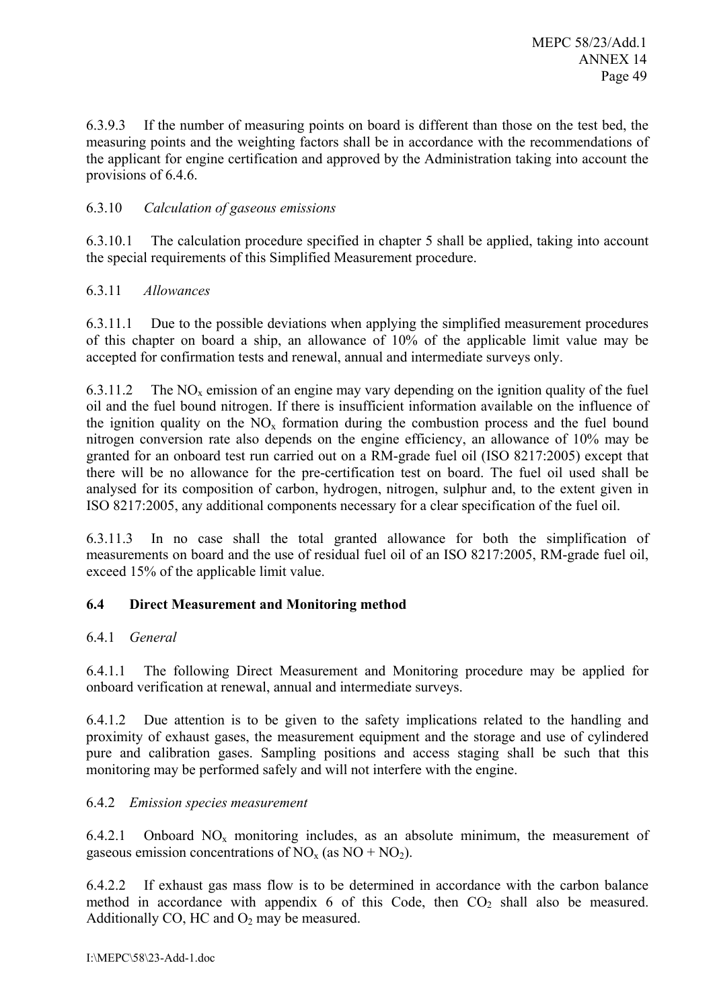6.3.9.3 If the number of measuring points on board is different than those on the test bed, the measuring points and the weighting factors shall be in accordance with the recommendations of the applicant for engine certification and approved by the Administration taking into account the provisions of 6.4.6.

# 6.3.10 *Calculation of gaseous emissions*

6.3.10.1 The calculation procedure specified in chapter 5 shall be applied, taking into account the special requirements of this Simplified Measurement procedure.

# 6.3.11 *Allowances*

6.3.11.1 Due to the possible deviations when applying the simplified measurement procedures of this chapter on board a ship, an allowance of 10% of the applicable limit value may be accepted for confirmation tests and renewal, annual and intermediate surveys only.

6.3.11.2 The  $NO<sub>x</sub>$  emission of an engine may vary depending on the ignition quality of the fuel oil and the fuel bound nitrogen. If there is insufficient information available on the influence of the ignition quality on the  $NO<sub>x</sub>$  formation during the combustion process and the fuel bound nitrogen conversion rate also depends on the engine efficiency, an allowance of 10% may be granted for an onboard test run carried out on a RM-grade fuel oil (ISO 8217:2005) except that there will be no allowance for the pre-certification test on board. The fuel oil used shall be analysed for its composition of carbon, hydrogen, nitrogen, sulphur and, to the extent given in ISO 8217:2005, any additional components necessary for a clear specification of the fuel oil.

6.3.11.3 In no case shall the total granted allowance for both the simplification of measurements on board and the use of residual fuel oil of an ISO 8217:2005, RM-grade fuel oil, exceed 15% of the applicable limit value.

# **6.4 Direct Measurement and Monitoring method**

# 6.4.1 *General*

6.4.1.1 The following Direct Measurement and Monitoring procedure may be applied for onboard verification at renewal, annual and intermediate surveys.

6.4.1.2 Due attention is to be given to the safety implications related to the handling and proximity of exhaust gases, the measurement equipment and the storage and use of cylindered pure and calibration gases. Sampling positions and access staging shall be such that this monitoring may be performed safely and will not interfere with the engine.

# 6.4.2 *Emission species measurement*

6.4.2.1 Onboard  $NO<sub>x</sub>$  monitoring includes, as an absolute minimum, the measurement of gaseous emission concentrations of  $NO_x$  (as  $NO + NO_2$ ).

6.4.2.2 If exhaust gas mass flow is to be determined in accordance with the carbon balance method in accordance with appendix 6 of this Code, then  $CO<sub>2</sub>$  shall also be measured. Additionally CO, HC and  $O_2$  may be measured.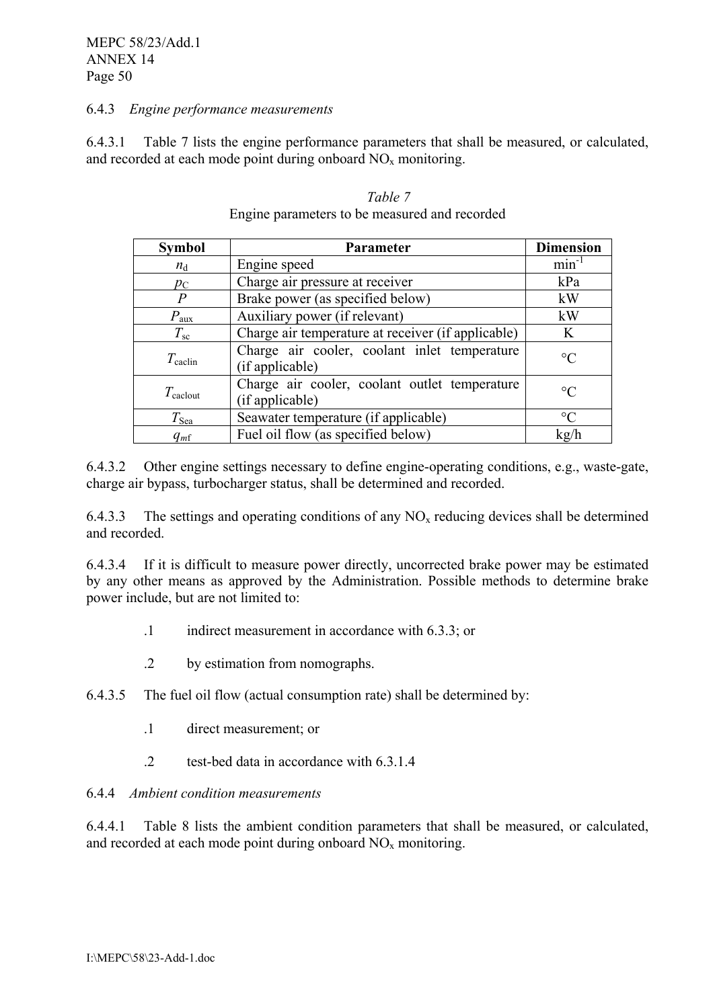#### 6.4.3 *Engine performance measurements*

6.4.3.1 Table 7 lists the engine performance parameters that shall be measured, or calculated, and recorded at each mode point during onboard  $NO<sub>x</sub>$  monitoring.

| <b>Symbol</b>       | <b>Parameter</b>                                                 | <b>Dimension</b> |
|---------------------|------------------------------------------------------------------|------------------|
| $n_{\rm d}$         | Engine speed                                                     | $min^{-1}$       |
| $p_{\rm C}$         | Charge air pressure at receiver                                  | kPa              |
| $\, P \,$           | Brake power (as specified below)                                 | kW               |
| $P_{\text{aux}}$    | Auxiliary power (if relevant)                                    | kW               |
| $T_{\rm sc}$        | Charge air temperature at receiver (if applicable)               | K                |
| $T_{\rm{calclin}}$  | Charge air cooler, coolant inlet temperature<br>(if applicable)  | $\rm ^{\circ}C$  |
| $T_{\text{calout}}$ | Charge air cooler, coolant outlet temperature<br>(if applicable) | $\rm ^{\circ}C$  |
| $T_{\rm Sea}$       | Seawater temperature (if applicable)                             | $\rm ^{\circ}C$  |
| $q_{m}$ f           | Fuel oil flow (as specified below)                               | kg/h             |

#### *Table 7*  Engine parameters to be measured and recorded

6.4.3.2 Other engine settings necessary to define engine-operating conditions, e.g., waste-gate, charge air bypass, turbocharger status, shall be determined and recorded.

6.4.3.3 The settings and operating conditions of any  $NO<sub>x</sub>$  reducing devices shall be determined and recorded.

6.4.3.4 If it is difficult to measure power directly, uncorrected brake power may be estimated by any other means as approved by the Administration. Possible methods to determine brake power include, but are not limited to:

- .1 indirect measurement in accordance with 6.3.3; or
- .2 by estimation from nomographs.
- 6.4.3.5 The fuel oil flow (actual consumption rate) shall be determined by:
	- .1 direct measurement; or
	- test-bed data in accordance with 6.3.1.4 .2

#### 6.4.4 *Ambient condition measurements*

6.4.4.1 Table 8 lists the ambient condition parameters that shall be measured, or calculated, and recorded at each mode point during onboard  $NO<sub>x</sub>$  monitoring.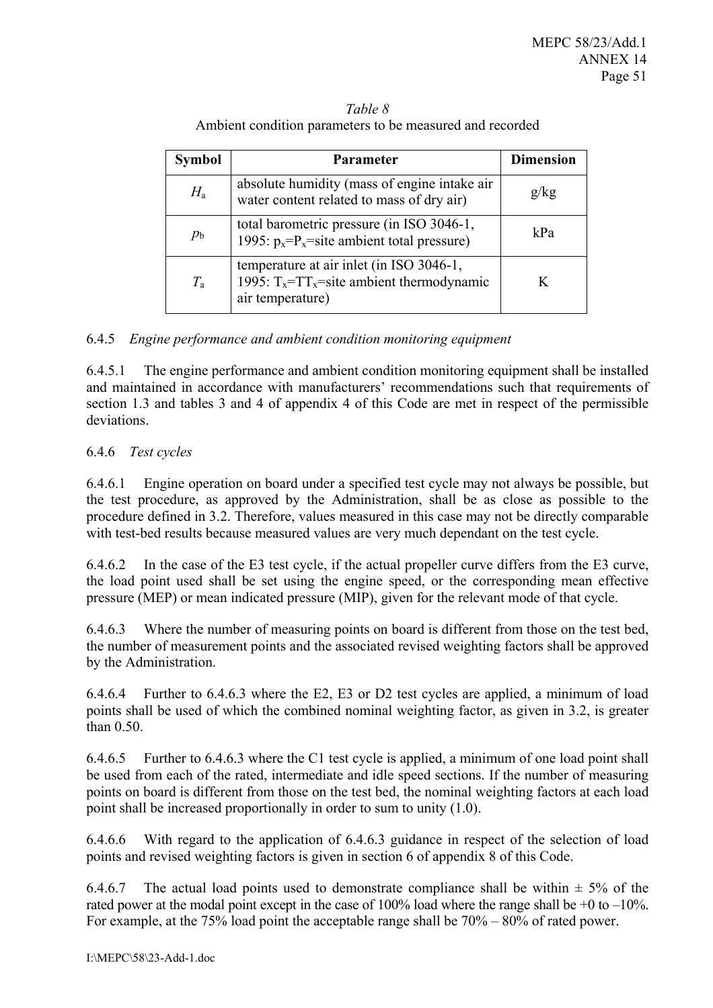| Taple 8                                                  |  |
|----------------------------------------------------------|--|
| Ambient condition parameters to be measured and recorded |  |
|                                                          |  |

*T* 11 0

| <b>Symbol</b> | <b>Parameter</b>                                                                                              | <b>Dimension</b> |
|---------------|---------------------------------------------------------------------------------------------------------------|------------------|
| $H_{\rm a}$   | absolute humidity (mass of engine intake air<br>water content related to mass of dry air)                     | g/kg             |
| $p_{\rm b}$   | total barometric pressure (in ISO 3046-1,<br>1995: $p_x = P_x$ = site ambient total pressure)                 | kPa              |
| $T_{\rm a}$   | temperature at air inlet (in ISO 3046-1,<br>1995: $T_x = TT_x$ site ambient thermodynamic<br>air temperature) |                  |

# 6.4.5 *Engine performance and ambient condition monitoring equipment*

6.4.5.1 The engine performance and ambient condition monitoring equipment shall be installed and maintained in accordance with manufacturers' recommendations such that requirements of section 1.3 and tables 3 and 4 of appendix 4 of this Code are met in respect of the permissible deviations.

# 6.4.6 *Test cycles*

6.4.6.1 Engine operation on board under a specified test cycle may not always be possible, but the test procedure, as approved by the Administration, shall be as close as possible to the procedure defined in 3.2. Therefore, values measured in this case may not be directly comparable with test-bed results because measured values are very much dependant on the test cycle.

6.4.6.2 In the case of the E3 test cycle, if the actual propeller curve differs from the E3 curve, the load point used shall be set using the engine speed, or the corresponding mean effective pressure (MEP) or mean indicated pressure (MIP), given for the relevant mode of that cycle.

6.4.6.3 Where the number of measuring points on board is different from those on the test bed, the number of measurement points and the associated revised weighting factors shall be approved by the Administration.

6.4.6.4 Further to 6.4.6.3 where the E2, E3 or D2 test cycles are applied, a minimum of load points shall be used of which the combined nominal weighting factor, as given in 3.2, is greater than 0.50.

6.4.6.5 Further to 6.4.6.3 where the C1 test cycle is applied, a minimum of one load point shall be used from each of the rated, intermediate and idle speed sections. If the number of measuring points on board is different from those on the test bed, the nominal weighting factors at each load point shall be increased proportionally in order to sum to unity (1.0).

6.4.6.6 With regard to the application of 6.4.6.3 guidance in respect of the selection of load points and revised weighting factors is given in section 6 of appendix 8 of this Code.

6.4.6.7 The actual load points used to demonstrate compliance shall be within  $\pm$  5% of the rated power at the modal point except in the case of 100% load where the range shall be +0 to –10%. For example, at the 75% load point the acceptable range shall be 70% – 80% of rated power.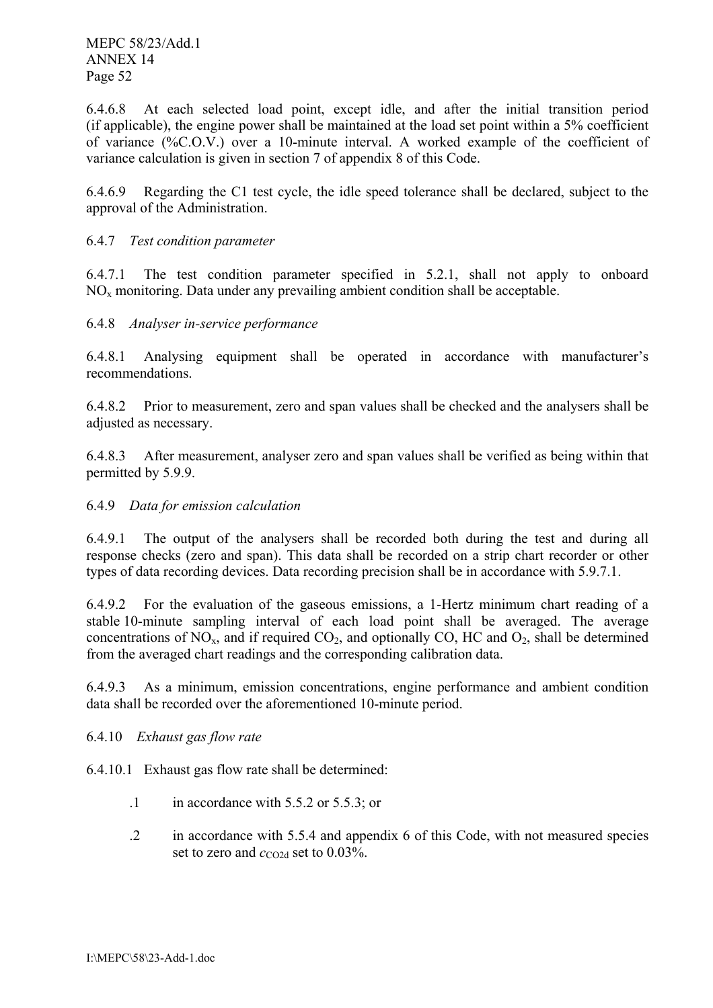6.4.6.8 At each selected load point, except idle, and after the initial transition period (if applicable), the engine power shall be maintained at the load set point within a 5% coefficient of variance (%C.O.V.) over a 10-minute interval. A worked example of the coefficient of variance calculation is given in section 7 of appendix 8 of this Code.

6.4.6.9 Regarding the C1 test cycle, the idle speed tolerance shall be declared, subject to the approval of the Administration.

#### 6.4.7 *Test condition parameter*

6.4.7.1 The test condition parameter specified in 5.2.1, shall not apply to onboard  $NO<sub>x</sub>$  monitoring. Data under any prevailing ambient condition shall be acceptable.

#### 6.4.8 *Analyser in-service performance*

6.4.8.1 Analysing equipment shall be operated in accordance with manufacturer's recommendations.

6.4.8.2 Prior to measurement, zero and span values shall be checked and the analysers shall be adjusted as necessary.

6.4.8.3 After measurement, analyser zero and span values shall be verified as being within that permitted by 5.9.9.

#### 6.4.9 *Data for emission calculation*

6.4.9.1 The output of the analysers shall be recorded both during the test and during all response checks (zero and span). This data shall be recorded on a strip chart recorder or other types of data recording devices. Data recording precision shall be in accordance with 5.9.7.1.

6.4.9.2 For the evaluation of the gaseous emissions, a 1-Hertz minimum chart reading of a stable 10-minute sampling interval of each load point shall be averaged. The average concentrations of  $NO_x$ , and if required  $CO_2$ , and optionally CO, HC and  $O_2$ , shall be determined from the averaged chart readings and the corresponding calibration data.

6.4.9.3 As a minimum, emission concentrations, engine performance and ambient condition data shall be recorded over the aforementioned 10-minute period.

6.4.10 *Exhaust gas flow rate* 

6.4.10.1 Exhaust gas flow rate shall be determined:

- $\therefore$  in accordance with 5.5.2 or 5.5.3; or
- .2 in accordance with 5.5.4 and appendix 6 of this Code, with not measured species set to zero and  $c_{\text{CO2d}}$  set to 0.03%.